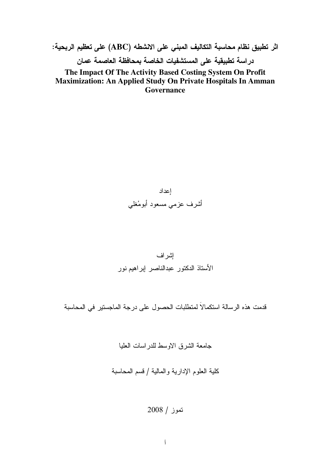اثر تطبيق نظام محاسبة التكاليف المبنى على الانشطه (ABC) على تعظيم الربحية: دراسة تطبيقية على المستشفيات الخاصة بمحافظة العاصمة عمان

The Impact Of The Activity Based Costing System On Profit **Maximization: An Applied Study On Private Hospitals In Amman** Governance

> إعداد أشرف عزمى مسعود أبومُغلمي

اِشْر اف الأستاذ الدكتور عبدالناصر إبراهيم نور

قدمت هذه الرسالة استكمالاً لمتطلبات الحصول على درجة الماجستير في المحاسبة

جامعة الشرق الاوسط للدر اسات العليا

كلية العلوم الإدارية والمالية / قسم المحاسبة

 $2008 /$ نموز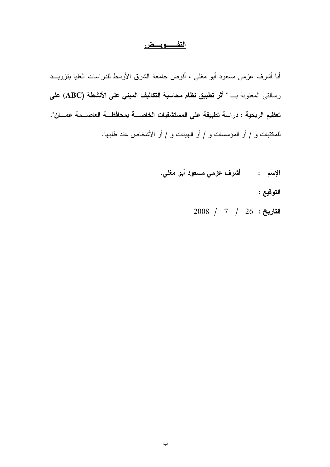# <u>التفــــــويـــض</u>

أنا أشرف عزمي مسعود أبو مغلي ، أفوض جامعة الشرق الأوسط للدراسات العليا بنزويـــد رسالتي المعنونة بـــ " أثر تطبيق نظام محاسبة التكاليف المبني على الأنشطة (ABC) على تعظيم الربحية : دراسة تطبيقة على المستشفيات الخاصـــة بمحافظـــة العاصـــمة عمــــان". للمكتبات و / أو المؤسسات و / أو الهيئات و / أو الأشخاص عند طلبها.

> أشرف عزمى مسعود أبو مغلي. الإسم : التوقيع :

> > $2008$  / 7 / 26 / 1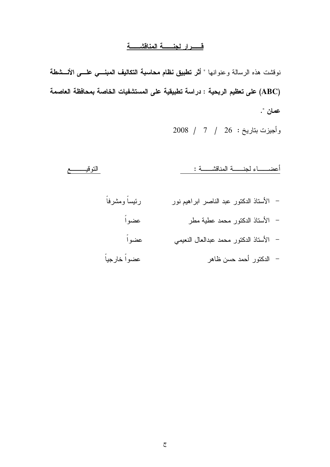# قسواد لجنسسة العناقشسسة

نوقشت هذه الرسالة وعنوانها " أ**ثر تطبيق نظام محاسبة التكاليف المبنـــي علـــي الأنـــشطة** (ABC) على تعظيم الربحية : دراسة تطبيقية على المستشفيات الخاصة بمحافظة العاصمة عمان ".

 $2008$  / 7 / 26 وأجيزت بتاريخ : 26 / 7 / 2008

| النوقيـــــــــع |                | أعضـــاء لجنـــة المناقشـــة :           |  |
|------------------|----------------|------------------------------------------|--|
|                  | رئيساً ومشرفاً | – الأستاذ الدكتور عبد الناصر ابراهيم نور |  |
|                  | عضواً          | – الأستاذ الدكتور محمد عطية مطر          |  |
|                  | عضواً          | – الأستاذ الدكتور محمد عبدالعال النعيمي  |  |
|                  | عضواً خارجياً  | – الدكتور أحمد حسن ظاهر                  |  |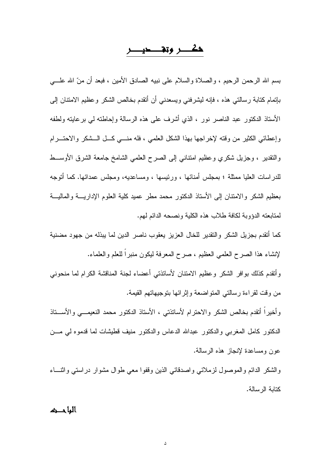شكر وتقصي

بسم الله الرحمن الرحيم ، والصلاة والسلام على نبيه الصادق الأمين ، فبعد أن منّ الله علــــي بإتمام كتابة رسالتي هذه ، فإنه ليشرفني ويسعدني أن أتقدم بخالص الشكر وعظيم الامتنان إلى الأستاذ الدكتور عبد الناصر نور ، الذي أشرف على هذه الرسالة وإحاطته لي برعايته ولطفه وإعطائي الكثير من وقته لإخراجها بهذا الشكل العلمي ، فله منسى كلِّ السَّمْكر والاحتـــرام والنقدير ، وجزيل شكري وعظيم امتنانبي إلىي الصرح العلمي الشامخ جامعة الشرق الأوســط للدراسات العليا ممثلة ؛ بمجلس أمنائها ، ورئيسها ، ومساعديه، ومجلس عمدائها. كما أنوجه بعظيم الشكر والامنتان إلى الأستاذ الدكتور محمد مطر عميد كلية العلوم الإداريــــة والماليــــة لمتابعته الدؤوبة لكافة طلاب هذه الكلية ونصحه الدائم لهم.

كما أنقدم بجزيل الشكر والنقدير للخال العزيز يعقوب ناصر الدين لما يبذله من جهود مضنية لإنشاء هذا الصرح العلمي العظيم ، صرح المعرفة ليكون منبراً للعلم والعلماء.

وأتقدم كذلك بوافر الشكر وعظيم الامتنان لأساتذتي أعضاء لجنة المناقشة الكرام لما منحونبي من وقت لقراءة رسالتي المنواضعة وإثرائها بنوجيهاتهم القيمة.

وأخيرًا أنقدم بخالص الشكر والاحترام لأساتذتني ، الأستاذ الدكتور محمد النعيمـــي والأســـتاذ الدكتور كامل المغربي والدكتور عبدالله الدعاس والدكتور منيف قطيشات لما قدموه لمي مـــن عون ومساعدة لإنجاز هذه الرسالة.

والشكر الدائم والموصول لزملائي واصدقائي الذين وقفوا معى طوال مشوار دراستي واثنساء كتابة الرسالة.

#### العاحش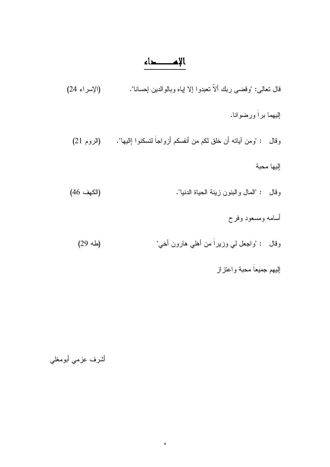الإمصاء

قال نعالـي: "وقضـي ربك ألاّ نـعبدوا إلا إيـاه وبـالوالدين إحسانـا". (الإسراء 24) إليهما براً ورضوانا. وقال : "ومن أياته أن خلق لكم من أنفسكم أزواجاً لنسكنوا إاليها". (الروم 21) البها محبة وقال : "المال والبنون زينة الحياة الدنيا". (الكهف 46) أسامه ومسعود وفرح وقال : "واجعل لمي وزيراً من أهلي هارون أخي"  $(29 4)$ 

 $\pmb{\circ}$ 

إليهم جميعاً محبة واعتزاز

أشرف عزمي أبومغلي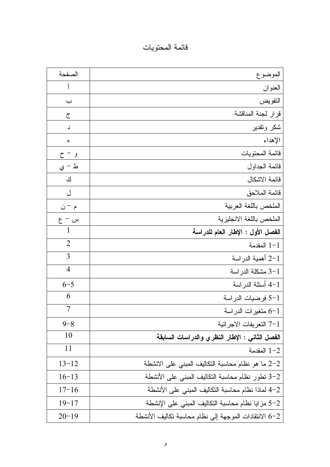فائمة المحتويات

| الصفحة         | الموضوع                                               |
|----------------|-------------------------------------------------------|
| ٲ              | العنوان                                               |
| ب              | التفويض                                               |
| ج              | قرار لجنة المناقشة                                    |
| د              | شكر وتقدير                                            |
| ۰              | الإهداء                                               |
| و – ح          | قائمة المحتويات                                       |
| ط – ي          | قائمة الجداول                                         |
| ك              | قائمة الاشكال                                         |
| ل              | قائمة الملاحق                                         |
| م – ن          | الملخص باللغة العربية                                 |
| س – ع          | الملخص باللغة الانجليزية                              |
| 1              | الفصل الأول : الإطار العام للدراسة                    |
| $\overline{2}$ | $1 - 1$ المقدمة                                       |
| 3              | 2–1 أهمية الدراسة                                     |
| $\overline{4}$ | 3-1 مشكلة الدراسة                                     |
| $6 - 5$        | 4–1 أسئلة الدراسة                                     |
| 6              | 5-1 فرضيات الدراسة                                    |
| 7              | 6-1 متغيرات الدراسة                                   |
| $9 - 8$        | 7-1 التعريفات الاجرائية                               |
| 10             | الفصل الثاني : الإطار النظري والدراسات السابقة        |
| 11             | $1 - 2$ المقدمة                                       |
| $13 - 12$      | 2-2 ما هو نظام محاسبة التكاليف المبنى على الانشطة     |
| $16 - 13$      | 2–3 نطور نظام محاسبة النكاليف المبنى على الأنشطة      |
| $17 - 16$      | 2–4 لماذا نظام محاسبة التكاليف المبنى على الأنشطة     |
| $19 - 17$      | 5–5 مزايا نظام محاسبة النكاليف المبنى على الإنشطة     |
| $20 - 19$      | 6–6 الانتقادات الموجهة إلى نظام محاسبة تكاليف الأنشطة |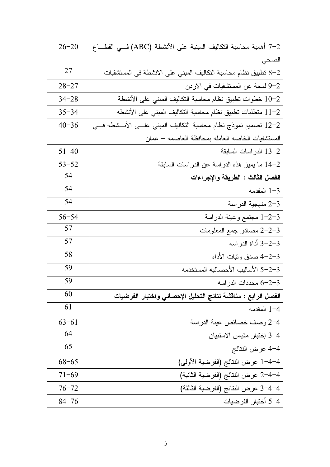| $26 - 20$ | 7–2 أهمية محاسبة التكاليف المبنية على الأنشطة (ABC) فــى القطـــاع   |
|-----------|----------------------------------------------------------------------|
|           | الصحى                                                                |
| 27        | 2–8 تطبيق نظام محاسبة التكاليف المبني على الانشطة في المستشفيات      |
| $28 - 27$ | 9-2 لمحة عن المستشفيات في الاردن                                     |
| $34 - 28$ | 10-2 خطوات تطبيق نظام محاسبة النكاليف المبني على الأنشطة             |
| $35 - 34$ | 1–12 متطلبات تطبيق نظام محاسبة التكاليف المبني على الأنشطه           |
| $40 - 36$ | 12-2 تصميم نموذج نظام محاسبة التكاليف المبني علـــي الأنـــشطه فـــي |
|           | المستشفيات الخاصه العامله بمحافظة العاصمه – عمان                     |
| $51 - 40$ | 13-2 الدراسات السابقة                                                |
| $53 - 52$ | 14-2 ما يميز هذه الدراسة عن الدراسات السابقة                         |
| 54        | الفصل الثالث : الطريقة والإجراءات                                    |
| 54        | $1 - 3$ المقدمه                                                      |
| 54        | 3-2 منهجية الدراسة                                                   |
| $56 - 54$ | 1-2-3 مجتمع وعينة الدراسة                                            |
| 57        | 2-2-3 مصادر جمع المعلومات                                            |
| 57        | 3-2-3 أداة الدراسه                                                   |
| 58        | 4-2-3 صدق وثبات الأداه                                               |
| 59        | 3–2–5 الأساليب الأحصائيه المستخدمه                                   |
| 59        | 4-2-6 محددات الدراسه                                                 |
| 60        | الفصل الرابع : مناقشة نتائج التحليل الإحصائي واختبار الفرضيات        |
| 61        | 1-4 المقدمه                                                          |
| $63 - 61$ | 2-4 وصف خصائص عينة الدراسة                                           |
| 64        | 3-4 إختبار مقياس الاستبيان                                           |
| 65        | 4–4 عرض النتائج                                                      |
| $68 - 65$ | 4–4–1 عرض النتائج (الفرضية الأولى)                                   |
| $71 - 69$ | 4–4–2 عرض النتائج (الفرضية الثانية)                                  |
| $76 - 72$ | 4–4–3 عرض النتائج (الفرضية الثالثة)                                  |
| $84 - 76$ | 4–5 أختبار الفرضيات                                                  |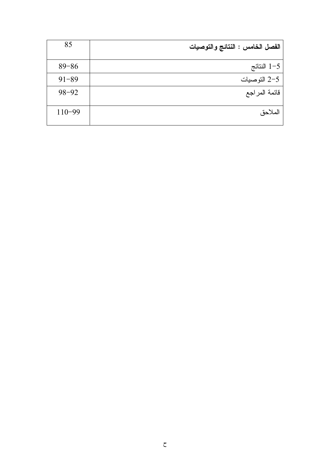| 85         | الفصل الخامس : النتائج والتوصيات |
|------------|----------------------------------|
| $89 - 86$  | 1-5 النتائج                      |
| $91 - 89$  | 2–2 التوصيات                     |
| $98 - 92$  | قائمة المراجع                    |
| $110 - 99$ | الملاحق                          |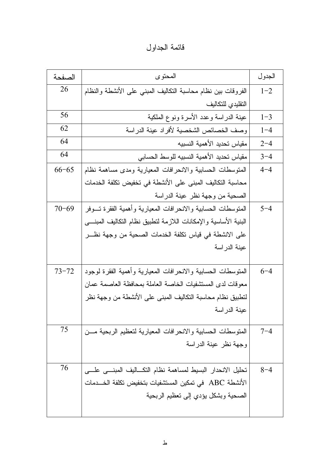قائمة الجداول

| الصفحة    | المحتوى                                                         | الجدو ل |
|-----------|-----------------------------------------------------------------|---------|
| 26        | الفروقات بين نظام محاسبة النكاليف المبنى على الأنشطة والنظام    | $1 - 2$ |
|           | التقليدى للتكاليف                                               |         |
| 56        | عينة الدراسة وعدد الأسرة ونوع الملكية                           | $1 - 3$ |
| 62        | وصف الخصائص الشخصية لأفراد عينة الدراسة                         | $1 - 4$ |
| 64        | مقياس تحديد الأهمية النسبيه                                     | $2 - 4$ |
| 64        | مقياس نحديد الأهمية النسبيه للوسط الحسابي                       | $3 - 4$ |
| $66 - 65$ | المتوسطات الحسابية والانحرافات المعيارية ومدى مساهمة نظام       | $4 - 4$ |
|           | محاسبة التكاليف المبنى على الأنشطة في تخفيض تكلفة الخدمات       |         |
|           | الصحية من وجهة نظر عينة الدراسة                                 |         |
| $70 - 69$ | المنوسطات الحسابية والانحرافات المعيارية وأهمية الفقرة نسوفر    | $5 - 4$ |
|           | البنية الأساسية والإمكانات اللازمة لنطبيق نظام النكاليف المبنسى |         |
|           | على الانشطة في قياس نكلفة الخدمات الصحية من وجهة نظــر          |         |
|           | عينة الدراسة                                                    |         |
| $73 - 72$ | المنوسطات الحسابية والانحرافات المعيارية وأهمية الفقرة لوجود    | $6 - 4$ |
|           | معوقات لدى المستشفيات الخاصة العاملة بمحافظة العاصمة عمان       |         |
|           | لنطبيق نظام محاسبة النكاليف المبنى على الأنشطة من وجهة نظر      |         |
|           | عينة الدراسة                                                    |         |
| 75        | المنوسطات الحسابية والانحرافات المعيارية لتعظيم الربحية مسن     | $7 - 4$ |
|           | وجهة نظر عينة الدراسة                                           |         |
|           |                                                                 |         |
| 76        | تحليل الانحدار البسيط لمساهمة نظام التكساليف المبنسى علسى       | $8 - 4$ |
|           | الأنشطة ABC   في تمكين المستشفيات بتخفيض تكلفة الخـــدمات       |         |
|           | الصحية وبشكل يؤدي إلى تعظيم الربحية                             |         |
|           |                                                                 |         |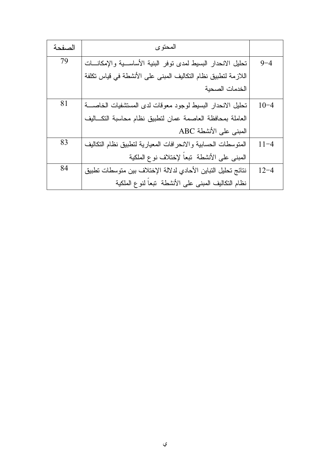| الصفحة | المحتوى                                                         |          |
|--------|-----------------------------------------------------------------|----------|
| 79     | تحليل الانحدار البسيط لمدى نوفر البنية الأساســية والإمكانـــات | $9 - 4$  |
|        | اللازمة لتطبيق نظام التكاليف المبنى على الأنشطة في قياس تكلفة   |          |
|        | الخدمات الصحية                                                  |          |
| 81     | تحليل الانحدار البسيط لوجود معوقات لدى المستشفيات الخاصسة       | $10 - 4$ |
|        | العاملة بمحافظة العاصمة عمان لتطبيق نظام محاسبة التكلليف        |          |
|        | المبنى على الأنشطة ABC                                          |          |
| 83     | المتوسطات الحسابية والانحرافات المعيارية لنطبيق نظام النكاليف   | $11 - 4$ |
|        | المبنى على الأنشطة تبعاً لإختلاف نوع الملكية                    |          |
| 84     | نتائج تحليل التباين الأحادي لدلالة الإختلاف بين متوسطات تطبيق   | $12 - 4$ |
|        | نظام النكاليف المبنى على الأنشطة تبعاً لنوع الملكية             |          |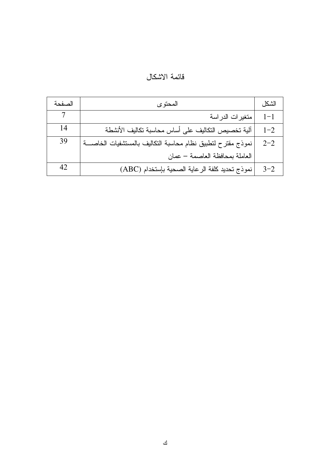قائمة الاشكال

| الصفحة | المحتوى                                                     | الشكل   |
|--------|-------------------------------------------------------------|---------|
|        | متغيرات الدراسة                                             | $1 - 1$ |
| 14     | آلية تخصيص التكاليف على أساس محاسبة تكاليف الأنشطة          | $1 - 2$ |
| 39     | نموذج مقترح لتطبيق نظام محاسبة التكاليف بالمستشفيات الخاصسة | $2 - 2$ |
|        | العاملة بمحافظة العاصمة – عمان                              |         |
| 42     | نموذج تحديد كلفة الرعاية الصحية بإستخدام (ABC)              | $3 - 2$ |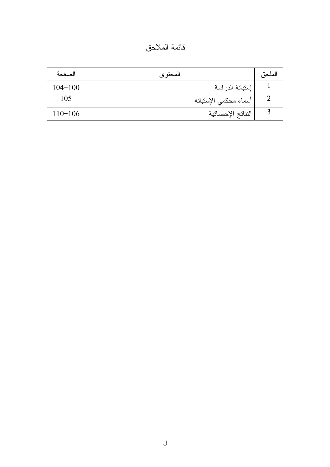قائمة الملاحق

| الصفحة      | المحتوى               | الملحق |
|-------------|-----------------------|--------|
| $104 - 100$ | إستبانة الدراسة       |        |
| 105         | أسماء محكمي الإستبانه |        |
| $110 - 106$ | النتائج الإحصائية     |        |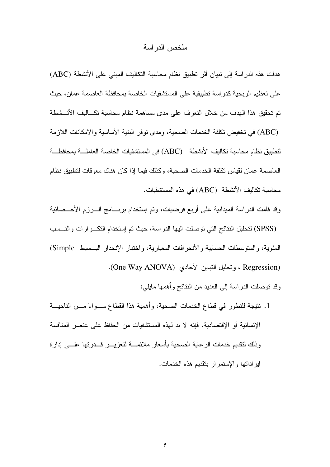#### ملخص الدر اسة

هدفت هذه الدراسة إلى تبيان أثر تطبيق نظام محاسبة التكاليف المبنى على الأنشطة (ABC) على تعظيم الر بحية كدر اسة تطبيقية على المستشفيات الخاصة بمحافظة العاصمة عمان، حيث تم تحقيق هذا الهدف من خلال النعرف على مدى مساهمة نظام محاسبة تكـــاليف الأنـــشطة (ABC) في تخفيض تكلفة الخدمات الصحية، ومدى توفر البنية الأساسية والامكانات اللازمة لتطبيق نظام محاسبة تكاليف الأنشطة (ABC) في المستشفيات الخاصة العاملـــة بمحافظـــة العاصمة عمان لقياس تكلفة الخدمات الصحية، وكذلك فيما إذا كان هناك معوفات لتطبيق نظام محاسبة تكاليف الأنشطة (ABC) في هذه المستشفيات.

وقد قامت الدر اسة الميدانية على أربع فرضيات، وتم إستخدام برنسامج السرزم الأحسصائية

(SPSS) لنحليل النتائج التي توصلت اليها الدراسة، حيث تم إستخدام النكـــرارات والنـــسب المئوية، والمتوسطات الحسابية والأنحرافات المعيارية، واختبار الإنحدار البــسيط Simple) (Regression ، وتحليل النباين الأحادي (One Way ANOVA).

وقد نوصلت الدراسة إلى العديد من النتائج وأهمها مايلي:

1. نتبجة للتطور ً في قطاع الخدمات الصحبة، وأهمية هذا القطاع ســواءَ مـــن الناحيـــة الإنسانية أو الإقتصادية، فإنه لا بد لهذه المستشفيات من الحفاظ على عنصر المنافسة وذلك لتقديم خدمات الرعاية الصحية بأسعار ملائمـــة لتعزيـــز قـــدرتها علــــى إدارة ابر اداتها والإستمر ار بنقديم هذه الخدمات.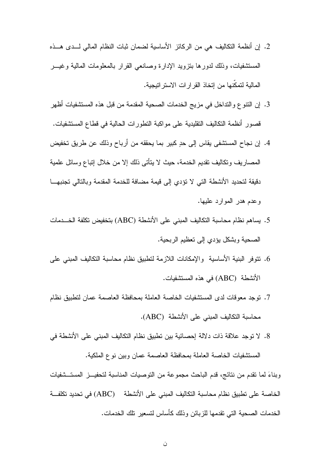- 2. إن أنظمة التكاليف هي من الركائز الأساسية لضمان ثبات النظام المالي لـــدى هــذه المستشفيات، وذلك لدورها بنزويد الإدارة وصانعي القرار بالمعلومات المالية وغيـــر المالية لتمكَّنها من إتخاذ القر ار ات الاستر اتيجية.
- 3. إن النتوع والنداخل في مزيج الخدمات الصحية المقدمة من قبل هذه المستشفيات أظهر قصور أنظمة التكاليف التقليدية على مواكبة التطورات الحالية في قطاع المستشفيات.
- 4. إن نجاح المستشفى يقاس إلى حدٍ كبير بما يحققه من أرباح وذلك عن طريق تخفيض المصـاريف ونكاليف تقديم الخدمة، حيث لا يتأتـي ذلك إلا من خلال إنباع وسائل علمية دقيقة لتحديد الأنشطة التي لا تؤدي إلى قيمة مضافة للخدمة المقدمة وبالتالي تجنبهـــا وعدم هدر الموارد عليها.
- 5. يساهم نظام محاسبة التكاليف المبنى على الأنشطة (ABC) بتخفيض تكلفة الخـــدمات الصحية وبشكل يؤدي إلى نعظيم الربحية.
- 6. نتوفر البنية الأساسية والإمكانات اللازمة لتطبيق نظام محاسبة التكاليف المبنى على الأنشطة (ABC) في هذه المستشفيات.
- 7. توجد معوقات لدى المستشفيات الخاصة العاملة بمحافظة العاصمة عمان لتطبيق نظام محاسبة التكاليف المبنى على الأنشطة (ABC).
- 8. لا توجد علاقة ذات دلالة اِحصائية بين تطبيق نظام التكاليف المبنى على الأنشطة في المستشفيات الخاصة العاملة بمحافظة العاصمة عمان وبين نوع الملكية.

وبناءَ لما نقدم من نتائج، قدم الباحث مجموعة من النوصيات المناسبة لتحفيـــز المستـــشفيات الخاصة على تطبيق نظام محاسبة التكاليف المبنى على الأنشطة (ABC) في تحديد تكلفة الخدمات الصحية التي تقدمها للزبائن وذلك كأساس لتسعير نلك الخدمات.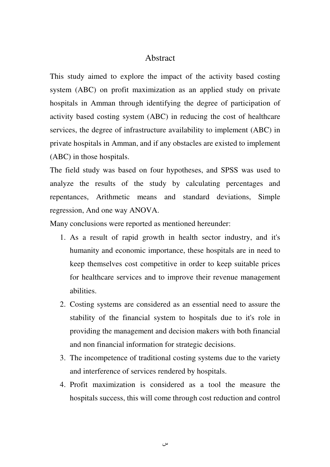#### Abstract

This study aimed to explore the impact of the activity based costing system (ABC) on profit maximization as an applied study on private hospitals in Amman through identifying the degree of participation of activity based costing system (ABC) in reducing the cost of healthcare services, the degree of infrastructure availability to implement (ABC) in private hospitals in Amman, and if any obstacles are existed to implement (ABC) in those hospitals.

The field study was based on four hypotheses, and SPSS was used to analyze the results of the study by calculating percentages and repentances, Arithmetic means and standard deviations, Simple regression, And one way ANOVA.

Many conclusions were reported as mentioned hereunder:

- 1. As a result of rapid growth in health sector industry, and it's humanity and economic importance, these hospitals are in need to keep themselves cost competitive in order to keep suitable prices for healthcare services and to improve their revenue management abilities.
- 2. Costing systems are considered as an essential need to assure the stability of the financial system to hospitals due to it's role in providing the management and decision makers with both financial and non financial information for strategic decisions.
- 3. The incompetence of traditional costing systems due to the variety and interference of services rendered by hospitals.
- 4. Profit maximization is considered as a tool the measure the hospitals success, this will come through cost reduction and control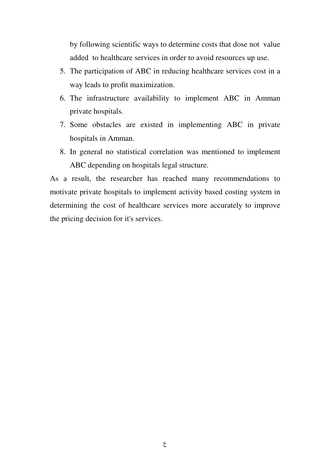by following scientific ways to determine costs that dose not value added to healthcare services in order to avoid resources up use.

- 5. The participation of ABC in reducing healthcare services cost in a way leads to profit maximization.
- 6. The infrastructure availability to implement ABC in Amman private hospitals.
- 7. Some obstacles are existed in implementing ABC in private hospitals in Amman.
- 8. In general no statistical correlation was mentioned to implement ABC depending on hospitals legal structure.

As a result, the researcher has reached many recommendations to motivate private hospitals to implement activity based costing system in determining the cost of healthcare services more accurately to improve the pricing decision for it's services.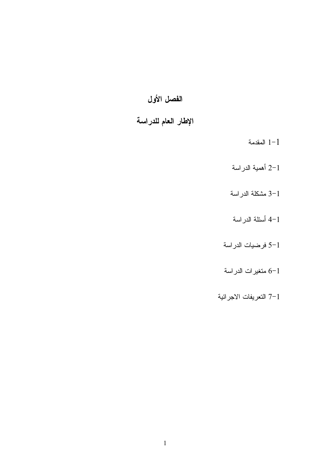# الفصل الأول

# الإطار العام للدراسة

- المقدمة $1 1$
- 2–1 أهمية الدراسة
- 3-1 مشكلة الدراسة
- 4–1 أسئلة الدراسة
- 5–1 فرضيات الدراسة
- 6-1 متغيرات الدراسة
- 7-1 التعريفات الاجرائية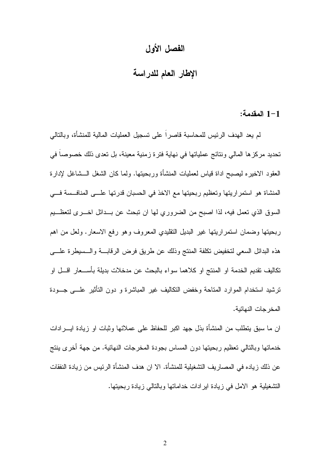# الفصل الأول

# الإطار العام للدراسة

#### 1-1 المقدمة:

لم يعد الهدف الرئيس للمحاسبة قاصراً على تسجيل العمليات المالية للمنشأة، وبالنالي تحديد مركزها المالي ونتائج عملياتها في نهاية فترة زمنية معينة، بل تعدي ذلك خصوصا في العقود الاخيره ليصبح اداة قياس لعمليات المنشأة وربحيتها. ولما كان الشغل الـــشاغل لإدارة المنشاة هو استمراريتها وتعظيم ربحيتها مع الاخذ في الحسبان قدرتها علـــي المنافــسة فـــي السوق الذي نعمل فيه، لذا اصبح من الضروري لمها ان نبحث عن بــدائل اخـــرى لنعظـــيم ربحيتها وضمان استمراريتها غير البديل التقليدي المعروف وهو رفع الاسعار. ولعل من اهم هذه البدائل السعى لتخفيض تكلفة المنتج وذلك عن طريق فرض الرقابسة والسسيطرة علسى تكاليف تقديم الخدمة او المنتج او كلاهما سواء بالبحث عن مدخلات بديلة بأســـعار اقـــل او ترشيد استخدام الموارد المتاحة وخفض التكاليف غير المباشرة و دون التأثير علـــي جـــودة المخرجات النهائية.

ان ما سبق يتطلب من المنشأة بذل جهد اكبر للحفاظ على عملائها وثبات او زيادة ايــــرادات خدماتها وبالتالي تعظيم ربحيتها دون المساس بجودة المخرجات النهائية. من جهة أخرى ينتج عن ذلك زياده في المصـاريف التشغيلية للمنشأة. الا ان هدف المنشأة الرئيس من زيادة النفقات التشغيلية هو الامل في زيادة اير ادات خداماتها وبالنالي زيادة ربحيتها.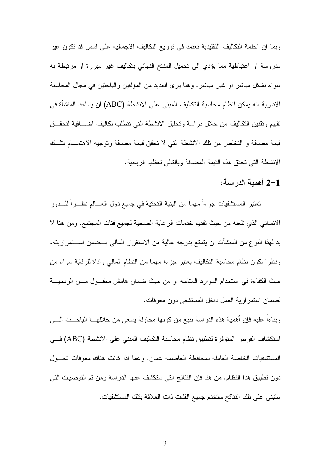وبما ان انظمة التكاليف التقليدية تعتمد في توزيع التكاليف الاجماليه على اسس قد تكون غير مدروسة او اعتباطية مما يؤدي الى نحميل المنتج النهائي بتكاليف غير مبررة او مرتبطة به سواء بشكل مباشر او غير مباشر . وهنا يرى العديد من المؤلفين والباحثين في مجال المحاسبة الادارية انه يمكن لنظام محاسبة التكاليف المبنى على الانشطة (ABC) ان يساعد المنشأة في تقييم وتقنين التكاليف من خلال در اسة وتحليل الانشطة التي تتطلب تكاليف اضــــافية لتحقـــق قيمة مضافة و التخلص من تلك الانشطة التي لا تحقق قيمة مضافة وتوجيه الاهتمـــام بتلــك الانشطة التي تحقق هذه القيمة المضافة وبالنالبي تعظيم الربحية.

### 2-1 أهمية الدراسة:

تعتبر المستشفيات جزءاً مهماً من البنية التحتية في جميع دول العسالم نظـــراً للــــدور الانساني الذي تلعبه من حيث تقديم خدمات الرعاية الصحية لجميع فئات المجتمع. ومن هنا لا بد لمهذا النوع من المنشآت ان يتمتع بدرجه عالية من الاستقرار المالي يـــضمن اســــتمراريته، ونظرًا لكون نظام محاسبة النكاليف يعتبر جزءًا مهما من النظام المالي وإداة للرقابة سواء من حيث الكفاءة في استخدام الموارد المتاحه او من حيث ضمان هامش معقـــول مــــن الربحيــــة لضمان استمر ارية العمل داخل المستشفى دون معوفات.

وبناءا عليه فإن أهمية هذه الدراسة نتبع من كونها محاولة يسعى من خلالهـــا الباحـــث الــــى استكشاف الفرص المتوفرة لتطبيق نظام محاسبة التكاليف المبنى على الانشطة (ABC) فــى المستشفيات الخاصة العاملة بمحافطة العاصمة عمان. وعما اذا كانت هناك معوفات تحـول دون نطبيق هذا النظام. من هنا فإن النتائج التي ستكشف عنها الدراسة ومن ثم التوصيات التي ستبني على تلك النتائج ستخدم جميع الفئات ذات العلاقة بتلك المستشفيات.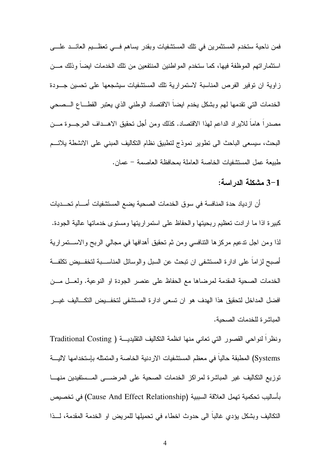فمن ناحية ستخدم المستثمرين في تلك المستشفيات وبقدر يساهم فسي تعظـــيم العائـــد علــــي استثمار اتهم الموظفة فيها، كما ستخدم المواطنين المنتفعين من تلك الخدمات ايضا وذلك مـــن زاوية ان نوفير الفرص المناسبة لاستمرارية نلك المستشفيات سيشجعها على نحسين جسودة الخدمات التبي نقدمها لمهم وبشكل يخدم ايضا الاقتصاد الوطنبي الذي يعتبر القطـــاع الـــصـحي مصدر ا هاما للاير اد الداعم لـهذا الاقتصاد. كذلك ومن أجل تحقيق الاهـــداف المرجـــو ة مـــن البحث، سيسعى الباحث الى نطوير نموذج لنطبيق نظام النكاليف المبنى على الانشطة بلائسم طبيعة عمل المستشفيات الخاصة العاملة بمحافظة العاصمة – عمان.

# 3-1 مشكلة الدراسة:

أن از دياد حدة المنافسة في سوق الخدمات الصحية يضع المستشفيات أمــــام تحـــديات كبيرة اذا ما ارادت تعظيم ربحيتها والحفاظ على استمراريتها ومستوى خدماتها عالية الجودة. لذا ومن اجل تدعيم مركزها النتافسي ومن ثم تحقيق أهدافها في مجالي الربح والاســــنمر ارية أصبح لزلما على ادارة المستشفى ان نبحث عن السبل والوسائل المناســبة لتخفــيض نكلفــة الخدمات الصحية المقدمة لمرضاها مع الحفاظ على عنصر الجودة او النوعية. ولعـــل مـــن افضل المداخل لتحقيق هذا الهدف هو ان تسعى ادارة المستشفى لتخف يض التكساليف غيسر المباشر ة للخدمات الصحية.

ونظرا لنواحي القصور التي نعاني منها انظمة النكاليف النقليديــة ( Traditional Costing Systems) المطبقة حاليا في معظم المستشفيات الاردنية الخاصة والمتمثله بإستخدامها لالية توزيع التكاليف غير المباشرة لمراكز الخدمات الصحية على المرضـــى المــستفيدين منهـــا بأساليب تحكمية تهمل العلاقة السببية (Cause And Effect Relationship) في تخصيص التكاليف وبشكل يؤدي غالباً الى حدوث اخطاء في تحميلها للمريض او الخدمة المقدمة، لــذا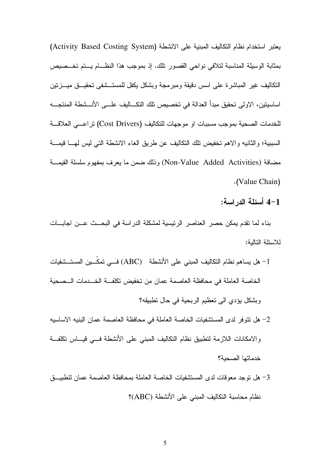بعتبر استخدام نظام التكاليف المبنية على الانشطة (Activity Based Costing System) بمثابة الوسيلة المناسبة لتلافي نواحي القصور نلك. إذ بموجب هذا النظــام يـــتم تخـــصيص التكاليف غير المباشرة على اسس دقيقة ومبرمجة وبشكل يكفل للمستــشفي تحقيـــق ميــــزتين اساسيتين، الاولى تحقيق مبدأ العدالة في تخصيص تلك التكـــاليف علــــي الأنـــشطة المنتجــــه للخدمات الصحية بموجب مسببات او موجهات للتكاليف (Cost Drivers) تراعـــي العلاقـــة السببية؛ والثانيه والاهم نخفيض نلك النكاليف عن طريق الغاء الانشطة التي ليس لهــا قيمـــة مضافة (Non-Value Added Activities) وذلك ضمن ما يعرف بمفهوم سلسلة القيمـــة .(Value Chain)

1–4 أسئلة الدر اسة:

بناء لما نقدم يمكن حصر العناصر الرئيسية لمشكلة الدراسة في البحـــث عـــن اجابــــات للاسئلة التالية:

- 1– هل يساهم نظام التكاليف المبنى على الأنشطة (ABC) فـــى تمكّـــين المستــشفيات الخاصة العاملة في محافظة العاصمة عمان من تخفيض تكلفة الخــدمات الــصحية وبشكل يؤدي الى تعظيم الربحية في حال تطبيقه؟
- 2– هل نتوفر لدى المستشفيات الخاصة العاملة في محافظة العاصمة عمان البنيه الاساسيه والامكانات اللازمة لتطبيق نظام التكاليف المبنى على الأنشطة فسي قيساس نكلفة خدماتها الصحبة؟
- 3– هل توجد معوفات لدى المستشفيات الخاصة العاملة بمحافظة العاصمة عمان لتطبيـــق نظام محاسبة التكاليف المبنى على الأنشطة (ABC)؟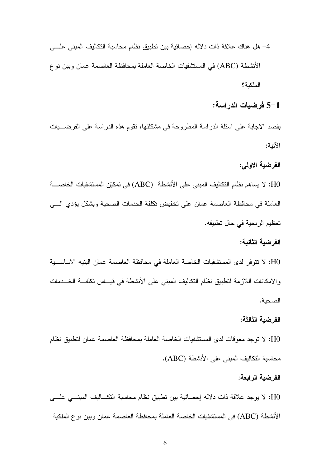4– هل هناك علاقة ذات دلاله إحصائية بين تطبيق نظام محاسبة التكاليف المبني علـــى الأنشطة (ABC) في المستشفيات الخاصة العاملة بمحافظة العاصمة عمان وبين نو ع الملكبة؟

1–5 فرضيات الدراسة:

بقصد الاجابة على اسئلة الدراسة المطروحة في مشكلتها، تقوم هذه الدراسة على الفرضــــيات الآتية:

الفرضية الاولم:

H0: لا يساهم نظام التكاليف المبنى على الأنشطة (ABC) في تمكيّن المستشفيات الخاصــــة العاملة في محافظة العاصمة عمان على تخفيض تكلفة الخدمات الصحية وبشكل بؤدي السي تعظيم الربحية في حال تطبيقه.

الفر ضبة الثانبة:

H0: لا نتوفر لدى المستشفيات الخاصة العاملة في محافظة العاصمة عمان البنيه الاساســـية والامكانات اللازمة لتطبيق نظام التكاليف المبني على الأنشطة في قيـــاس نكلفـــة الـخـــدمات الصحية.

الفرضية الثالثة:

H0: لا نوجد معوقات لدى المستشفيات الخاصة العاملة بمحافظة العاصمة عمان لتطبيق نظام محاسبة التكاليف المبنى على الأنشطة (ABC).

الفر ضبة الر ابعة:

H0: لا يوجد علاقة ذات دلاله إحصائية بين نطبيق نظام محاسبة النكـــاليف المبنـــي علــــي الأنشطة (ABC) في المستشفيات الخاصة العاملة بمحافظة العاصمة عمان وبين نوع الملكية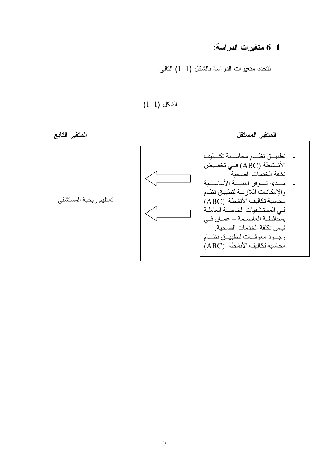# 6-1 متغيرات الدراسة:

نتحدد متغيرات الدراسة بالشكل (1-1) التالي:

 $(1-1)$  الشكل

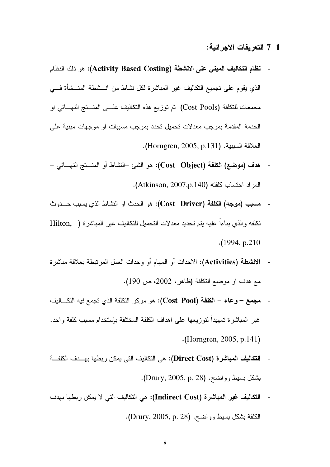1–7 التعريفات الاجر ائية:

- **نظام التكاليف المبن***ي* **على الانشطة (Activity Based Costing): ه**و ذلك النظام الذي يقوم على تجميع التكاليف غير المباشرة لكل نشاط من انـــشطة المنـــشأة فــــي مجمعات للتكلفة (Cost Pools) ثم توزيع هذه التكاليف علـــي المنــــنج النهــــائي او الخدمة المقدمة بموجب معدلات تحميل تحدد بموجب مسببات او موجهات مبنية على العلاقة السببية. (Horngren, 2005, p.131).
- **هدف (موضع) الكلفة (Cost Object):** هو الشئ –النشاط أو المنستج النهسائي المراد احتساب كلفته (Atkinson, 2007,p.140).
- **مسبب (موجه) الكلفة (Cost Driver): هو ال**حدث او النشاط الذي يسبب حـــدوث تكلفه والذي بناءاً عليه يتم تحديد معدلات التحميل للنكاليف غير المباشرة ( Hilton, .(1994, p.210
- الا**نشطة (Activities):** الاحداث أو المهام أو وحدات العمل المرتبطة بعلاقة مباشرة مع هدف او موضع النكلفة (ظاهر، 2002، ص 190).
- **مجمع وعاء الكلفة (Cost Pool):** هو مركز النكلفة الذي تجمع فيه النكـــاليف غير المباشرة تمهيداً لتوزيعها على اهداف الكلفة المختلفة بإستخدام مسبب كلفة واحد. .(Horngren, 2005, p.141)
- ا**لتكاليف المباشرة (Direct Cost):** هي التكاليف التي يمكن ربطها بهـــدف الكلفـــة .(Drury, 2005, p. 28) .^; & \$
- ا**لتكاليف غير المباشرة (Indirect Cost):** هي التكاليف التي لا يمكن ربطها بهدف .(Drury, 2005, p. 28) الكلفة بشكل بسيط وواضح.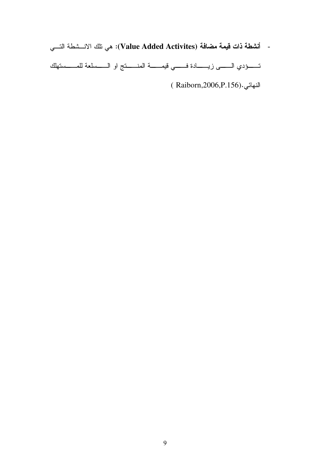- أنشطة ذات قيمة مضافة (Value Added Activites): هي نلك الانـــشطة النـــي

تــــــؤدي الــــــــى زيـــــــادة فـــــــي قيمـــــــة المنــــــــنج او الـــــــسلعة للمــــــستهلك

النهائي. (Raiborn,2006,P.156)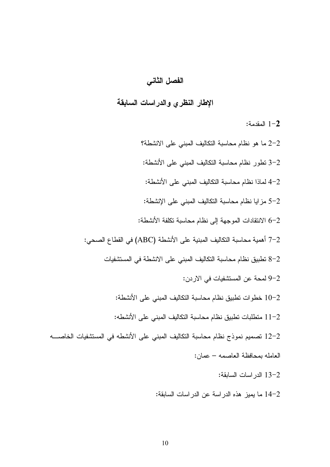#### الفصل الثاني

# الإطار النظري والدراسات السابقة

المقدمة:  $1\text{--}2$ 

- 2-2 ما هو نظام محاسبة التكاليف المبنى على الانشطة؟
- 3-2 نطور نظام محاسبة النكاليف المبني على الأنشطة:
- 2–4 لماذا نظام محاسبة التكاليف المبنى على الأنشطة:
- 5–5 مزايا نظام محاسبة النكاليف المبني على الإنشطة:
- 6–6 الانتقادات الموجهة إلى نظام محاسبة تكلفة الأنشطة:
- 7–2 أهمية محاسبة التكاليف المبنية على الأنشطة (ABC) في القطاع الصحي:
	- 2–8 نطبيق نظام محاسبة التكاليف المبنى على الانشطة في المستشفيات
		- 9-2 لمحة عن المستشفيات في الاردن:
		- 10-2 خطوات تطبيق نظام محاسبة التكاليف المبنى على الأنشطة:
		- 1–12 منطلبات نطبيق نظام محاسبة النكاليف المبنى على الأنشطه:
- 12–2 تصميم نموذج نظام محاسبة التكاليف المبني على الأنشطه في المستشفيات الخاصــــه العامله بمحافظة العاصمه – عمان:
	- 13-2 الدر اسات السابقة:
	- 14-2 ما يميز هذه الدراسة عن الدراسات السابقة: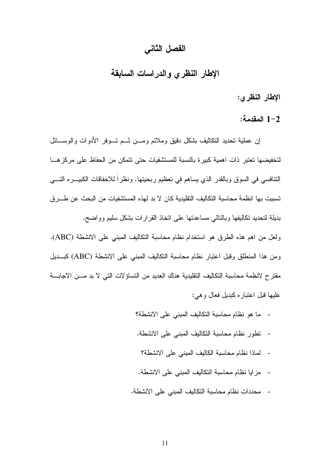# الفصل الثاني

الإطار النظري والدراسات السابقة

الإطار النظرى:

1-2 المقدمة:

إن عملية تحديد النكاليف بشكل دقيق وملائم ومـــن ثـــم تـــوفر الأدوات والوســـائل لتخفيضها تعتبر ذات اهمية كبير ة بالنسبة للمستشفيات حتى نتمكن من الحفاظ على مركز هـــا النتافسي في السوق وبالقدر الذي يساهم في تعظيم ربحيتها. ونظراً للاخفاقات الكبيـــره التــــي تسببت بها انظمة محاسبة التكاليف التقليدية كان لا بد لهذه المستشفيات من البحث عن طـــرق بديلة لتحديد تكاليفها وبالتالي مساعدتها على اتخاذ القرارات بشكل سليع وواضح. ولعل من اهم هذه الطرق هو استخدام نظام محاسبة التكاليف المبنى على الانشطة (ABC). ومن هذا المنطلق وقبل اعتبار نظام محاسبة التكاليف المبنى على الانشطة (ABC) كبــديل مقتر ح لانظمة محاسبة التكاليف التقليدية هناك العديد من النساؤ لات التي لا بد مـــن الاجابـــة عليها قبل اعتباره كبديل فعال وهي:

- ما هو نظام محاسبة التكاليف المبنى على الانشطة؟
- تطور نظام محاسبة التكاليف المبنى على الانشطة.
	- لماذا نظام محاسبة الكاليف المبنى على الانشطة؟
- مزايا نظام محاسبة النكاليف المبنى على الانشطة.
- محددات نظام محاسبة النكاليف المبنى على الانشطة.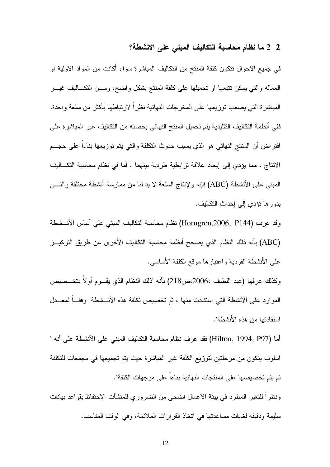#### 2–2 ما نظام محاسبة التكاليف المبنى على الانشطة؟

في جميع الاحوال نتكون كلفة المنتج من التكاليف المباشرة سواء أكانت من المواد الاولية او العماله والتبي يمكن نتبعها او نحميلها على كلفة المنتج بشكل واضح، ومـــن النكــــاليف غيــــر المباشرة التي بصعب توزيعها على المخرجات النهائية نظراً لارتباطها بأكثر من سلعة واحدة. ففي أنظمة التكاليف التقليدية يتم تحميل المنتج النهائي بحصنه من التكاليف غير المباشرة على افتراض أن المنتج النهائي هو الذي يسبب حدوث التكلفة والتي يتم توزيعها بناءاً على حجــم الانتاج ، مما يؤدي إلى إيجاد علاقة تر ابطية طردية بينهما . أما في نظام محاسبة التكـــاليف المبني على الأنشطة (ABC) فإنه ولإنتاج السلعة لا بد لنا من ممارسة أنشطة مختلفة والتسى بدور ها نؤدي إلى إحداث النكاليف.

وقد عرف (Horngren,2006, P144) نظام محاسبة النكاليف المبنبي علىي أساس الأنـــشطة (ABC) بأنه ذلك النظام الذي يصحح أنظمة محاسبة التكاليف الأخرى عن طريق التركيـــز على الأنشطة الفردية واعتبارها موقع الكلفة الأساسي.

وكذلك عرفها (عبد اللطيف ،2006،ص218) بأنه "ذلك النظام الذي يقــوم أولاً بتخــصبيص الموارد على الأنشطة التي استفادت منها ، ثم تخصيص تكلفة هذه الأنـــشطة وفقـــاً لمعـــدل استفادتها من هذه الأنشطة".

أما (Hilton, 1994, P97) فقد عرف نظام محاسبة التكاليف المبنى على الأنشطة على أنه " أسلوب يتكون من مرحلتين لتوزيع الكلفة غير المباشرة حيث يتم تجميعها في مجمعات للتكلفة ثم يتم تخصيصها على المنتجات النهائية بناءاً على موجهات الكلفة".

ونظر ا للتغير المطرد في بيئة الاعمال اضحى من الضروري للمنشآت الاحتفاظ بقواعد بيانات سليمة ودقيقه لغايات مساعدتها في اتخاذ القرارات الملائمة، وفي الوقت المناسب.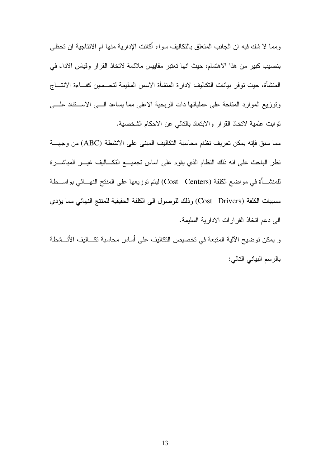ومما لا شك فيه ان الجانب المتعلق بالتكاليف سواء أكانت الإدارية منها ام الانتاجية ان تحظى بنصيب كبير من هذا الاهتمام، حيث انها تعتبر مقاييس ملائمة لاتخاذ القرار وقياس الاداء في المنشأة، حيث توفر بيانات التكاليف لادارة المنشأة الاسس السليمة لتحـــسين كفـــاءة الانتـــاج ونوزيع الموارد المناحة على عملياتها ذات الربحية الاعلى مما يساعد السي الاستناد علسى ثوابت علمية لاتخاذ القرار والابتعاد بالنالبي عن الاحكام الشخصية.

مما سبق فإنه يمكن تعريف نظام محاسبة التكاليف المبنى على الانشطة (ABC) من وجهـــة نظر الباحث على انه ذلك النظام الذي يقوم على اساس تجميـــع التكـــاليف غيـــر المباشــــرة للمنشـــأة في مواضـع الكلفة (Cost Centers) ليتم توزيعها على المنتج النهـــائي بواســـطة مسببات الكلفة (Cost Drivers) وذلك للوصول الى الكلفة الحقيقية للمنتج النهائي مما يؤدي الى دعم انخاذ القرارات الادارية السليمة.

و يمكن توضيح الآلية المتبعة في تخصيص التكاليف على أساس محاسبة تكـــاليف الأنـــشطة بالرسم البياني التالي: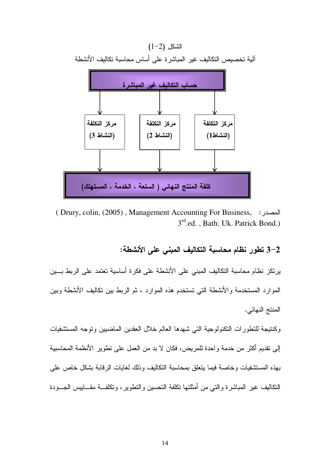

(Drury, colin, (2005), Management Accounting For Business, : المصدر: 3<sup>rd</sup>.ed., Bath; Uk. Patrick Bond.)

# 2–3 تطور نظام محاسبة التكاليف المبنى على الأنشطة:

يرتكز نظام محاسبة التكاليف المبنى على الأنشطة على فكرة أساسية تعتمد على الربط بسين الموارد المستخدمة والأنشطة التي تستخدم هذه الموارد ، ثم الربط بين تكاليف الأنشطة وبين المنتج النهائي.

وكنتيجة للتطورات التكنولوجية التى شهدها العالم خلال العقدين الماضيين وتوجه المستشفيات إلى نقديم أكثر من خدمة واحدة للمريض، فكان لا بد من العمل على نطوير الأنظمة المحاسبية بهذه المستشفيات وخاصنة فيما يتعلق بمحاسبة النكاليف وذلك لغايات الرقابة بشكل خاص على النكاليف غير المباشرة والتبي من أمثلتها نكلفة التحسين والتطوير، ونكلفـــة مقـــابيس الجـــودة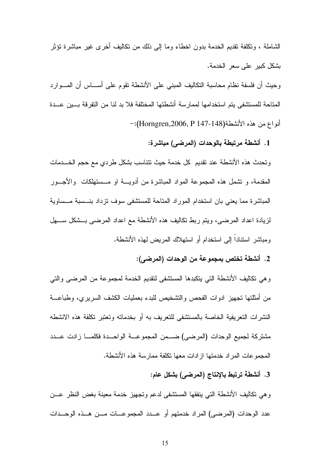الشاملة ، وتكلفة تقديم الخدمة بدون اخطاء وما إلى ذلك من تكاليف أخرى غير مباشرة تؤثر بشكل كبير على سعر الخدمة.

وحيث أن فلسفة نظام محاسبة التكاليف المبنى على الأنشطة نقوم على أســـاس أن المـــوارد المتاحة للمستشفى يتم استخدامها لممارسة أنشطتها المختلفة فلا بد لنا من التفرقة بسين عسدة أنواع من هذه الأنشطة(Horngren,2006, P 147-148):–

1. أنشطة مرتبطة بالوحدات (المرضى) مباشرة:

وتحدث هذه الأنشطة عند نقديم كل خدمة حيث نتناسب بشكل طردي مع حجم الخـــدمات المقدمة، و تشمل هذه المجموعة المواد المباشرة من أدويـــة او مـــستهلكات والأجـــور المباشرة مما يعني بان استخدام الموراد المتاحة للمستشفى سوف نزداد بنـــسبة مـــساوية لزيادة اعداد المرضبي، ويتم ربط نكاليف هذه الأنشطة مع اعداد المرضبي بـــشكل ســــهل ومباشر استناداً إلى استخدام أو استهلاك المربض لهذه الأنشطة.

### 2. أنشطة تختص بمجموعة من الوحدات (المرضى):

و هي تكاليف الأنشطة التي يتكبدها المستشفى لتقديم الخدمة لمجموعة من المرضى والتي من أمثلتها تجهيز ادوات الفحص والتشخيص للبدء بعمليات الكشف السريرى، وطباعـــة النشرات التعريفية الخاصة بالمستشفى للتعريف به أو بخدماته وتعتبر تكلفة هذه الانشطه مشتركة لجميع الوحدات (المرضى) ضــــمن المجموعـــة الواحـــدة فكلمـــا زادت عـــدد المجموعات المراد خدمتها از ادات معها تكلفة ممار سة هذه الأنشطة.

# 3. أنشطة ترتبط بالإنتاج (المرضى) بشكل عام:

وهي نكاليف الأنشطة التي ينفقها المستشفى لدعم ونجهيز خدمة معينة بغض النظر عـــن عدد الوحدات (المرضى) المراد خدمتهم أو عــدد المجموعــات مـــن هــذه الوحـــدات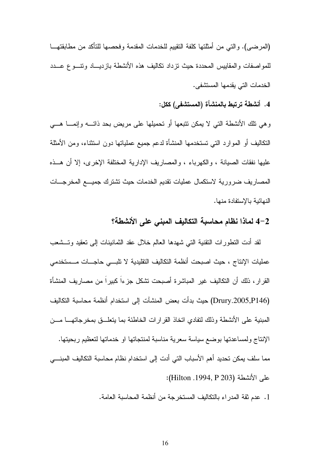(المرضـي). والتـي من أمثلتها كلفة التقييم للـخدمات المقدمة وفحصـها للتاكد من مطابقتهـــا للمواصفات والمقابيس المحددة حيث نزداد نكاليف هذه الأنشطة بازديساد ونتسوع عسدد الخدمات التي يقدمها المستشفى.

4. أنشطة ترتبط بالمنشأة (المستشفى) ككل:

وهي نلك الأنشطة التي لا يمكن نتبعها أو نحميلها على مريض بحد ذاتـــه وإنمـــا هـــي النكاليف أو الموارد النبي تستخدمها المنشأة لدعم جميع عملياتها دون استثناء، ومن الأمثلة عليها نفقات الصيانة ، والكهرباء ، والمصاريف الإدارية المختلفة الإخرى، إلا أن هــذه المصاريف ضرورية لاستكمال عمليات نقديم الخدمات حيث تشترك جميـــع المخرجـــات النهائية بالإستفادة منها.

# 2–4 لماذا نظام محاسبة التكاليف المبني على الأنشطة؟

لقد أدت التطورات النقنية التي شهدها العالم خلال عقد الثمانينات إلى تعقيد وتـــشعب عمليات الإنتاج ، حيث اصبحت أنظمة التكاليف التقليدية لا تلبـــي حاجـــات مـــستخدمي القرار ، ذلك أن التكاليف غير المباشرة أصبحت نشكل جزءاً كبيراً من مصاريف المنشأة (Drury.2005,P146) حيث بدأت بعض المنشآت إلى استخدام أنظمة محاسبة التكاليف المبنية على الانشطة وذلك لنفادي انخاذ القرارات الخاطئة بما يتعلـــق بمخرجاتهـــا مـــن الإنتاج ولمساعدتها بوضىع سياسة سعرية مناسبة لمنتجاتها او خدماتها لتعظيم ربحيتها. مما سلف يمكن تحديد آهم الأسباب التي آدت إلى استخدام نظام محاسبة التكاليف المبنـــي :(Hilton .1994, P 203) الأنشطة (Hilton .1994, P

1. عدم ثقة المدر اء بالتكاليف المستخرجة من أنظمة المحاسبة العامة.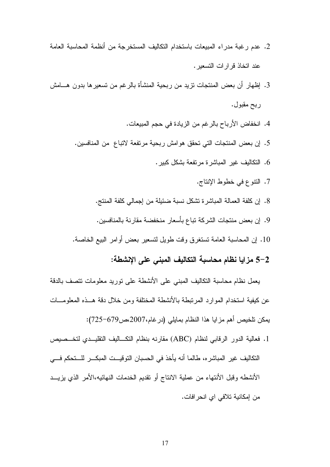- 2. عدم رغبة مدراء المبيعات باستخدام التكاليف المستخرجة من أنظمة المحاسبة العامة عند اتخاذ قر ار ات التسعير .
- 3. إظهار أن بعض المنتجات نزيد من ربحية المنشأة بالرغم من نسعير ها بدون هـــامش ربح مقبول.
	- 4. انخفاض الأرباح بالرغم من الزيادة في حجم المبيعات.
	- 5. إن بعض المنتجات التي تحقق هوامش ربحية مرتفعة لاتباع من المنافسين.
		- . التكاليف غير المباشرة مرتفعة بشكل كبير .
			- 7. النتوع في خطوط الإنتاج.
		- 8. إن كلفة العمالة المباشرة تشكل نسبة ضئيلة من إجمالي كلفة المنتج.
		- 9. إن بعض منتجات الشركة تباع بأسعار منخفضة مقارنة بالمنافسين.
	- 10. إن المحاسبة العامة تستغرق وقت طويل لتسعير بعض أوامر البيع الخاصة.

# 5–2 مزايا نظام محاسبة التكاليف المبنى على الإنشطة:

يعمل نظام محاسبة التكاليف المبنى على الأنشطة على توريد معلومات تتصف بالدقة عن كيفية استخدام الموارد المرتبطة بالأنشطة المختلفة ومن خلال دقة هــذه المعلومـــات يمكن تلخيص أهم مزايا هذا النظام بمايلي (در غام،2007،ص4725-725):

1. فعالية الدور الرقابي لنظام (ABC) مقارنه بنظام التكــاليف التقليــدي لتخــصيص التكاليف غير المباشر ء، طالما أنه يأخذ في الحسبان التوقيــت المبكـــر للـــتحكم فـــي الأنشطه وقبل الأنتهاء من عملية الانتاج أو تقديم الخدمات النهائيه،الأمر الذي يزيـــد من إمكانية تلافي اي انحر افات.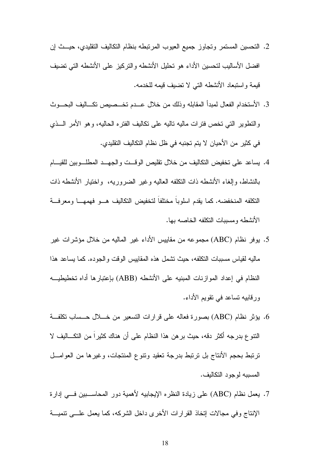- 2. التحسين المستمر وتجاوز جميع العيوب المرتبطه بنظام التكاليف التقليدي، حيــث إن افضل الأساليب لتحسين الأداء هو تحليل الأنشطه والتركيز على الأنشطه التي تضيف قيمة واستبعاد الأنشطه التي لا تضيف قيمه للخدمه.
- 3. الأستخدام الفعال لمبدأ المقابله وذلك من خلال عـــدم تخـــصيص تكـــاليف البحـــوث و النطوير ِ التي تخص فتر ات ماليه تاليه على نكاليف الفتر ه الحاليه، و هو الأمر ِ الـــذي في كثير من الأحيان لا يتم تجنبه في ظل نظام التكاليف التقليدي.
- 4. يساعد على تخفيض التكاليف من خلال نقليص الوقت والجهــد المطلـــوبين للقيـــام بالنشاط، وإلغاء الأنشطه ذات النكلفه العاليه وغير الضروريه، واختيار الأنشطه ذات التكلفه المنخفضه. كما يقدم اسلوباً مختلفاً لتخفيض التكاليف هـــو فهمهـــا ومعرفـــة الأنشطه ومسببات النكلفه الخاصه بها.
- 5. يوفِّر نظام (ABC) مجموعه من مقاييس الأداء غير الماليه من خلال مؤشِّرات غير ماليه لقياس مسببات النكلفه، حيث نشمل هذه المقاييس الوقت والجوده. كما يساعد هذا النظام في إعداد الموازنات المبنيه على الأنشطه (ABB) بإعتبار ها أداه تخطيطيـــه ور قابيه تساعد في نقوبم الأداء.
- 6. يؤثِّر نظام (ABC) بصورة فعاله على قرارات التسعير من خــــلال حـــساب تكلَّفـــة ترتبط بحجم الأنتاج بل ترتبط بدرجة تعقيد وتتوع المنتجات، وغيرها من العوامـــل المسيبه لوحود التكاليف.
- 7. يعمل نظام (ABC) على زيادة النظره الإيجابيه لأهمية دور المحاســــبين فــــي إدارة الإنتاج وفي مجالات إتخاذ القرارات الأخرى داخل الشركه، كما يعمل علـــي نتميـــة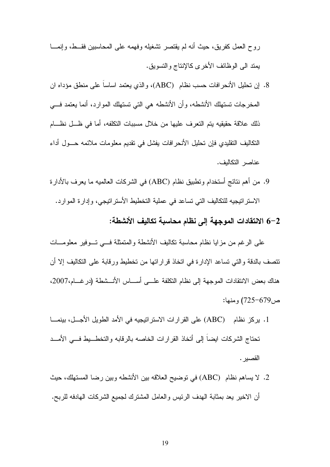روح العمل كفريق، حيث أنه لم يقتصر تشغيله وفهمه على المحاسبين فقــط، وإنمـــا بمند الى الوظائف الأخرى كالإنتاج والنسوبق.

- 8. إن تحليل الأنحرافات حسب نظام (ABC)، والذي يعتمد اساسا على منطق مؤداه ان المخرجات تستهلك الأنشطه، وأن الأنشطه هي التي تستهلك الموارد، أنما يعتمد فسي ذلك علاقة حقيقيه يتم التعرف عليها من خلال مسببات التكلفه، أما في ظـــل نظـــام التكاليف التقليدي فإن تحليل الأنحرافات يفشل في تقديم معلومات ملائمه حـول أداء عناصر التكاليف.
- 9. من أهم نتائج أستخدام وتطبيق نظام (ABC) في الشركات العالميه ما يعرف بالأدارة الاستر اتيجيه للتكاليف التي تساعد في عملية التخطيط الأستر اتيجي، وإدار ة الموارد.

# 6–2 الانتقادات الموجهة إلى نظام محاسبة تكاليف الأنشطة:

على الرغم من مزايا نظام محاسبة تكاليف الأنشطة والمتمثلة فسي تسوفير معلومسات تتصف بالدقة والتي تساعد الإدارة في اتخاذ قراراتها من تخطيط ورقابة على التكاليف إلا أن هناك بعض الانتقادات الموجهة إلى نظام التكلفة علـــي أســـاس الأنـــشطة (در غـــام،2007، ص 679-725) ومنها:

- 1. يركز نظام (ABC) على القرارات الاستراتيجيه في الأمد الطويل الأجـــل، بينمــــا تحتاج الشركات ايضاً إلى أتخاذ القرارات الخاصه بالرقابه والتخط بط فسي الأمــد القصير .
- 2. لا يساهم نظام (ABC) في توضيح العلاقه بين الأنشطه وبين رضا المستهلك، حيث أن الاخير يعد بمثابة الهدف الرئيس والعامل المشترك لجميع الشركات الهادفه للربح.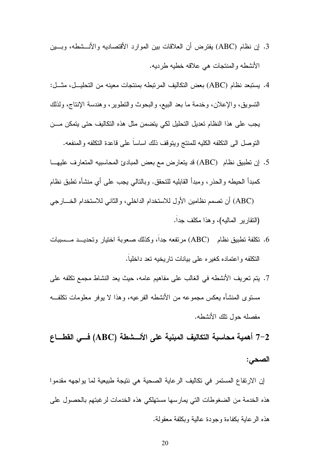- 3. إن نظام (ABC) يفترض أن العلاقات بين الموارد الأقتصاديه والأنـــشطه، وبـــين الأنشطه والمنتجات هي علاقه خطيه طرديه.
- 4. يستبعد نظام (ABC) بعض التكاليف المرتبطه بمنتجات معينه من التحليـــل، مثـــل: التسويق، والإعلان، وخدمة ما بعد البيع، والبحوث والتطوير، وهندسة الإنتاج، ولذلك يجب على هذا النظام تعديل التحليل لكي يتضمن مثل هذه التكاليف حتى يتمكن مـــن النوصل الى النكلفه الكليه للمنتج ويتوقف ذلك اساسا على قاعدة النكلفه والمنفعه.
- 5. إن تطبيق نظام (ABC) قد يتعارض مع بعض المبادئ المحاسبيه المتعارف عليهـــا كمبدأ الحيطه والحذر ، ومبدأ القابليه للتحقق. وبالتالي يجب على أي منشأه نطبق نظام (ABC) أن تصمم نظامين الأول للاستخدام الداخلي، والثاني للاستخدام الخـــارجي (النقارير الماليه)، وهذا مكلف جدا.
- . تكلَّفة تطبيق نظام (ABC) مر تفعه جدا، وكذلك صعوبة اختبار وتحديــد مــسببات (ABC) . النكلفه واعتماده كغيره على بيانات ناريخيه نعد داخليا.
- 7. يتم تعريف الأنشطه في الغالب على مفاهيم عامه، حيث يعد النشاط مجمع تكلفه على مستوى المنشأه يعكس مجموعه من الأنشطه الفر عيه، و هذا لا يوفر ٍ معلومات تكلف مفصله حول نلك الأنشطه.

7–2 أهمية محاسبة التكاليف المبنية على الأسـشطة (ABC) فـــى القطـــاع الصحى:

إن الارتفاع المستمر في تكاليف الرعاية الصحية هي نتيجة طبيعية لما يواجهه مقدموا هذه الخدمة من الضغوطات التي يمارسها مستهلكي هذه الخدمات لرغبتهم بالحصول على هذه الرعاية بكفاءة وجودة عالية وبكلفة معقولة.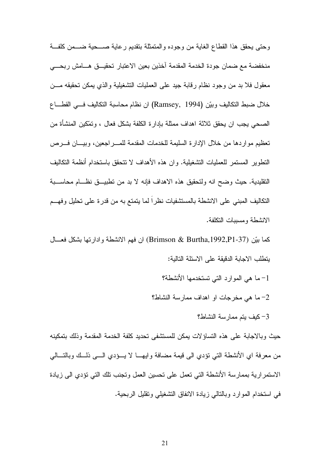وحتى يحقق هذا القطاع الغاية من وجوده والمتمثلة بتقديم رعاية صـــحية ضـــمن كلفـــة منخفضة مع ضمان جودة الخدمة المقدمة آخذين بعين الاعتبار تحقيـــق هـــامش ربحــــي معقول فلا بد من وجود نظام رقابة جيد على العمليات التشغيلية والذي يمكن تحقيقه مـــن خلال ضبط النكاليف وبيّن (Ramsey, 1994) ان نظام محاسبة النكاليف فـــي القطـــاع الصحي يجب ان يحقق ثلاثة اهداف ممثلة بإدارة الكلفة بشكل فعال ، وتمكين المنشأة من تعظيم مواردها من خلال الإدارة السليمة للخدمات المقدمة للمـــراجعين، وبيــــان فــــرص النطوير المستمر للعمليات التشغيلية. وإن هذه الأهداف لا تتحقق باستخدام أنظمة التكاليف التقليدية. حيث وضح انه ولتحقيق هذه الاهداف فإنه لا بد من تطبيـــق نظــــام محاســـبة النكاليف المبنى على الانشطة بالمستشفيات نظراً لما يتمتع به من قدرة على تحليل وفهـــم الانشطة ومسببات التكلفة.

كما بيّن (Brimson & Burtha,1992,P1-37) إن فهم الانشطة وإدار تها بشكل فعـــال يتطلب الاجابة الدقيقة على الاسئلة التالية:

- 1- ما هي الموارد التي تستخدمها الأنشطة؟
- 2- ما هي مخرجات او اهداف ممارسة النشاط؟
	- 3– كيف يتم ممار سة النشاط؟

حبث وبالإجابة على هذه النساؤ لات بمكن للمستشفى نحدبد كلفة الخدمة المقدمة وذلك بنمكبنه من معرفة اي الأنشطة التي نؤدي الى قيمة مضافة وايهـــا لا يـــؤدي الــــي ذلـــك وبالتـــالـي الاستمر ارية بممارسة الأنشطة التي تعمل على تحسين العمل وتجنب تلك التي تؤدي الى زيادة في استخدام الموارد وبالنالبي زيادة الانفاق التشغيلبي ونقليل الربحية.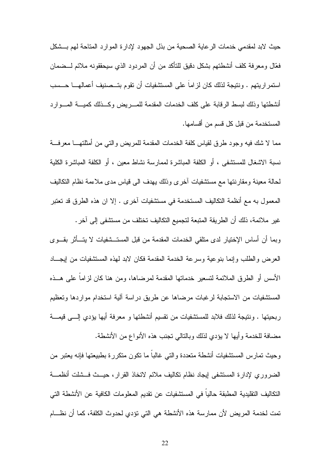حيث لابد لمقدمي خدمات الرعاية الصحية من بذل الجهود لإدارة الموارد المتاحة لهم بــشكل فعَّال ومعرفة كلف أنشطتهم بشكل دقيق للتأكد من أن المردود الذي سيحققونه ملائم لـــضمان استمر اريتهم . ونتيجة لذلك كان لزاماً على المستشفيات أن تقوم بتـــصنيف أعمالهــــا حـــسب أنشطتها وذلك لبسط الرقابة على كلف الخدمات المقدمة للمسريض وكسذلك كميسة المسوارد المستخدمة من قبل كل قسم من أقسامها.

مما لا شك فيه وجود طرق لقياس كلفة الخدمات المقدمة للمريض والنتي من أمثلتهـــا معرفـــة نسبة الاشغال للمستشفى ، أو الكلفة المباشرة لممارسة نشاط معين ، أو الكلفة المباشرة الكلية لحالة معينة ومقارنتها مع مستشفيات أخرى وذلك يهدف الى قياس مدى ملاءمة نظام التكاليف المعمول به مع أنظمة التكاليف المستخدمة في مستشفيات آخري . إلا ان هذه الطرق قد تعتبر غير ملائمة، ذلك أن الطريقة المتبعة لتجميع التكاليف تختلف من مستشفى إلى آخر . وبما أن أساس الإختيار لدى متلقى الخدمات المقدمة من قبل المستــشفيات لا يتـــأثر بقـــو ي العرض والطلب وإنما بنوعية وسرعة الخدمة المقدمة فكان لابد لهذه المستشفيات من إيجساد

الأسس أو الطرق الملائمة لتسعير خدماتها المقدمة لمرضاها، ومن هنا كان لزاماً على هــذه المستشفيات من الاستجابة لرغبات مرضاها عن طريق دراسة ألية استخدام مواردها وتعظيم ربحيتها . ونتيجة لذلك فلابد للمستشفيات من نقسيم أنشطتها و معرفة أيها يؤدي إلـــي قيمـــة مضافة للخدمة وأبها لا يؤدي لذلك وبالنالى نجنب هذه الأنواع من الأنشطة.

وحيث تمارس المستشفيات أنشطة متعددة والتي غالباً ما نكون منكر ر ة بطبيعتها فإنه يعتبر ٍ من الضروري لإدارة المستشفى إيجاد نظام نكاليف ملائم لاتخاذ القرار، حيبث فسشلت أنظمسة التكاليف التقليدية المطبقة حاليا في المستشفيات عن نقديم المعلومات الكافية عن الأنشطة التي تمت لخدمة المريض لأن ممارسة هذه الأنشطة هي التي تؤدي لحدوث الكلفة، كما أن نظـــام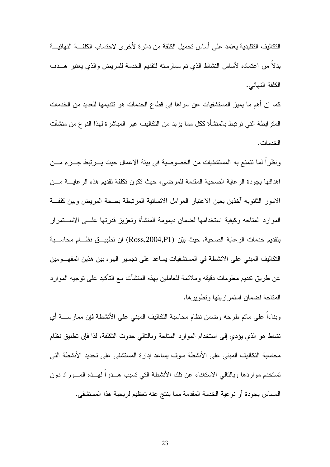النكاليف النقليدية يعتمد على أساس تحميل الكلفة من دائر ة لأخرى لاحتساب الكلفـــة النهائيـــة بدلاً من اعتماده لأساس النشاط الذي تم ممارسته لتقديم الخدمة للمريض والذي يعتبر هــدف الكلفة النهائي.

كما إن أهم ما يميز المستشفيات عن سواها في قطاع الخدمات هو نقديمها للعديد من الخدمات المتر ابطة التي ترتبط بالمنشأة ككل مما يزيد من النكاليف غير المباشرة لهذا النوع من منشآت الخدمات.

ونظرًا لما نتمتع به المستشفيات من الخصوصية في بيئة الاعمال حيث يـــرنبط جـــزء مـــن اهدافها بجودة الرعاية الصحية المقدمة للمرضى، حيث تكون تكلفة تقديم هذه الرعايــــة مــــن الامور الثانويه آخذين بعين الاعتبار العوامل الانسانية المرتبطة بصحة المريض وبين كلفة الموارد المناحه وكيفية استخدامها لضمان ديمومة المنشأة وتعزيز قدرتها علسى الاستقمرار بنقديم خدمات الرعاية الصحية. حيث بيّن (Ross,2004,P1) ان تطبيـــق نظـــام محاســـبة التكاليف المبنى على الانشطة في المستشفيات يساعد على نجسير الهوه بين هذين المفهــومين عن طريق نقديم معلومات دقيقه وملائمة للعاملين بهذه المنشآت مع التأكيد على نوجيه الموارد المتاحة لضمان استمر اريتها وتطوير ها.

وبناءا على ماتم طرحه وضمن نظام محاسبة النكاليف المبنىي على الأنشطة فإن ممارســــة أي نشاط هو الذي يؤدي إلى استخدام الموارد المتاحة وبالتالي حدوث التكلفة، لذا فإن تطبيق نظام محاسبة التكاليف المبنى على الأنشطة سوف يساعد إدار ة المستشفى على تحديد الأنشطة التي تستخدم مواردها وبالتالي الاستغناء عن تلك الأنشطة التي تسبب هـــدراً لـهـــذه المـــوراد دون المساس بجودة أو نوعية الخدمة المقدمة مما ينتج عنه تعظيم لربحية هذا المستشفى.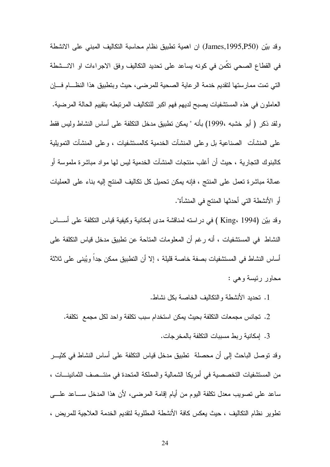وقد بيّن (James,1995,P50) ان اهمية تطبيق نظام محاسبة التكاليف المبنى على الانشطة في القطاع الصحي تكَّمن في كونه يساعد على تحديد التكاليف وفق الاجراءات او الانـــشطة التي تمت ممارستها لتقديم خدمة الرعاية الصحية للمرضى، حيث وبتطبيق هذا النظام فسإن العاملون في هذه المستشفيات يصبح لديهم فهم اكبر للتكاليف المرتبطه بتقييم الحالة المرضية. ولقد ذكر ( أبو خشبه ،1999) بأنه " يمكن تطبيق مدخل التكلفة على أساس النشاط وليس فقط على المنشآت الصناعية بل وعلى المنشآت الخدمية كالمستشفيات ، وعلى المنشآت التمويلية كالبنوك التجارية ، حيث أن أغلب منتجات المنشآت الخدمية ليس لها مواد مباشرة ملموسة أو عمالة مباشرة تعمل على المنتج ، فإنه يمكن تحميل كل تكاليف المنتج إليه بناء على العمليات أو الأنشطة التي أحدثها المنتج في المنشأة".

وقد بيّن (King، 1994 ) في دراسته لمناقشة مدى إمكانية وكيفية قياس التكلفة على أســــاس النشاط في المستشفيات ، أنه رغم أن المعلومات المتاحة عن تطبيق مدخل قياس التكلفة على أساس النشاط في المستشفيات بصفة خاصة قليلة ، إلا أن التطبيق ممكن جدا ويُبنى على ثلاثة محاور رئيسة وهي :

- 1. تحدبد الأنشطة والنكالبف الخاصة بكل نشاط.
- 2. تجانس مجمعات التكلفة بحيث يمكن استخدام سبب تكلفة واحد لكل مجمع تكلفة.
	- 3. إمكانية ربط مسببات النكلفة بالمخر جات.

وقد توصل الباحث إلى أن محصلة تطبيق مدخل قياس التكلفة على أساس النشاط في كثيـــر من المستشفيات التخصصية في أمريكا الشمالية والمملكة المتحدة في منتــصف الثمانينـــات ، ساعد على نصويب معدل نكلفة اليوم من أيام إقامة المرضى، لأن هذا المدخل ســــاعد علــــي تطوير نظام التكاليف ، حيث يعكس كافة الأنشطة المطلوبة لتقديم الخدمة العلاجية للمريض ،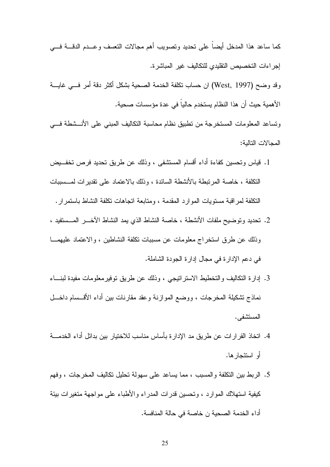كما ساعد هذا المدخل أيضاً على تحديد وتصويب أهم مجالات النعسف وعـــدم الدقــــة فــــي إجر اءات التخصيص التقليدي للتكاليف غير المباشر ة. وقد وضح (West, 1997) ان حساب تكلفة الخدمة الصحية بشكل أكثر دقة أمر فـــي غايـــة الأهمية حيث أن هذا النظام يستخدم حالياً في عدة مؤسسات صحية. ونساعد المعلومات المستخرجة من نطبيق نظام محاسبة النكاليف المبنى على الأنـــشطة فـــي المجالات التالبة:

- 1. قياس وتحسين كفاءة أداء أقسام المستشفى ، وذلك عن طريق تحديد فرص تخفـــبض النكلفة ، خاصة المرتبطة بالأنشطة السائدة ، وذلك بالاعتماد على نقديرات لمـــسببات النكلفة لمر اقبة مستويات الموارد المقدمة ، ومنابعة انجاهات نكلفة النشاط باستمرار .
- 2. نحديد ونوضيح ملفات الأنشطة ، خاصة النشاط الذي يمد النشاط الأخـــــر المــــستفيد ، وذلك عن طرق استخراج معلومات عن مسببات تكلفة النشاطين ، والاعتماد عليهمـــا في دعم الإدارة في مجال إدارة الجودة الشاملة.
- 3. إدارة التكاليف والتخطيط الاستراتيجي ، وذلك عن طريق توفيرمعلومات مفيدة لبنساء نماذج نشكيلة المخرجات ، ووضع الموازنة وعقد مقارنات بين أداء الأقـــسام داخـــل المستشفى.
- 4. اتخاذ القرارات عن طريق مد الإدار ة بأساس مناسب للاختيار بين بدائل أداء الخدمــــة أو استئجار ها.
- 5. الربط بين النكلفة والمسبب ، مما يساعد على سهولة نحليل نكاليف المخرجات ، وفهم كيفية استهلاك الموارد ، ونحسين قدرات المدراء والأطباء على مواجهة متغيرات بيئة أداء الخدمة الصحية ن خاصة في حالة المنافسة.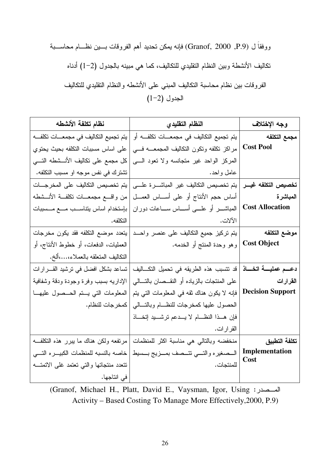ووفقاً ل (P.9, Granof, 2000) فإنه يمكن تحديد أهم الفروقات بسين نظــام محاســـبة نكاليف الأنشطة وبين النظام النقليدي للنكاليف، كما هي مبينه بالجدول (2–1) أدناه الفروقات بين نظام محاسبة التكاليف المبني على الأنشطه والنظام التقليدي للتكاليف  $(1-2)$  الجدول

| نظام تكلفة الأنشطه                        | النظام التقليدي                                          | وجه الإختلاف            |
|-------------------------------------------|----------------------------------------------------------|-------------------------|
| يتم تجميع التكاليف في مجمعـــات تكلفـــه  | يتم تجميع التكاليف في مجمعــات تكلفــه أو                | مجمع التكلفه            |
| على اساس مسببات النكلفه بحيث يحتوي        | مراكز نكلفه ونكون النكاليف المجمعــه فـــى               | <b>Cost Pool</b>        |
| كل مجمع على تكاليف الأنـــشطه التـــى     | المركز الواحد غير منجانسه ولا نعود السي                  |                         |
| تشترك في نفس موجه او مسبب النكلفه.        | عامل واحد.                                               |                         |
| يتم تخصيص التكاليف على المخرجات           | يتم تخصيص التكاليف غير المباشـــرة علــــى               | تخصيص التكلفه غيـــر    |
| من واقع مجمعــات نكلفــة الأنـــشطه       | أساس حجم الأنتاج أو على أســـاس العمـــل                 | المباشرة                |
| بإستخدام اساس ينتاسب مع مسسببات           | المباشـــــــر أو علـــــــى أســــــاس ســـــاعات دوران | <b>Cost Allocation</b>  |
| التكلفه.                                  | الآلات.                                                  |                         |
| يتعدد موضع التكلفه فقد يكون مخرجات        | يتم نركيز جميع النكاليف على عنصر واحــد                  | موضع التكلفه            |
| العمليات، الدفعات، أو خطوط الأنتاج، أو    | وهو وحدة المنتج أو الخدمه.                               | <b>Cost Object</b>      |
| التكاليف المنعلقه بالعملاء،،ألخ.          |                                                          |                         |
| تساعد بشكل افضل في ترشيد القـــرارات      | قد تتسبب هذه الطريقه في تحميل التكـــاليف                | دعــم عمليـــة اتخـــاذ |
| الإداريه بسبب وفرة وجودة ودقة وشفافية     | على المنتجات بالزياده أو النقــصان بالتـــالى            | القرارات                |
| المعلومات التي يستم الحسصول عليها         | فإنه لا يكون هناك نقه في المعلومات التي يتم              | <b>Decision Support</b> |
| كمخرجات للنظام.                           | الحصول عليها كمخرجات للنظام وبالتسالي                    |                         |
|                                           | فإن هـذا النظــام لا يــدعم ترشــيد إتخــاذ              |                         |
|                                           | القرار ات.                                               |                         |
| مرتفعه ولكن هناك ما ببرر هذه النكلف       | منخفضه وبالتالي هي مناسبة اكثر للمنظمات                  | تكلفة التطبيق           |
| خاصه بالنسبه للمنظمات الكبيــره التـــى   | الــصغيره والتـــي تتــصف بمـــزيج بـــسيط               | Implementation          |
| نتعدد منتجاتها والتى تعتمد غلبى الاتمتــه | للمنتجات.                                                | Cost                    |
| في انتاجها.                               |                                                          |                         |

(Granof, Michael H., Platt, David E., Vaysman, Igor, Using :المسصدر Activity - Based Costing To Manage More Effectively, 2000, P.9)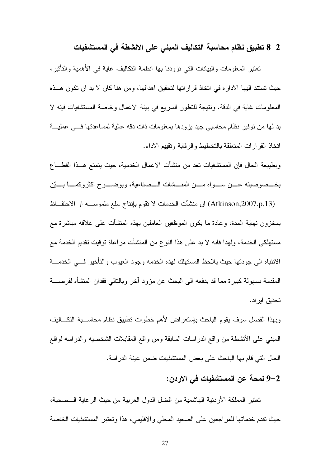## 8–8 تطبيق نظام محاسبة التكاليف المبني على الانشطة في المستشفيات

تعتبر المعلومات والبيانات التي نزودنا بها انظمة النكاليف غاية في الأهمية والتاثير، حيث تستند البها الادار ه في انخاذ قراراتها لتحقيق اهدافها، ومن هنا كان لا بد ان نكون هـــذه المعلومات غاية في الدقة. ونتيجة للتطور السريع في بيئة الاعمال وخاصة المستشفيات فإنه لا بد لمها من توفير نظام محاسبي جيد بزودها بمعلومات ذات دقه عالية لمساعدتها فـــي عمليـــة اتخاذ القرارات المتعلقة بالتخطيط والرقابة وتقييم الاداء.

وبطيبعة الحال فإن المستشفيات نعد من منشات الاعمال الخدمية، حيث يتمتع هــذا القطـــاع بخـــصوصيته عـــن ســـواه مـــن المنـــشات الـــصناعية، وبوضـــوح اكثروكمــــا بـــيّن

فرم بإنتاج سلع ملموســــه او الاحتفـــاظ (Atkinson,2007,p.13 بمخزون نـهاية المدة، وعادة مـا يكون الموظفين الـعاملين بـهذه المنشات علـى علاقه مباشرة مـع مستهلكي الخدمة، ولهذا فإنه لا بد على هذا النوع من المنشات مراعاة توقيت تقديم الخدمة مع الانتباه الى جودتها حيث يلاحظ المستهلك لمهذه الخدمه وجود العيوب والتاخير فسي الخدمـــة المقدمة بسهولة كبيرة مما قد يدفعه الى البحث عن مزود اخر وبالنالي فقدان المنشآه لفرصــــة تحقيق اير اد .

وبهذا الفصل سوف يقوم الباحث بإستعراض لأهم خطوات نطبيق نظام محاســـبة التكـــاليف المبنـي علـى الأنشطـة من واقـع الدراسات السابقة ومن واقـع المقابـلات الشخصـيـه والدراسـه لواقـع الحال التي قام بها الباحث على بعض المستشفيات ضمن عينة الدراسة.

### 2–9 لمحة عن المستشفيات في الاردن:

تعتبر المملكة الأردنية الهاشمية من افضل الدول العربية من حيث الرعاية الـــصـحية، حيث نقدم خدماتها للمراجعين على الصعيد المحلي والاقليمي، هذا وتعتبر المستشفيات الخاصة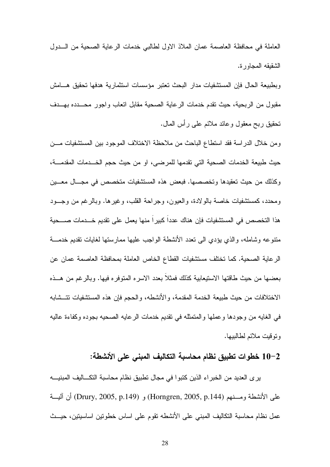العاملة في محافظة العاصمة عمان الملاذ الاول لطالبي خدمات الرعاية الصحية من الـــدول الشقيقه المجاور ة.

وبطبيعة الحال فإن المستشفيات مدار البحث تعتبر مؤسسات استثمارية هدفها تحقيق هـــامش مقبول من الربحية، حيث نقدم خدمات الرعاية الصحية مقابل انعاب واجور محـــدده بهـــدف تحقيق ربح معقول وعائد ملائم على رأس المال.

ومن خلال الدر اسة فقد استطاع الباحث من ملاحظة الاختلاف الموجود بين المستشفيات مـــن حيث طبيعة الخدمات الصحية التي تقدمها للمرضى، او من حيث حجم الخـــدمات المقدمــــة، وكذلك من حيث تعقيدها وتخصصها. فبعض هذه المستشفيات متخصص في مجـــال معـــين ومحدد، كمستشفيات خاصـة بالولادة، والعيون، وجراحة القلب، وغيرها. وبالرغم من وجـــود هذا التخصص في المستشفيات فإن هناك عدداً كبيراً منها يعمل على تقديم خـــدمات صــــحية متنوعه وشامله، والذي يؤدي الى تعدد الأنشطة الواجب عليها ممارستها لغايات نقديم خدمـــة الرعاية الصحية. كما تختلف مستشفيات القطاع الخاص العاملة بمحافظة العاصمة عمان عن بعضها من حيث طاقتها الاستيعابية كذلك فمثلاً بعدد الاسره المتوفره فيها. وبالرغم من هــذه الاختلافات من حيث طبيعة الخدمة المقدمة، والانشطه، والحجم فإن هذه المستشفيات نتـــشابه في الغايه من وجودها وعملها والمتمثله في نقديم خدمات الرعايه الصحيه بجوده وكفاءة عاليه و نو قبت ملائم لطالبيها.

### 1−2 خطوات تطبيق نظام محاسبة التكاليف المبني على الأنشطة:

ير ى العديد من الخبر اء الذين كتبو ا في مجال تطبيق نظام محاسبة التكـــاليف المبنيــــه على الأنشطة ومسـنـهم (Horngren, 2005, p.144) و (Drury, 2005, p.149) أن ألبسـة عمل نظام محاسبة التكاليف المبنى على الأنشطه نقوم على اساس خطونين اساسينين، حيــث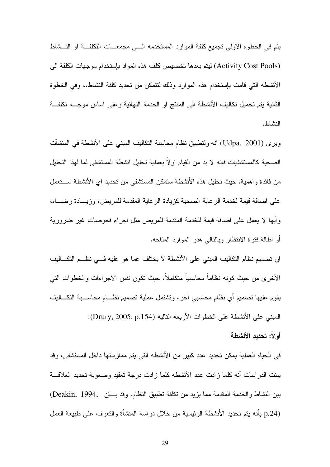يتم في الخطوه الاولى تجميع كلفة الموارد المستخدمه الـــي مجمعـــات التكلفـــة او النـــشاط (Activity Cost Pools) ليتم بعدها تخصيص كلف هذه المواد بإستخدام موجهات الكلفة الى الأنشطه التي قامت بإستخدام هذه الموارد وذلك لنتمكن من تحديد كلفة النشاط،، وفي الخطوة الثانية يتم تحميل تكاليف الأنشطة الى المنتج او الخدمة النهائية وعلى اساس موجــــه تكلفـــة النشاط.

ويرى (Udpa, 2001) انه ولنطبيق نظام محاسبة النكاليف المبنى على الأنشطة في المنشآت الصحبة كالمستشفيات فإنه لا بد من القيام اولا بعملية تحليل انشطة المستشفى لما لهذا التحليل من فائدة واهمية. حيث نحليل هذه الأنشطة ستمكن المستشفى من نحديد اى الأنشطة ســــنعمل على اضافة قيمة لخدمة الرعاية الصحية كزيادة الرعاية المقدمة للمريض، وزيسادة رضساه، وأيها لا يعمل على اضافة قيمة للخدمة المقدمة للمريض مثل اجراء فحوصات غير ضرورية أو اطالة فترة الانتظار وبالنالي هدر الموارد المتاحه.

ان تصميم نظام التكاليف المبنى على الأنشطة لا يختلف عما هو عليه فـــى نظـــم التكـــاليف الأخرى من حيث كونه نظاماً محاسبياً متكاملاً، حيث تكون نفس الاجراءات والخطوات التي يقوم عليها تصميم أي نظام محاسبي آخرٍ ، ونشتمل عملية تصميم نظـــام محاســـبة التكـــاليف المبنى على الأنشطة على الخطوات الأربعه التاليه (Drury, 2005, p.154):

#### أو لا: تحديد الأنشطة

في الحياء العملية يمكن تحديد عدد كبير من الأنشطه التي يتم ممارستها داخل المستشفى، وقد بينت الدر اسات أنه كلما ز ادت عدد الأنشطه كلما ز ادت درجة تعقيد وصعوبة تحديد العلاقـــة بين النشاط والخدمة المقدمة مما يزيد من نكلفة تطبيق النظام. وقد بسيّن ,Deakin, 1994) (p.24 بأنه يتم تحديد الأنشطة الرئيسية من خلال در اسة المنشأة والنعرف على طبيعة العمل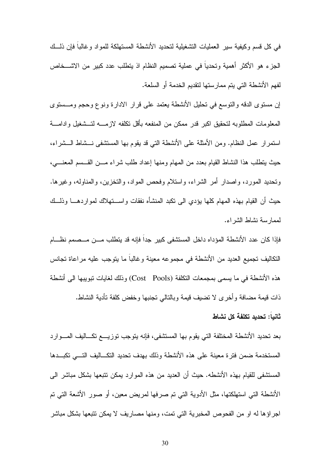في كل قسم وكيفية سير العمليات التشغيلية لتحديد الأنشطة المستهلكة للمواد و غالباً فإن ذلــك الجزء هو الأكثر أهمية وتحدياً في عملية تصميم النظام اذ يتطلب عدد كبير من الاشـــخاص لفهم الأنشطة التي يتم ممارستها لتقديم الخدمة أو السلعة.

إن مستوى الدقه والنوسع في نحليل الأنشطة يعتمد على قرار الادارة ونوع وحجم ومـــستوى المعلومات المطلوبه لتحقيق اكبر قدر ممكن من المنفعه بأقل نكلفه لازمــــه لتـــشغيل وادامــــة استمرار عمل النظام. ومن الأمثلة على الأنشطة التي قد يقوم بها المستشفى نـــشاط الـــشراء، حيث يتطلب هذا النشاط القيام بعدد من المهام ومنها إعداد طلب شراء مـــن القـــسم المعنــــي، وتحديد المورد، واصدار أمر الشراء، واستلام وفحص المواد، والتخزين، والمناوله، وغيرها. حيث أن القيام بهذه المهام كلها يؤدي الى نكبد المنشأه نفقات واســـتهلاك لمواردهــــا وذلـــك لممار سة نشاط الشر اء.

فإذا كان عدد الأنشطة المؤداه داخل المستشفى كبير جداً فإنه قد يتطلب مـــن مـــصمم نظــــام النكاليف تجميع العديد من الأنشطة في مجموعه معينة وغالبا ما يتوجب عليه مراعاة تجانس هذه الأنشطة في ما يسمى بمجمعات النكلفة (Cost Pools) وذلك لغايات نبويبها الى أنشطة ذات قيمة مضافة و أخر ي لا تضيف قيمة وبالنالي تجنبها و خفض كلفة تأدية النشاط.

### ثانيا: تحديد تكلفة كل نشاط

بعد تحديد الأنشطة المختلفة التي يقوم بها المستشفى، فإنه يتوجب توزيـــع تكـــاليف المـــوارد المستخدمة ضمن فتر ة معينة على هذه الأنشطة وذلك بهدف تحديد التكساليف التسى تكبيدها المستشفى للقيام بهذه الأنشطه. حيث أن العديد من هذه الموارد يمكن نتبعها بشكل مباشر الى الأنشطة التي استهلكتها، مثل الأدوية التي تم صرفها لمريض معين، أو صور الأشعة التي تم اجراؤها له او من الفحوص المخبرية التي تمت، ومنها مصاريف لا يمكن تتبعها بشكل مباشر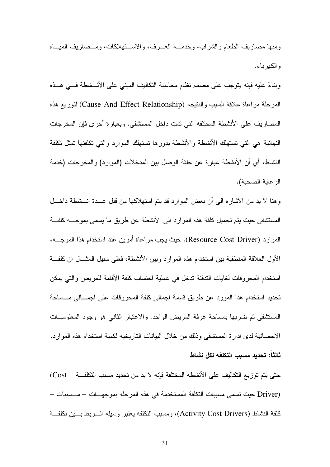ومنها مصاريف الطعام والشر اب، وخدمـــة الغـــر ف، و الاســـتهلاكات، ومـــصاريف الميـــاه و الكهر باء.

وبناءَ عليه فإنه يتوجب على مصمم نظام محاسبة النكاليف المبنى على الأنـــشطة فـــي هـــذه المرحلة مراعاة علاقة السبب والنتيجه (Cause And Effect Relationship) لتوزيع هذه المصـار يف على الأنشطــة المختلفه التــ تمت داخل المستشفى. وبعبار ة أخر ي فإن المخرجات النهائية هي التي تستهلك الأنشطة والأنشطة بدور ها تستهلك الموارد والتي تكلفتها تمثل تكلفة النشاط، أي أن الأنشطة عبارة عن حلقة الوصل بين المدخلات (الموارد) والمخرجات (خدمة الر عابة الصحبة).

وهنا لا بد من الاشاره البي أن بعض الموارد قد بنم استهلاكها من قبل عـــدة انـــشطة داخـــل المستشفى حيث يتم تحميل كلفة هذه الموارد الى الأنشطة عن طريق ما يسمى بموجــــه كلفـــة الموارد (Resource Cost Driver). حيث يجب مراعاة أمرين عند استخدام هذا الموجـــه، الأول العلاقة المنطقية بين استخدام هذه الموارد وبين الأنشطة، فعلى سبيل المثـــال ان كلفـــة استخدام المحروفات لغايات الندفئة ندخل في عملية احتساب كلفة الأقامة للمريض والتي يمكن تحديد استخدام هذا المورد عن طريق قسمة اجمالي كلفة المحروقات على اجمـــالى مـــساحة المستشفى ثم ضربها بمساحة غرفة المريض الواحد. والاعتبار الثانبي هو وجود المعلومـــات الإحصائية لدى ادار ة المستشفى وذلك من خلال البيانات النار بخبه لكمية استخدام هذه الموارد. ثالثا: تحديد مسبب التكلفه لكل نشاط

حتى يتم توزيع التكاليف على الأنشطه المختلفة فإنه لا بد من تحديد مسبب التكلفة Cost) (Driver حيث تسمى مسببات التكلفة المستخدمة في هذه المرحله بموجهـــات – مـــسببات – كلفة النشاط (Activity Cost Drivers)، ومسبب التكلفه يعتبر وسيله السربط بسين تكلفة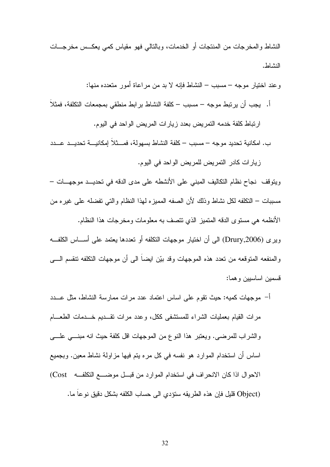النشاط والمخرجات من المنتجات أو الخدمات، وبالنالي فهو مقياس كمي يعكــس مخرجـــات النشاط

و عند اختيار موجه – مسبب – النشاط فإنه لا بد من مر اعاة أمور متعدده منها:

أ. يجب أن يرتبط موجه – مسبب – كلفة النشاط برابط منطقى بمجمعات النكلفة، فمثلاً

ارتباط كلفة خدمه النمريض بعدد زيارات المريض الواحد في اليوم.

ب. امكانية تحديد موجه – مسبب – كلفة النشاط بسهولة، فمـــثلا إمكانيـــة تحديـــد عـــدد

زيارات كادر النمريض للمريض الواحد في اليوم.

ويتوقف نجاح نظام التكاليف المبنى على الأنشطه على مدى الدقه في تحديــد موجهـــات – مسببات – التكلفه لكل نشاط وذلك لأن الصفه المميز ه لهذا النظام والتبي تفضله على غير ه من الأنظمه هي مستوى الدقه المتميز الذي نتصف به معلومات ومخرجات هذا النظام. وبر ي (Drury,2006) الى أن اختبار موجهات التكلفه أو تعددها بعتمد على أســـاس الكلفـــه والمنفعه المنوقعه من نعدد هذه الموجهات وقد بيّن ايضـاً الـي أن موجهات النكلفه ننقسم الــــي قسمبن اساسببن وهما:

أ– موجهات كميه: حيث نقوم على اساس اعتماد عدد مرات ممارسة النشاط، مثل عـــدد مرات القيام بعمليات الشراء للمستشفى ككل، وعدد مرات نقـــديم خـــدمات الطعــــام والشراب للمرضى. ويعتبر هذا النوع من الموجهات اقل كلفة حيث انه مبنــــى علــــى اساس أن استخدام المو ار د هو نفسه في كل مر ه بِنم فيها مز اولة نشاط معين. وبجميع الإحوال اذا كان الانحراف في استخدام الموارد من قبــل موضـــع التكلفــه Cost) (Object قليل فإن هذه الطريقه ستؤدي الى حساب الكلفه بشكل دقيق نوعا ما.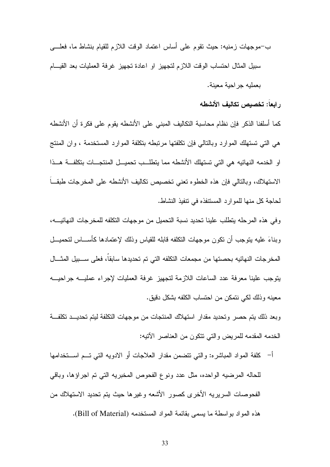رابعا: تخصيص تكاليف الأنشطه

كما أسلفنا الذكر فإن نظام محاسبة التكاليف المبنى على الأنشطه يقوم على فكرة أن الأنشطه هي التي تستهلك الموارد وبالتالي فإن تكلفتها مرتبطه بتكلفة الموارد المستخدمة ، وإن المنتج او الخدمه النهائيه هي التي تستهلك الأنشطه مما يتطلَّـب تحميــل المنتجـــات بتكلفـــة هـــذا الاستهلاك، وبالنالي فإن هذه الخطوه تعني تخصيص نكاليف الأنشطه على المخرجات طبقــاً لحاجة كل منها للموارد المستنفذه في تنفيذ النشاط.

وفي هذه المرحله يتطلب علينا تحديد نسبة التحميل من موجهات التكلفه للمخرجات النهائيــــه، وبناءَ عليه بنوجب أن نكون موجهات النكلفه قابله للقياس وذلك لإعتمادها كأســـاس لتحميـــل المخر جات النهائيه بحصتها من مجمعات التكلفه التي تم تحديدها سابقا، فعلى ســـبيل المثـــال يتوجب علينا معرفة عدد الساعات اللازمة لتجهيز غرفة العمليات لإجراء عمليــــه جراحيــــه معينه وذلك لكي نتمكن من احتساب الكلفه بشكل دقيق.

وبعد ذلك بنم حصر وتحديد مقدار استهلاك المنتجات من موجهات التكلفة ليتم تحديـــد تكلفـــة الخدمه المقدمه للمريض والتي نتكون من العناصر الآتيه:

أ– كلفة المو اد المباشر ه: و التي نتضمن مقدار العلاجات أو الادويه التي تـــم اســـتخدامها للحاله المرضيه الواحده، مثل عدد ونوع الفحوص المخبريه التي تم اجراؤها، وباقي الفحوصات السريريه الأخرى كصور الأشعه وغيرها حيث بتم تحديد الاستهلاك من هذه المواد بواسطة ما يسمى بقائمة المواد المستخدمه (Bill of Material).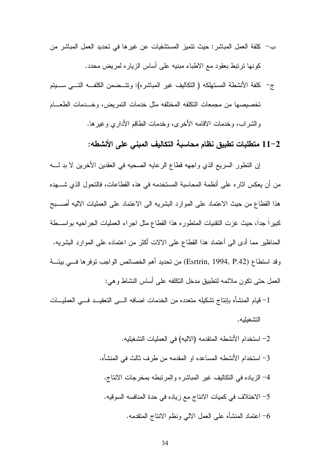- ب— كلفة العمل المباشر : حيث نتميز المستشفيات عن غير ها في تحديد العمل المباشر من كونها ترتبط بعقود مع الاطباء مبنيه على أساس الزياره لمريض محدد.
- ج– كلفة الأنشطة المستهلكه ( التكاليف غير المباشره): وتتــضمن الكلفــه التـــي ســـيتم تخصيصها من مجمعات النكلفه المختلفه مثل خدمات النمريض، وخـــدمات الطعـــام والشراب، وخدمات الاقامه الأخرى، وخدمات الطاقم الأداري وغيرها.

### 1–12 متطلبات تطبيق نظام محاسبة التكاليف المبنى على الأنشطه:

إن النطور السريع الذي واجهه قطاع الرعايه الصحيه في العقدين الأخرين لا بد لــــه من أن يعكس اثار ، على أنظمة المحاسبة المستخدمه في هذه القطاعات، فالتحول الذي شــــهده هذا القطاع من حيث الاعتماد على الموارد البشريه الى الاعتماد على العمليات الاليه أصــــبح كبيرًا جدًا، حيث غزت النقنيات المنطوره هذا القطاع مثل اجراء العمليات الجراحيه بواســطة المناظير مما أدى الى أعتماد هذا القطاع على الالات أكثر من اعتماده على الموارد البشريه. وقد استطاع (Esrtrin, 1994, P.42) من تحديد أهم الخصائص الواجب توفرها فـــي بيئــــة العمل حتى نكون ملائمه لنطبيق مدخل النكلفه على أساس النشاط وهي:

- 1– قيام المنشأه بإنتاج تشكيله متعدده من الخدمات اضافه الــــى التعقيـــد فــــى العمليـــات التشغبلبه.
	- 2– استخدام الأنشطه المتقدمه (الاليه) في العمليات النشغيليه. 3– استخدام الأنشطه المساعده او المقدمه من طرف ثالث في المنشأه. 4– الزياده في النكاليف غير المباشره والمرتبطه بمخرجات الانتاج. 5– الاختلاف في كميات الانتاج مع زياده في حدة المنافسه السوقيه. أحتماد المنشأه على العمل الالبي ونظم الانتاج المتقدمه – اعتماد المنشأه على العمل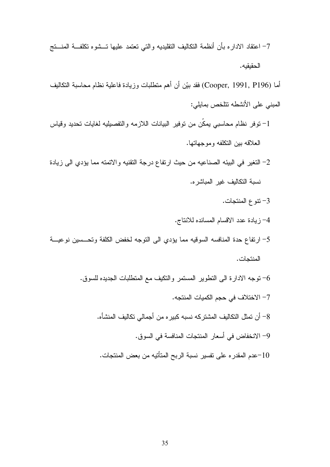7– اعتقاد الاداره بأن أنظمة التكاليف التقليديه والتي تعتمد عليها تسشوه تكلفة المنستج الحقيقيه.

أما (Cooper, 1991, P196) فقد بيّن أن أهم منطلبات وزيادة فاعلية نظام محاسبة النكاليف المبنى على الأنشطه تتلخص بمايلي:

- 1– نوفر نظام محاسبي يمكن من توفير البيانات اللازمه والتفصيليه لغايات تحديد وقياس العلاقه بين النكلفه وموجهاتها.
- 2– النغير في البيئه الصناعيه من حيث ارتفاع درجة النقنيه والاتمته مما يؤدي الى زيادة نسبة التكاليف غير المباشر ه.
	- 3– نتوع المنتجات.
	- 4- زيادة عدد الاقسام المسانده للانتاج.
- 5– ارتفاع حدة المنافسه السوقيه مما يؤدى الى التوجه لخفض الكلفة وتحسسين نوعيـــة المنتحات.
	- توجه الادارة الى التطوير المستمر والتكيف مع المتطلبات الجديده للسوق. [ص 7– الاختلاف في حجم الكميات المنتجه.
		- 8– أن تمثّل التكاليف المشتركه نسبه كبير ه من أجمالي تكاليف المنشأه.
			- 9– الانخفاض في أسعار المنتجات المنافسة في السوق.
		- عدم المقدر ، على نفسير نسبة الربح المتأتيه من بعض المنتجات.  $\!-10$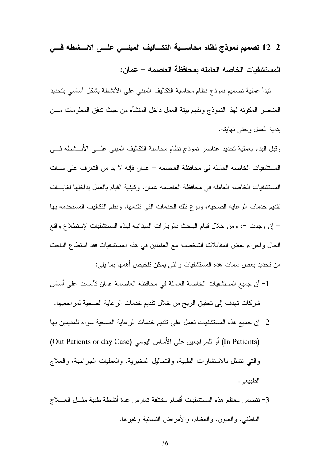12–2 تصميم نموذج نظام محاســبة التكـــاليف المبنـــي علـــي الأنـــشطه فـــي المستشفيات الخاصه العامله بمحافظة العاصمه – عمان:

تبدأ عملية تصميم نموذج نظام محاسبة التكاليف المبنى على الأنشطة بشكل أساسي بتحديد العناصر المكونه لهذا النموذج وبفهم ببيئة العمل داخل المنشأه من حيث ننفق المعلومات مـــن بداية العمل وحتى نهايته.

وقبل البدء بعملية تحديد عناصر نموذج نظام محاسبة النكاليف المبنى علسى الأنـــشطه فسى المستشفيات الخاصـه العامله في محافظة العاصمه – عمان فإنه لا بد من التعر ف على سمات المستشفيات الخاصه العامله في محافظة العاصمه عمان، وكيفية القيام بالعمل بداخلها لغايسات تقديم خدمات الرعايه الصحيه، ونوع تلك الخدمات التي تقدمها، ونظم التكاليف المستخدمه بها – إن وجدت –، ومن خلال قيام الباحث بالزيارات الميدانيه لمهذه المستشفيات لإستطلاع واقع الحال واجراء بعض المقابلات الشخصيه مع العاملين في هذه المستشفيات فقد استطاع الباحث من تحديد بعض سمات هذه المستشفيات والتي يمكن تلخيص أهمها بما يلي:

- 1– أن جميع المستشفيات الخاصة العاملة في محافظة العاصمة عمان تأسست على أساس شركات تهدف إلى تحقيق الربح من خلال تقديم خدمات الر عاية الصحية لمر اجعيها.
- 2– إن جميع هذه المستشفيات تعمل على تقديم خدمات الرعاية الصحية سواء للمقيمين بها (In Patients) أو للمراجعين على الأساس اليومي (Out Patients or day Case) و التي نتمثَّل بالاستشار ات الطبية، و التحاليل المخبر ية، و العمليات الجر احية، و العلاج الطبيعي.
- 3– تتضمن معظم هذه المستشفيات أقسام مختلفة تمارس عدة أنشطة طبية مثـــل العــــلاج الباطني، والعيون، والعظام، والأمراض النسائية وغيرها.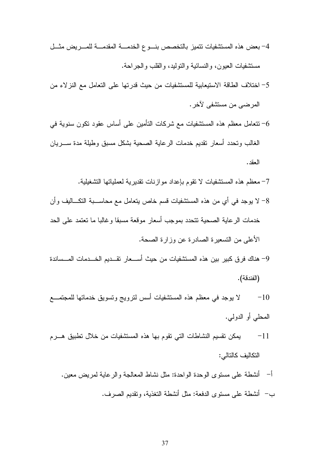- 4- بعض هذه المستشفيات نتميز بالتخصص بنوع الخدمة المقدمة للمسريض مثل مستشفيات العبون، والنسائية والتوليد، والقلب والجر احة.
- 5– اختلاف الطاقة الاستيعابية للمستشفيات من حيث قدرتها على التعامل مع النز لاء من المرضى من مستشفى لآخر .
- تتعامل معظم هذه المستشفيات مع شركات التأمين على أساس عقود نكون سنوية في  $\it -6$ الغالب وتحدد أسعار نقديم خدمات الر عاية الصحية بشكل مسبق وطيلة مدة ســـر يان العقد.
	- 7– معظم هذه المستشفيات لا نقوم بإعداد موازنات نقديرية لعملياتها التشغيلية.
- 8– لا يوجد في أي من هذه المستشفيات قسم خاص يتعامل مع محاســـبة التكـــاليف وأن خدمات الرعاية الصحية نتحدد بموجب أسعار موقعة مسبقا وغالبا ما تعتمد على الحد الأعلى من التسعير ة الصادر ة عن وز ار ة الصحة.
- 9– هناك فرق كبير بين هذه المستشفيات من حيث أســـعار نقـــديم الخـــدمات المـــساندة (الفندقة).
- لا يوجد في معظم هذه المستشفيات أسس لنزويج ونسويق خدماتها للمجتمـــع  $-10$ المحلبي أو الدولبي.
- يمكن تقسيم النشاطات التي تقوم بها هذه المستشفيات من خلال تطبيق هـــرم  $-11$ التكاليف كالتالي:
	- أ– أنشطة على مستوى الوحدة الواحدة: مثل نشاط المعالجة و الرعاية لمريض معين.
		- ب— أنشطة على مستوى الدفعة: مثل أنشطة التغذية، وتقديم الصرف.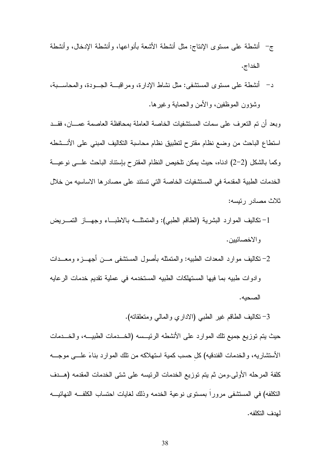- الخداج.
- د– أنشطة على مستوى المستشفى: مثل نشاط الإدارة، ومراقبـــة الجـــودة، والمحاســـبة، وشؤون الموظفين، والأمن والحماية وغيرها.

وبعد أن تم النعرف على سمات المستشفيات الخاصة العاملة بمحافظة العاصمة عمـــان، فقـــد استطاع الباحث من وضع نظام مقترح لتطبيق نظام محاسبة التكاليف المبنى على الأنـــشطه وكما بالشكل (2–2) ادناه، حيث يمكن تلخيص النظام المقترح بإستناد الباحث علسى نوعيسة الخدمات الطبية المقدمة في المستشفيات الخاصة التي تستند على مصادر ها الاساسيه من خلال ثلاث مصادر رئبسه:

- 1- نكاليف الموارد البشرية (الطاقم الطبي): والمنمثلـــه بالاطبـــاء وجهـــاز النمــــريض و الاخصائيين.
- 2– تكاليف موارد المعدات الطبيه: والمتمثله بأصول المستشفى مـــن أجهـــز ه ومعـــدات و ادو ات طبيه بما فيها المستهلكات الطبيه المستخدمه في عملية تقديم خدمات الر عايه الصحبه.

3- نكاليف الطاقم غير الطبي (الاداري والمالي ومنعلقانه).

حيث يتم توزيع جميع تلك الموارد على الأنشطه الرئيـــسه (الخـــدمات الطبيـــه، والخـــدمات الأستشار به، و الخدمات الفندقيه) كل حسب كمية استهلاكه من نلك المو ار د بناءَ علـــي موجـــه كلفة المرحله الأولى.ومن ثم يتم توزيع الخدمات الرئيسه على شتى الخدمات المقدمه (هــدف التكلفه) في المستشفى مرورًا بمستوى نوعية الخدمه وذلك لغايات احتساب الكلفــه النهائيـــه لهدف التكلفه.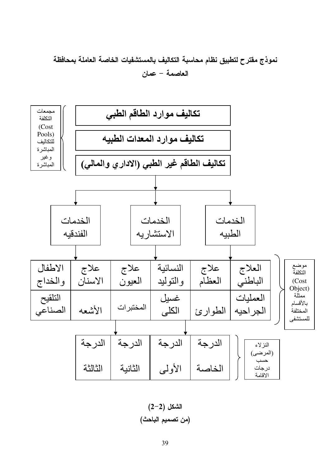## نموذج مقترح لتطبيق نظام محاسبة التكاليف بالمستشفيات الخاصة العاملة بمحافظة العاصمة – عمان



 $(2-2)$  الشكل (من تصميم الباحث)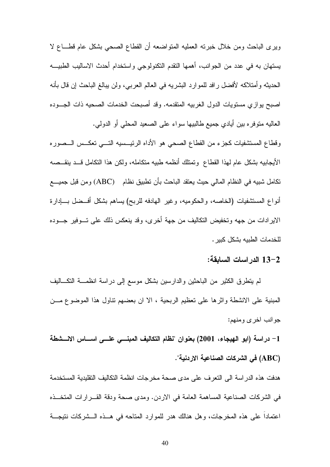ويرى الباحث ومن خلال خبرته العمليه المتواضعه أن القطاع الصحى بشكل عام قطـــاع لا يستهان به في عدد من الجوانب، أهمها التقدم التكنولوجي واستخدام أحدث الاساليب الطبيـــه الحديثه وأمتلاكه لأفضل رافد للموارد البشريه في العالم العربـي، ولن يبالـغ البـاحث إن قال بأنـه اصبح يوازي مستويات الدول الغربيه المتقدمه. وقد أصبحت الخدمات الصحيه ذات الجـــوده العاليه منوفره بين أيادي جميع طالبيها سواء على الصعيد المحلبي أو الدولبي.

وقطاع المستشفيات كجزء من القطاع الصحى هو الأداه الرئيـــسيه التــــي تعكـــس الـــصوره الأيجابيه بشكل عام لهذا القطاع وتمتلك أنظمه طبيه متكامله، ولكن هذا النكامل قـــد ينقـــصـه تكامل شبيه في النظام المالي حيث يعتقد الباحث بأن تطبيق نظام (ABC) ومن قبل جميـــع أنواع المستشفيات (الخاصه، والحكوميه، وغير الهادفه للربح) يساهم بشكل أفــضل بـــادارة الايرادات من جهه وتخفيض النكاليف من جهة أخرى، وقد ينعكس ذلك على تـوفير جــوده للخدمات الطبيه بشكل كبير .

### 13–2 الدر اسات السابقة:

لم يتطرق الكثير من الباحثين والدارسين بشكل موسع إلى دراسة انظمــــة التكــــاليف المبنية على الانشطة وإثرها على تعظيم الربحية ، الا ان بعضهم نتاول هذا الموضوع مـــن جوانب اخر ي ومنهم:

1– دراسة (ابو الـهيجاء، 2001) بعنوان "نظام التكاليف المبنـــي علـــي اســــاس الاــــشطة (ABC) في الشركات الصناعية الاردنية".

هدفت هذه الدراسة الى النعرف على مدى صحة مخرجات انظمة التكاليف النقليدية المستخدمة في الشركات الصناعية المساهمة العامة في الاردن. ومدى صحة ودقة القـــرارات المتخـــذه اعتماداً على هذه المخرجات، وهل هنالك هدر للموارد المتاحه في هــذه الـــشركات نتيجـــة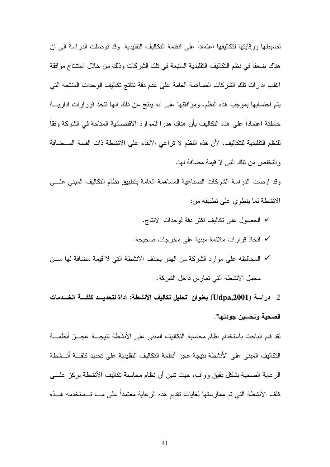لضبطها ورقابتها لتكاليفها اعتماداً على انظمة التكاليف التقليدية. وقد توصلت الدراسة الـي ان هناك ضعفاً في نظم التكاليف التقليدية المتبعة في تلك الشركات وذلك من خلال استتناج موافقة اغلب ادارات نلك الشركات المساهمة العامة على عدم دفة نتائج تكاليف الوحدات المنتجه التي يتم احتسابها بموجب هذه النظم، وموافقتها على انه ينتج عن ذلك انها نتخذ قررارات اداريــــة خاطئة اعتمادا على هذه التكاليف بأن هناك هدرا للموارد الاقتصادية المتاحة في الشركة وفقا للنظم التقليدية للتكاليف، لأن هذه النظم لا تراعي الابقاء على الانشطة ذات القيمة المــضافة والتخلص من نلك التي لا قيمة مضافة لها.

وقد اوصت الدر اسة الشركات الصناعية المساهمة العامة بتطبيق نظام التكاليف المبنى علسى الانشطة لما ينطوى على تطبيقه من:

- √ الحصول على تكاليف اكثر دقة لوحدات الانتاج.
- √ اتخاذ قر ار ات ملائمة مبنية على مخر جات صحيحة.
- √ المحافظه على موارد الشركة من الهدر بحذف الانشطة التي لا قيمة مضافة لها مـــن مجمل الانشطة التي تمارس داخل الشركة.

2– دراسة (Udpa,2001) بعنوان "تحليل تكاليف الأنشطة: اداة لتحديــد كلفـــة الخـــدمات الصحية وتحسين جودتها".

لقد قام الباحث باستخدام نظام محاسبة التكاليف المبنى على الأنشطة نتيجـــة عجـــز أنظمـــة التكاليف المبنى على الأنشطة نتيجة عجز أنظمة التكاليف التقليدية على تحديد كلفـــة أنـــشطة الرعاية الصحية بشكل دقيق ووافءٍ، حيث تبين أن نظام محاسبة تكاليف الأنشطة بركز علــــى كلف الأنشطة التي تم ممارستها لغايات تقديم هذه الرعاية معتمداً على مـــا تــستخدمه هـــذه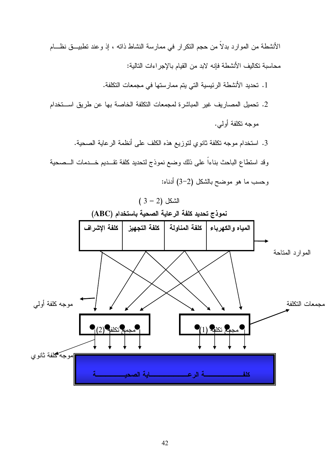

- 1. تحديد الأنشطة الرئيسية التي يتم ممارستها في مجمعات التكلفة.
- 2. تحميل المصاريف غير المباشرة لمجمعات التكلفة الخاصة بها عن طريق استخدام موجه نكلفة أولى.
- 3. استخدام موجه نكلفة ثانوي لتوزيع هذه الكلف على أنظمة الرعاية الصحية. وقد استطاع الباحث بناءاً على ذلك وضع نموذج لتحديد كلفة تقــديم خـــدمات الـــصحية وحسب ما هو موضح بالشكل (2–3) أدناه:

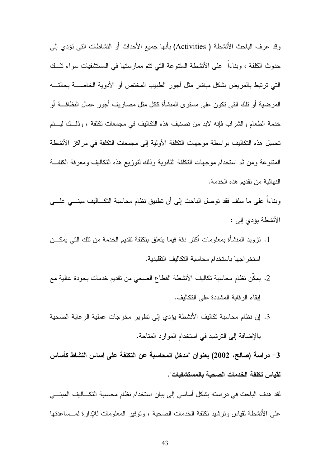وقد عرف الباحث الأنشطة ( Activities) بأنها جميع الأحداث أو النشاطات التي نؤدي إلى حدوث الكلفة ، وبناءاً ً على الأنشطة المتنوعة التي تتم ممارستها في المستشفيات سواء نلَّــك التي ترتبط بالمريض بشكل مباشر مثل أجور الطبيب المختص أو الأدوية الخاصـــــة بحالتــــه المرضية أو نلك التي نكون على مستوى المنشأة ككل مثل مصاريف أجور عمال النظافـــة أو خدمة الطعام والشراب فإنه لابد من تصنيف هذه التكاليف في مجمعات تكلفة ، وذلــك ليــتم تحميل هذه التكاليف بواسطة موجهات التكلفة الأولية إلى مجمعات التكلفة في مراكز الأنشطة المنتوعة ومن ثم استخدام موجهات التكلفة الثانوية وذلك لتوزيع هذه التكاليف ومعرفة الكلفة النهائية من تقديم هذه الخدمة.

وبناءا على ما سلف فقد نوصل الباحث إلى أن نطبيق نظام محاسبة النكـــاليف مبنــــى علــــى الأنشطة يؤدي إلى :

- 1. نزويد المنشأة بمعلومات أكثر دقة فيما يتعلق بتكلفة تقديم الخدمة من تلك التي يمكـــن استخر اجها باستخدام محاسبة التكاليف التقليدية.
- 2. يمكّن نظام محاسبة تكاليف الأنشطة القطاع الصحى من تقديم خدمات بجودة عالية مع ابقاء الر قابة المشددة على التكاليف.
- 3. إن نظام محاسبة تكاليف الأنشطة يؤدي إلى نطوير مخرجات عملية الرعاية الصحية بالإضافة إلى النرشيد في استخدام الموارد المتاحة.

3– دراسة (صالح، 2002) بعنوان "مدخل المحاسبة عن التكلفة على اساس النشاط كأساس لقباس تكلفة الخدمات الصحية بالمستشفيات".

لقد هدف الباحث في در استه بشكل أساسي إلى بيان استخدام نظام محاسبة التكـــاليف المبنــــي على الأنشطة لقياس وترشيد تكلفة الخدمات الصحية ، وتوفير المعلومات للإدارة لمـــساعدتها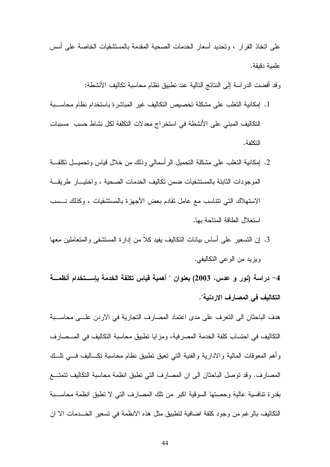على اتخاذ القرار ، وتحديد أسعار الخدمات الصحية المقدمة بالمستشفيات الخاصة على أسس علمية دقيقة.

- وقد أفضت الدراسة إلى النتائج التالية عند نطبيق نظام محاسبة نكاليف الأنشطة:
- 1. إمكانية النغلب على مشكلة تخصيص النكاليف غير المباشرة باستخدام نظام محاســـبة التكاليف المبنى على الأنشطة في استخر اج معدلات التكلفة لكل نشاط حسب مسببات التكلفة.
- 2. إمكانية النغلب على مشكلة النحميل الرأسمالي وذلك من خلال فياس ونحميـــل نكلفـــة الموجودات الثابتة بالمستشفيات ضمن تكاليف الخدمات الصحية ، واختيـــار طريقـــة الاستهلاك التي نتتاسب مع عامل نقادم بعض الأجهزة بالمستثنفيات ، وكذلك نـــسب استغلال الطاقة المتاحة بها.
- 3. إن التسعير على أساس بيانات التكاليف يفيد كلا من إدارة المستشفى والمتعاملين معها ويزيد من الوعي النكاليفي.

4– دراسة (نور و عدس، 2003) بعنوان " أهمية قياس تكلفة الخدمة بإســـتخدام أنظمـــة التكاليف في المصارف الاردنية".

هدف الباحثان الى التعرف على مدى اعتماد المصارف التجارية في الاردن علـــى محاســـبة التكاليف في احتساب كلفة الخدمة المصرفية، ومزايا تطبيق محاسبة التكاليف في المــصارف وأهم المعوفات المالية والادارية والفنية التبي نعيق نطبيق نظام محاسبة نكـــاليف فـــي نلـــك المصـار ف. وقد توصل البـاحثان الـى ان المصـار ف التـى تطبق انظمة محاسبة التكاليف تتمتـــع بقدرة نتافسية عالية وحصنها السوفية اكبر من نلك المصارف التي لا نطبق انظمة محاســـبة النكاليف بالرغم من وجود كلفة اضافية لتطبيق مثل هذه الانظمة في تسعير الخـــدمات الا ان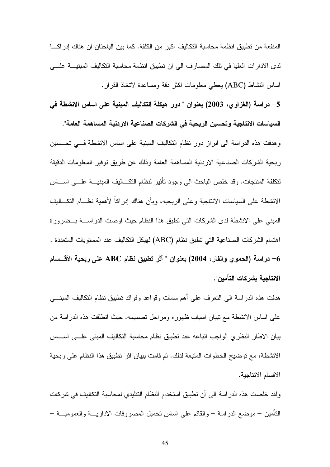المنفعة من تطبيق انظمة محاسبة التكاليف اكبر من الكلفة. كما بين الباحثان ان هناك إدراكـــا لدى الادارات العليا في تلك المصارف الى ان تطبيق انظمة محاسبة التكاليف المبنيــــة علــــي اساس النشاط (ABC) بعطي معلومات اكثر دقة ومساعدة لاتخاذ القرار.

5– دراسة (الغزاوي، 2003) بعنوان " دور هيكلة التكاليف المبنية على اساس الانشطة في السياسات الانتاجية وتحسين الربحية في الشركات الصناعية الاردنية المساهمة العامة". و هدفت هذه الدر اسة الى ابر از دور نظام التكاليف المبنية على اساس الانشطة فـــى تحـــسين

ربحية الشركات الصناعية الاردنية المساهمة العامة وذلك عن طريق توفير المعلومات الدقيقة لتكلفة المنتجات. وقد خلص الباحث الى وجود نأثير لنظام النكـــاليف المبنيـــة علــــى اســــاس الانشطة على السياسات الانتاجية وعلى الربحيه، وبأن هناك إدراكا لأهمية نظـــام النكـــاليف المبنى على الانشطة لدى الشركات التي نطبق هذا النظام حيث اوصت الدراســـة بـــضرورة اهتمام الشركات الصناعية التي تطبق نظام (ABC) لهيكل التكاليف عند المستويات المتعددة . 6– دراسة (الحموي والفار، 2004) بعنوان " أثر تطبيق نظام ABC على ربحية الأقـــسام الانتاجية بشر كات التأمين".

هدفت هذه الدراسة الى النعرف على أهم سمات وقواعد وفوائد نطبيق نظام النكاليف المبنسي على اساس الانشطة مع نبيان اسباب ظهوره ومراحل نصميمه. حيث انطلقت هذه الدراسة من بيان الاطار النظري الواجب انباعه عند نطبيق نظام محاسبة النكاليف المبنى علسى اسساس الانشطة، مع توضيح الخطوات المتبعة لذلك. ثم قامت ببيان اثر تطبيق هذا النظام على ربحية الاقسام الانتاجية.

ولقد خلصت هذه الدراسة الى أن تطبيق استخدام النظام التقليدي لمحاسبة التكاليف في شركات التأمين – موضع الدراسة – والقائم على اساس نحميل المصروفات الاداريــــة والعموميــــة –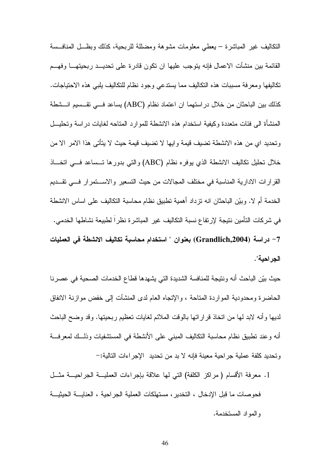النكاليف غير المباشرة – يعطي معلومات مشوهة ومضللة للربحية، كذلك وبظـل المنافــسة القائمة بين منشآت الاعمال فإنه يتوجب عليها ان نكون قادرة على تحديـــد ربحيتهـــا وفهـــم تكاليفها ومعرفة مسببات هذه النكاليف مما يستدعي وجود نظام للتكاليف يلبي هذه الاحتياجات. كذلك بين الباحثان من خلال در استهما ان اعتماد نظام (ABC) بساعد فـــي تقـــسيم انـــشطة المنشأة الى فئات متعددة وكيفية استخدام هذه الانشطة للموارد المتاحه لغايات در اسة وتحليــل وتحديد اي من هذه الانشطة تضيف قيمة وايها لا تضيف قيمة حيث لا يتأتي هذا الامر الا من خلال تحليل تكاليف الانشطة الذي يوفره نظام (ABC) والتي بدورها تــساعد فـــي اتخـــاذ القرارات الادارية المناسبة في مختلف المجالات من حيث التسعير والاســـتمرار فـــي تقـــديم الخدمة أم لا. وبيّن الباحثان انه نزداد أهمية تطبيق نظام محاسبة التكاليف على اساس الانشطة في شركات التأمين نتيجة لإرتفاع نسبة التكاليف غير المباشرة نظرا لطبيعة نشاطها الخدمي. 7– دراسة (Grandlich,2004) بعنوان " استخدام محاسبة تكاليف الانشطة في العمليات الجر احية".

حيث بيّن الباحث أنه ونتيجة للمنافسة الشديدة التي يشهدها قطاع الخدمات الصحية في عصرنا الحاضرة ومحدودية المواردة المتاحة ، والإتجاه العام لدى المنشآت إلى خفض موازنة الانفاق لديها وأنه لابد لها من انخاذ قراراتها بالوقت الملائم لغايات نعظيم ربحيتها. وقد وضح الباحث أنه و عند تطبيق نظام محاسبة التكاليف المبنى على الأنشطة في المستشفيات وذلـــك لمعر فـــة وتحديد كلفة عملية جراحية معينة فإنه لا بد من تحديد الإجراءات التالية:-

1. معرفة الأقسام ( مراكز الكلفة) التي لها علاقة بإجراءات العمليــة الجراحيــة مثــل فحوصات ما قبل الإدخال ، التخدير ، مستهلكات العملية الجراحية ، العنايـــة الحيثيـــة و المو اد المستخدمة.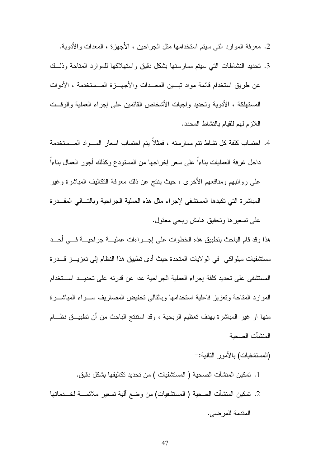- 2. معرفة الموارد التي سيتم استخدامها مثل الجراحين ، الأجهزة ، المعدات والأدوية.
- 3. نحديد النشاطات التي سيتم ممارستها بشكل دقيق واستهلاكها للموارد المتاحة وذلبك عن طريق استخدام قائمة مواد نبسين المعسدات والأجهسزة المسستخدمة ، الأدوات المستهلكة ، الأدوية وتحديد واجبات الأشخاص القائمين على إجراء العملية والوقــت اللاز م لهم للقيام بالنشاط المحدد .
- 4. احتساب كلفة كل نشاط نتم ممارسته ، فمثلاً بتم احتساب اسعار المسواد المسستخدمة داخل غرفة العمليات بناءاً على سعر إخراجها من المستودع وكذلك أجور العمال بناءاً على رواتبهم ومنافعهم الأخرى ، حيث بنتج عن ذلك معرفة التكاليف المباشرة وغير المباشرة التي نكبدها المستشفى لإجراء مثل هذه العملية الجراحية وبالتسالي المقسدرة على تسعيرها وتحقيق هامش ربحي معقول.

هذا وقد قام الباحث بتطبيق هذه الخطوات على إجـــر اءات عمليــــة جر احيــــة فــــى أحـــد مستشفيات ميلواكي. في الو لايات المتحدة حيث أدى تطبيق هذا النظام إلى تعزيـــز قـــدر ة المستشفى على تحديد كلفة إجراء العملية الجر احية عدا عن قدر ته على تحديــد اســـتخدام الموارد المتاحة وتعزيز فاعلية استخدامها وبالتالي تخفيض المصاريف سـواء المباشـــرة منها او غير المباشرة بهدف تعظيم الربحية ، وقد استتتج الباحث من أن تطبيـــق نظــــام المنشآت الصحبة

(المستشفيات) بالأمور التالية:-1. تمكين المنشآت الصحية ( المستشفيات ) من تحديد تكاليفها بشكل دقيق. 2. تمكين المنشآت الصحية ( المستشفيات) من وضع آلية تسعير ملائمــــة لخــــدماتها المقدمة للمرضى.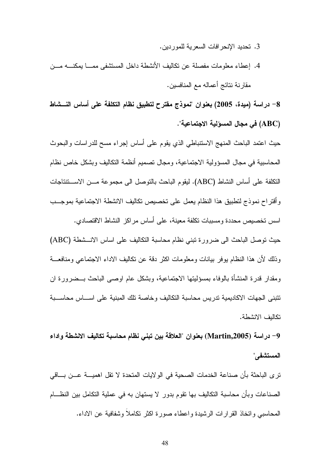3. تحديد الإنحر افات السعر ية للمور دين.

4. إعطاء معلومات مفصلة عن تكاليف الأنشطة داخل المستشفى ممـــا بمكنــــه مـــن مقارنة نتائج أعماله مع المنافسين.

8– دراسة (ميدة، 2005) بعنوان "نموذج مقترح لتطبيق نظام التكلفة على أساس النـــشاط (ABC) في مجال المسؤلية الاجتماعية".

حيث اعتمد الباحث المنهج الاستنباطي الذي يقوم على أساس إجراء مسح للدر اسات والبحوث المحاسبية في مجال المسؤولية الاجتماعية، ومجال تصميم أنظمة التكاليف وبشكل خاص نظام النكلفة على أساس النشاط (ABC). ليقوم الباحث بالتوصل الى مجموعة مـــن الاســـتنتاجات وأقتراح نموذج لنطبيق هذا النظام يعمل علىي نخصيص نكاليف الانشطة الاجتماعية بموجـــب اسس تخصيص محددة ومسببات نكلفة معينة، على أساس مراكز النشاط الاقتصادي. حيث توصل الباحث الى ضرورة تبني نظام محاسبة التكاليف على اساس الانـــشطة (ABC) وذلك لأن هذا النظام يوفر بيانات ومعلومات اكثر دقة عن نكاليف الاداء الاجتماعي ومنافعـــة ومقدار قدرة المنشأة بالوفاء بمسؤليتها الاجتماعية، وبشكل عام اوصبي الباحث بـــضرورة ان

تتبنى الجهات الاكاديمية تدريس محاسبة التكاليف وخاصة تلك المبنية على اســـاس محاســـبة تكالبف الانشطة.

9– در اسة (Martin,2005) بعنو ان "العلاقة بين تبني نظام محاسبة تكاليف الانشطة و اداء المستشفى"

تر ي الباحثة بأن صناعة الخدمات الصحية في الولايات المتحدة لا تقل اهميـــة عـــن بـــاقي الصناعات وبأن محاسبة التكاليف بها نقوم بدور لا يستهان به في عملية التكامل بين النظـــام المحاسبي وانخاذ القرارات الرشيدة واعطاء صورة اكثر نكاملا وشفافية عن الاداء.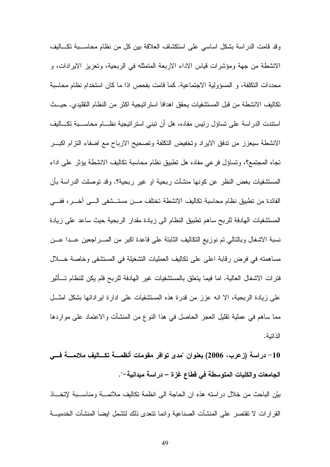وقد قامت الدراسة بشكل اساسى على استكشاف العلاقة بين كل من نظام محاســـبة تكـــاليف الانشطة من جهة ومؤشرات قياس الاداء الاربعة المتمثله في الربحية، وتعزيز الايرادات، و محددات النكلفة، و المسؤولية الاجتماعية. كما قامت بفحص اذا ما كان استخدام نظام محاسبة تكاليف الانشطة من قبل المستشفيات يحقق اهدافا استر اتيجية اكثر من النظام التقليدي. حيـــث استندت الدراسة على تساؤل رئيس مفاده، هل أن نبني استر انيجية نظـــام محاســـبة تكـــاليف الانشطة سيعزز من تدفق الايراد وتخفيض التكلفة وتصحيح الارباح مع اضفاء التزام اكبـــر تجاه المجتمع؟، وتساؤل فرعي مفاده هل تطبيق نظام محاسبة تكاليف الانشطة يؤثر على اداء المستشفيات بغض النظر عن كونها منشآت ربحية او غير ربحية؟. وقد توصلت الدراسة بأن الفائدة من تطبيق نظام محاسبة تكاليف الانشطة تختلف مـــن مستـــشفي الــــي آخـــر ، ففـــي المستشفيات الهادفة للربح ساهم نطبيق النظام الى زيادة مقدار الربحية حيث ساعد على زيادة نسبة الاشغال وبالتالي تم نوزيع التكاليف الثابتة على قاعدة اكبر من المسر اجعين عسدا عسن مساهمته في فرض رقابة اعلى على نكاليف العمليات التشغيلة في المستشفى وخاصة خـــلال فترات الاشغال العالية. اما فيما يتعلق بالمستشفيات غير الهادفة للربح فلم يكن للنظام تـــأثير على زيادة الربحية، الا انه عزز من قدرة هذه المستشفيات على ادارة ابر اداتها بشكل امثـــل مما ساهم في عملية نقليل العجز الحاصل في هذا النوع من المنشآت والاعتماد على مواردها الذاتنة.

10– دراسة (زعرب، 2006) بعنوان "مدى توافر مقومات أنظمــــة تكــــاليف ملائمــــة فــــى الجامعات والكليات المتوسطة في قطاع غزة – دراسة ميدانية–".

بيّن الباحث من خلال دراسته هذه ان الحاجة الى انظمة تكاليف ملائمــــة ومناســـبة لإتخـــاذ القرارات لا تقتصر على المنشآت الصناعية وإنما نتعدى ذلك لتشمل ايضاً المنشآت الخدميـــة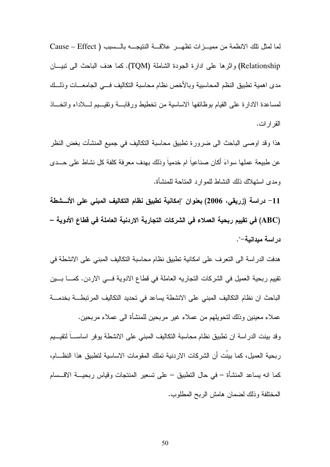لما لمثل تلك الانظمة من مميــزات تظهــر علاقـــة النتيجـــه بالـــسبب ( Cause – Effect Relationship) واثرها على ادارة الجودة الشاملة (TQM). كما هدف الباحث الى نبيـــان مدى اهمية تطبيق النظم المحاسبية وبالأخص نظام محاسبة النكاليف فسى الجامعسات وذلسك لمساعدة الادارة على القيام بوظائفها الاساسية من تخطيط ورقابسة وتقيسيم لسلاداء واتخساذ القر ار ات.

هذا وقد اوصبي الباحث الى ضرورة تطبيق محاسبة التكاليف في جميع المنشأت بغض النظر عن طبيعة عملها سواءَ أكان صناعيا ام خدميا وذلك بهدف معرفة كلفة كل نشاط على حـــدى ومدى استهلاك ذلك النشاط للمو ار د المتاحة للمنشأة.

11– دراسة (زريقي، 2006) بعنوان "إمكانية تطبيق نظام التكاليف المبنى على الأنـــشطة (ABC) في تقييم ربحية العملاء في الشركات التجارية الاردنية العاملة في قطاع الأدوية — در اسة مدانية-".

هدفت الدراسة الى التعرف على امكانية تطبيق نظام محاسبة التكاليف المبنى على الانشطة في تقييم ربحية العميل في الشركات التجاريه العاملة في قطاع الادوية فـــي الاردن. كمــــا بـــين الباحث ان نظام التكاليف المبنى على الانشطة يساعد في تحديد التكاليف المرتبطــــة بخدمــــة عملاء معينين وذلك لتحويلهم من عملاء غير مربحين للمنشأة الى عملاء مربحين. وقد ببنت الدراسة ان نطبيق نظام محاسبة النكاليف المبنى على الانشطة يوفر اساســــاً لنقيـــيم ر بحية العميل، كما بينت أن الشر كات الار دنية تملك المقومات الاساسية لتطبيق هذا النظـــام، كما انه يساعد المنشأة – في حال النطبيق – على نسعير المنتجات وقياس ربحيــــة الاقـــسام المختلفة وذلك لضمان هامش الربح المطلوب.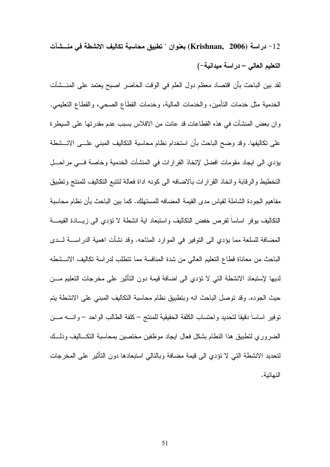12– دراسة (Krishnan, 2006) بعنوان " تطبيق محاسبة تكاليف الانشطة في منـــشآت التعليم العالى – دراسة ميدانية–)

لقد بين الباحث بأن اقتصاد معظم دول العلم في الوقت الحاضر اصبح يعتمد على المنـــشآت الخدمية مثل خدمات التأمين، والخدمات المالية، وخدمات القطاع الصحبي، والقطاع النعليمي. وان بعض المنشآت في هذه القطاعات قد عانت من الافلاس بسبب عدم مقدرتها على السيطرة على تكاليفها. وقد وضح الباحث بأن استخدام نظام محاسبة التكاليف المبنى علـــى الانـــشطة يؤدي الى ايجاد مقومات افضل لإتخاذ القرارات في المنشآت الخدمية وخاصة في مراحــل التخطيط والرقابة واتخاذ القرارات بالاضافه الى كونه اداة فعالة لتتبع التكاليف للمنتج وتطبيق مفاهيم الجودة الشاملة لقياس مدى القيمة المضافه للمستهلك. كما بين الباحث بأن نظام محاسبة النكاليف يوفر اساساً لفرص خفض النكاليف واستبعاد اية انشطة لا نؤدي الىي زيـــادة القيمــــة المضافة للسلعة مما بؤدي الى النوفير في الموارد المناحه. وقد نشأت اهمية الدراســـة لـــدى الباحث من معاناة قطاع التعليم العالي من شدة المنافسة مما نتطلب لدراسة تكاليف الانسشطه لديها لإستبعاد الانشطة التي لا تؤدي الى اضافة قيمة دون التأثير على مخرجات التعليم مـــن حيث الجوده. وقد توصل الباحث انه وبتطبيق نظام محاسبة التكاليف المبنى على الانشطة يتم توفير اساسا دقيقا لتحديد واحتساب الكلفة الحقيقية للمنتج – كلفة الطالب الواحد – وانسـه مـــن الضروري لتطبيق هذا النطام بشكل فعال ايجاد موظفين مختصبن بمحاسبة التكساليف وذلسك لتحديد الانشطة التي لا نؤدي الى قيمة مضافة وبالتالي استبعادها دون التأثير على المخرجات النهائية.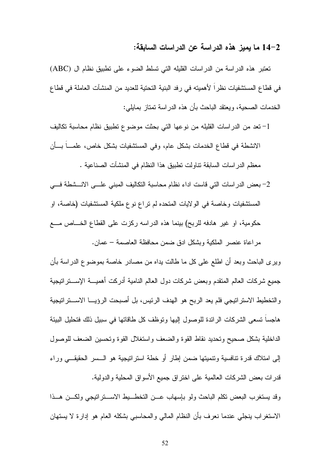### 14–2 ما يميز. هذه الدراسة عن الدراسات السابقة:

تعتبر هذه الدراسة من الدراسات القليله التي تسلط الضوء على تطبيق نظام ال (ABC) في قطاع المستشفيات نظرا لأهميته في رفد البنية التحتية للعديد من المنشآت العاملة في قطاع الخدمات الصحية، ويعتقد الباحث بأن هذه الدراسة تمتاز بمايلي:

- 1- نعد من الدراسات القليله من نوعها التي بحثت موضوع نطبيق نظام محاسبة نكاليف الانشطة في قطاع الخدمات بشكل عام، وفي المستشفيات بشكل خاص، علمـــاً بـــأن معظم الدراسات السابقة نتاولت نطبيق هذا النظام في المنشآت الصناعية .
- 2– بعض الدر اسات التي قاست اداء نظام محاسبة التكاليف المبنى علـــي الانـــشطة فـــي المستشفيات وخاصة في الولايات المتحده لم تراع نوع ملكية المستشفيات (خاصة، او حكومية، او غير هادفه للربح) بينما هذه الدراسه ركزت على القطاع الخـــاص مــــع مر اعاة عنصر الملكية وبشكل ادق ضمن محافظة العاصمة – عمان.

وير ي الباحث وبعد أن اطلع على كل ما طالت يداه من مصادر خاصة بموضوع الدراسة بأن جميع شركات العالم المنقدم وبعض شركات دول العالم النامية أدركت أهميــــة الإســــنر اتيجية و التخطيط الاستر اتيجي فلم يعد الربح هو الهدف الرئيس، بل أصبحت الرؤيسا الاســـتر اتيجية هاجسا نسعى الشركات الرائدة للوصول إليها ونوظف كل طاقاتها في سبيل ذلك فتحليل البيئة الداخلية بشكل صحيح وتحديد نقاط القوة والضعف واستغلال القوة وتحسين الضعف للوصول إلى امتلاك قدرة تنافسية ونتميتها ضمن إطار أو خطة استرانيجية هو الــــسر الحقيقـــي وراء قدرات بعض الشركات العالمية على اختراق جميع الأسواق المحلية والدولية.

وقد يستغرب البعض نكلم الباحث ولمو بإسهاب عـــن التخطـــيط الاســـنر انبيجي ولكـــن هـــذا الاستغراب ينجلي عندما نعرف بأن النظام المالي والمحاسبي بشكله العام هو إدارة لا يستهان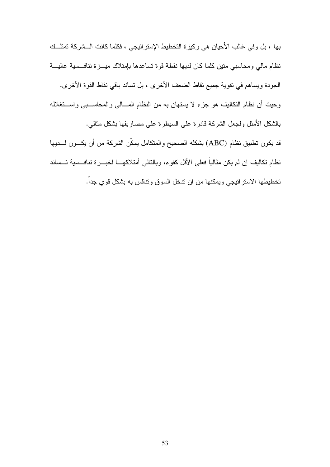بها ، بل وفي غالب الأحيان هي ركيزة التخطيط الإستراتيجي ، فكلما كانت الـــشركة تمتلــك نظام مالي ومحاسبي منين كلما كان لديها نقطة قوة تساعدها بإمتلاك ميـــزة تنافــسية عاليـــة الجودة ويساهم في نقوية جميع نقاط الضعف الأخرى ، بل نساند باقي نقاط القوة الأخرى. وحيث أن نظام النكاليف هو جزء لا يستهان به من النظام المسالي والمحاسـبي واســـنغلاله بالشكل الأمثل ولجعل الشركة قادرة على السيطرة على مصاريفها بشكل مثالبي. قد يكون تطبيق نظام (ABC) بشكله الصحيح والمتكامل يمكِّن الشركة من أن يكـــون لــــديها نظام تكاليف إن لم يكن مثالياً فعلى الأقل كفوء، وبالنالـي أمتلاكـهــــا لخبـــــرة تنافـــسية تـــساند تخطيطها الاستراتيجي ويمكنها من ان ندخل السوق ونتافس به بشكل قوى جداً.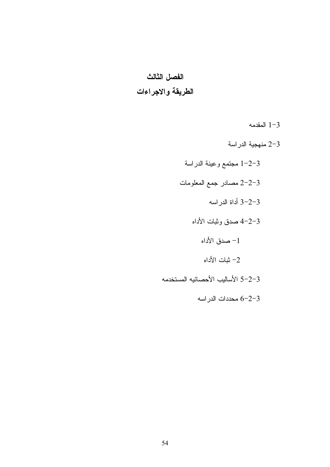# الفصل الثالث الطريقة والاجراءات

 $1 - 3$ المقدمه

- 2-3 منهجية الدراسة
- 1–2–3 مجتمع وعينة الدراسة 2-2-3 مصادر جمع المعلومات 3-2-3 أداة الدراسه 4-2-3 صدق وثبات الأداه 1– صدق الأداه 2– ثبات الأداه 3–2–5 الأساليب الأحصائيه المستخدمه
	- محددات الدراسه  $6-2-3$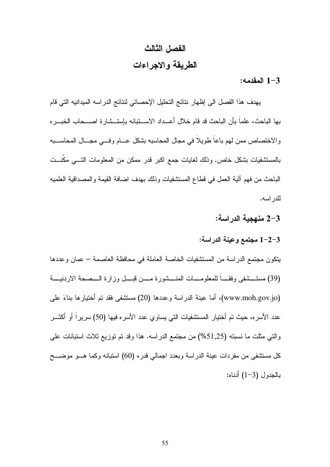# الفصل الثالث الطريقة والاجراءات

### المقدمه:  $1 - 3$

يهدف هذا الفصل الى إظهار نتائج التحليل الإحصائي لنتائج الدراسه الميدانيه التي قام بها الباحث، علماً بأن الباحث قد قام خلال أعــداد الاســـتبانه بإستــشار ة اصــــحاب الخبـــر ه والاختصاص ممن لهم باعاً طويلاً في مجال المحاسبه بشكل عـــام وفـــي مجـــال المحاســـبه بالمستشفيات بشكل خاص. وذلك لغايات جمع اكبر قدر ممكن من المعلومات التسبي مكَّنـــت الباحث من فهم ألية العمل في قطاع المستشفيات وذلك بهدف اضافة القيمة والمصداقية العلميه للدر اسه.

- 2-3 منهجية الدراسة:
- 1-2-3 مجتمع وعينة الدراسة:

يتكون مجتمع الدراسة من المستشفيات الخاصة العاملة في محافظة العاصمة – عمان وعددها (39) مستــــشفي وفقـــــاً للمعلومـــــات المنــــشورة مــــن قبــــل وزارة الــــصـحة الاردنيــــة (www.moh.gov.jo)، أما عينة الدراسة وعددها (20) مستشفى فقد تم أختيارها بناءَ على عدد الأسره، حيث تم أختيار المستشفيات التي يساوي عدد الأسره فيها (50) سريراً أو أكثـــر والتي مثلت ما نسبته (51,25%) من مجتمع الدراسه. هذا وقد تم توزيع ثلاث استبانات على كل مستشفى من مفردات عينة الدراسة وبعدد اجمالي قدره (60) استبانه وكما هـــو موضــــح بالجدول (3-1) أدناه: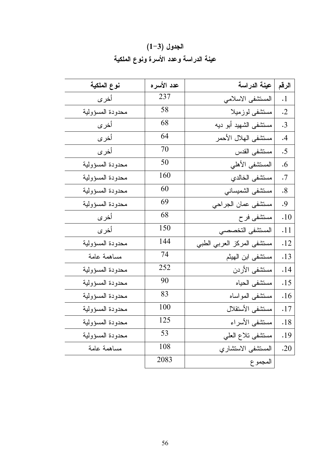| نوع الملكية        | عدد الأسر ه | عينة الدراسة               | الرقم      |
|--------------------|-------------|----------------------------|------------|
| أخرى               | 237         | المستشفى الاسلامى          | $\cdot$ 1  |
| محدودة المسؤولية   | 58          | مستشفى لوزميلا             | $\cdot$ .2 |
| أخرى               | 68          | مستشفى الشهيد أبو ديه      | $\cdot$ 3  |
| أخرى               | 64          | مستشفى الهلال الأحمر       | .4         |
| أخرى               | 70          | مستشفى القدس               | $\cdot$ 5  |
| محدودة المسؤولية   | 50          | المستشفى الأهلى            | .6         |
| محدودة المسؤولية   | 160         | مستشفى الخالدي             | .7         |
| محدودة المسؤولية   | 60          | مستشفى الشميساني           | $\cdot$ 8  |
| محدودة المسؤولية   | 69          | مستشفى عمان الجراحى        | .9         |
| أخرى               | 68          | مستشفى فر ح                | .10        |
| أخرى               | 150         | المستشفى التخصصي           | .11        |
| محدو دة المسؤ ولية | 144         | مستشفى المركز العربي الطبي | .12        |
| مساهمة عامة        | 74          | مستشفى ابن الهيثم          | .13        |
| محدودة المسؤولية   | 252         | مستشفى الأردن              | .14        |
| محدودة المسؤولية   | 90          | مستشفى الحياه              | .15        |
| محدودة المسؤولية   | 83          | مستشفى المواساه            | .16        |
| محدودة المسؤولية   | 100         | مستشفى الأستقلال           | .17        |
| محدودة المسؤولية   | 125         | مستشفى الأسراء             | .18        |
| محدودة المسؤولية   | 53          | مستشفى تلاع العلمي         | .19        |
| مساهمة عامة        | 108         | المستشفى الاستشاري         | .20        |
|                    | 2083        | المجموع                    |            |

الجدول (3–1) عينة الدراسة وعدد الأسرة ونوع الملكية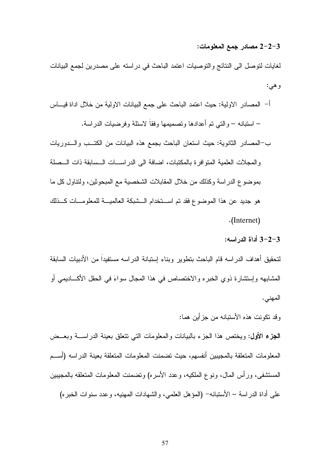#### 2–2–2 مصادر جمع المعلومات:

لغايات لتوصل الى النتائج والتوصيات اعتمد الباحث في دراسته على مصدرين لجمع البيانات و هي:

- أ– المصـادر الاولية: حيث اعتمد الباحث على جمع البيانات الاولية من خلال اداة فيـــاس – استبانه – و التبي تم أعدادها و تصميمها وفقا لاسئلة و فر ضبات الدر اسة. ب–المصادر الثانوية: حيث استعان الباحث بجمع هذه البيانات من الكتــب والـــدوريات
- والمجلات العلمية المنوافرة بالمكتبات، اضافة الى الدراســات الــسابقة ذات الــصلة بموضوع الدراسة وكذلك من خلال المقابلات الشخصية مع المبحوثين، ولنتاول كل ما هو جديد عن هذا الموضوع فقد تم استخدام الــشبكة العالميـــة للمعلومـــات كـــذلك  $\cdot$ (Internet)

3-2-3 أداة الدر اسه:

لتحقيق أهداف الدراسه قام الباحث بتطوير وبناء إستبانة الدراسه مستفيداً من الأدبيات السابقة المشابهه وإستشارة ذوى الخبر ه والاختصاص في هذا المجال سواءَ في الحقل الأكــــاديمي أو المهنى.

وقد تكونت هذه الأستبانه من جز أين هما:

**الجزء الأول:** ويختص هذا الجزء بالبيانات والمعلومات التبي نتعلق بعينة الدراســـة وبعــض المعلومات المتعلقة بالمجيبين أنفسهم، حيث تضمنت المعلومات المتعلقة بعينة الدراسه (أســم المستشفى، ورأس المال، ونوع الملكيه، وعدد الأسره) ونضمنت المعلومات المتعلقه بالمجيبين علم أداة الدراسة – الأستبانه– (المؤهل العلمي، والشهادات المهنيه، وعدد سنوات الخبره)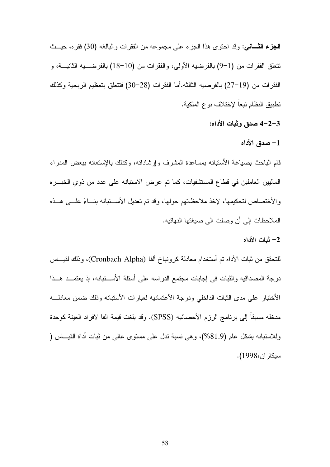**الجزء الثـــانـي:** وقد احتوى هذا الـجزء علـى مجموعه من الفقرات والبالغه (30) فقره، حيــث نتعلق الفقرات من (1−9) بالفرضيه الأولى، والفقرات من (10−18) بالفرضــــيه الثانيـــة، و الفقرات من (19–27) بالفرضيه الثالثه.أما الفقرات (28–30) فتتعلق بتعظيم الربحية وكذلك تطبيق النظام تبعاً لإختلاف نوع الملكية.

3–2–4 صدق وثبات الأداه:

1– صدق الأداه

قام الباحث بصباغة الأستبانه بمساعدة المشرف وإرشاداته، وكذلك بالإستعانه ببعض المدراء الماليين العاملين في قطاع المستشفيات، كما تم عرض الاستبانه على عدد من ذوى الخبـــر.ه والأختصاص لتحكيمها، لإخذ ملاحظاتهم حولها، وقد تم تعديل الأســـتبانه بنــــاءَ علــــي هـــذه الملاحظات إلى أن وصلت الى صيغتها النهائيه.

2– ثبات الأداه

للتحقق من ثبات الأداه تم أستخدام معادلة كرونباخ ألفا (Cronbach Alpha)، وذلك لقيـــاس درجة المصداقيه والثبات في إجابات مجتمع الدراسه على أسئلة الأســـتبانه، إذ يعتمـــد هـــذا الأختبار على مدى الثبات الداخلي ودرجة الأعتماديه لعبارات الأستبانه وذلك ضمن معادلـــه مدخله مسبقا إلى برنامج الرزم الأحصائيه (SPSS). وقد بلغت قيمة الفا لافراد العينة كوحدة وللاستبانه بشكل عام (81.9%)، وهي نسبة ندل على مستوى عالمي من ثبات أداة القيـــاس ( سكار ان، 1998).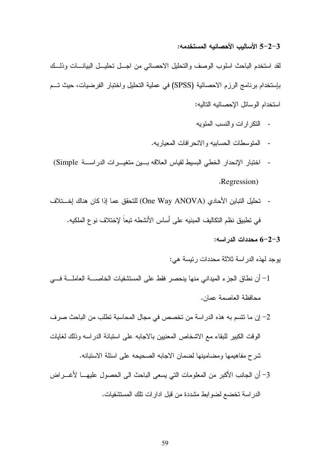#### 3–2–5 الأساليب الأحصائيه المستخدمه:

لقد استخدم الباحث اسلوب الوصف والتحليل الاحصائبي من اجل تحليــل البيانـــات وذلـــك بإستخدام برنامج الرزم الاحصائية (SPSS) في عملية التحليل واختبار الفرضيات، حيث تــم استخدام الوسائل الإحصائيه التاليه:

- النكر ار ات و النسب المئو بـه
- المنوسطات الحسابيه والانحر افات المعياريه.
- اختبار الإنحدار الخطي البسيط لقياس العلاقه بسين متغيسرات الدراســـة Simple) .Regression)
- تحليل النباين الأحادي (One Way ANOVA) للتحقق عما إذا كان هناك إخـــتلاف في نطبيق نظم التكاليف المبنيه على أساس الأنشطه نبعا لإختلاف نو ع الملكيه.
	- $-2-3$  محددات الدر اسه:

بوجد لهذه الدر اسة ثلاثة محددات رئيسة هي:

- 1– أن نطاق الجزء الميداني منها ينحصر فقط على المستشفيات الخاصــــة العاملـــة فــــى محافظة العاصمة عمان.
- 2– إن ما نتسم به هذه الدراسة من تخصص في مجال المحاسبة تطلب من الباحث صرف الوقت الكبير للبقاء مع الاشخاص المعنيين بالاجابه على استبانة الدراسه وذلك لغايات شرح مفاهيمها ومضامينها لضمان الاجابه الصحيحه على اسئلة الاستبانه.
- 3– أن الجانب الأكبر من المعلومات التي يسعى الباحث الى الحصول عليهـــا لأغــــراض الدر اسة تخضع لضو ابط مشددة من قبل ادارات نلك المستشفيات.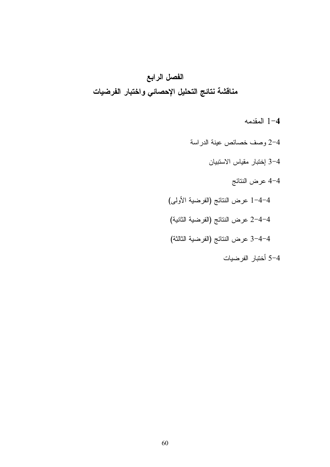## الفصل الرابع

## مناقشة نتائج التحليل الإحصائي واختبار الفرضيات

### 1-4 المقدمه

- 2-4 وصف خصائص عينة الدراسة
	- 3-4 إختبار مقياس الاستبيان
		- 4–4 عرض النتائج
- 4–4–1 عرض النتائج (الفرضية الأولى)
- 4–4–2 عرض النتائج (الفرضية الثانية)
- 4–4–3 عرض النتائج (الفرضية الثالثة)
	- 4–5 أختبار الفرضيات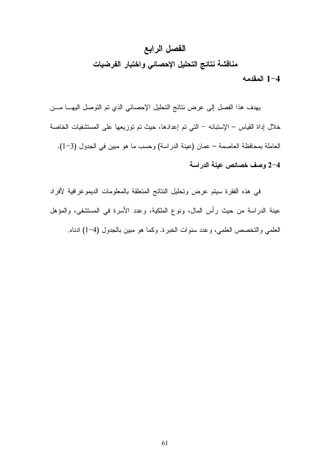## الفصل الرابع

مناقشة نتائج التحليل الإحصائي واختبار الفرضيات

المقدمه $1 - 4$ 

يهدف هذا الفصل إلى عرض نتائج التحليل الإحصائي الذي تم التوصل اليهــا مـــن خلال إداة القياس – الإستبانه – التي تم إعدادها، حيث تم توزيعها على المستشفيات الخاصة العاملة بمحافظة العاصمة – عمان (عينة الدراسة) وحسب ما هو مبين في الجدول (3–1). 2-4 وصف خصائص عينة الدراسة

في هذه الفقرة سيتم عرض وتحليل النتائج المتعلقة بالمعلومات الديموغرافية لأفراد عينة الدراسة من حيث رأس المال، ونوع الملكية، وعدد الأسرة في المستشفى، والمؤهل العلمي والتخصص العلمي، وعدد سنوات الخبرة. وكما هو مبين بالجدول (4–1) ادناه.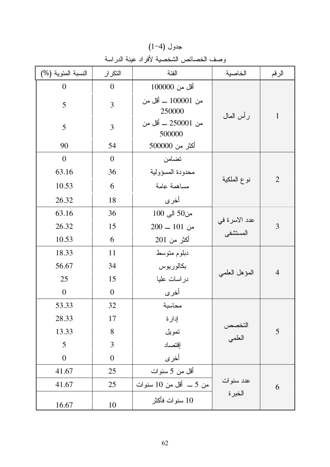| النسبة المئوية (%) | التكرار        | الفئة                           | الخاصية          | الرقم          |
|--------------------|----------------|---------------------------------|------------------|----------------|
| $\overline{0}$     | $\overline{0}$ | أقل من 100000                   |                  |                |
| 5                  | 3              | من 100001 ــــ أقل من<br>250000 |                  |                |
| 5                  | 3              | من 250001 ــــ أقل من<br>500000 | رأس الممال       | $\mathbf 1$    |
| 90                 | 54             | أكثر من 500000                  |                  |                |
| $\overline{0}$     | $\overline{0}$ | تضامن                           |                  |                |
| 63.16              | 36             | محدودة المسؤولية                |                  |                |
| 10.53              | 6              | مساهمة عامة                     | نو ع الملكية     | $\overline{2}$ |
| 26.32              | 18             | أخرى                            |                  |                |
| 63.16              | 36             | من50 الى 100                    |                  |                |
| 26.32              | 15             | $200 = 101$ من                  | عدد الاسرة في    | 3              |
| 10.53              | 6              | أكثر من 201                     | المستشفى         |                |
| 18.33              | 11             | دبلوم متوسط                     |                  |                |
| 56.67              | 34             | بكالوريوس                       |                  |                |
| 25                 | 15             | در اسات عليا                    | المؤهل العلمى    | $\overline{4}$ |
| $\theta$           | $\overline{0}$ | أخرى                            |                  |                |
| 53.33              | 32             | محاسبة                          |                  |                |
| 28.33              | 17             | إدارة                           |                  |                |
| 13.33              | 8              | تمويل                           | التخصص<br>العلمى | 5              |
| 5                  | 3              | إقتصاد                          |                  |                |
| $\overline{0}$     | $\overline{0}$ | أخرى                            |                  |                |
| 41.67              | 25             | أقل من 5 سنوات                  |                  |                |
| 41.67              | 25             | من 5 _ أقل من 10 سنوات          | عدد سنوات        | 6              |
| 16.67              | 10             | 10 سنوات فأكثر                  | الخبر ة          |                |

جدول (4–1) وصف الخصائص الشخصية لأفراد عينة الدراسة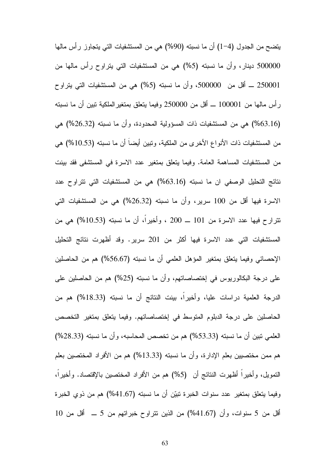يتضح من الجدول (4−1) أن ما نسبته (90%) هي من المستشفيات التي يتجاوز رأس مالها 500000 دينار، وأن ما نسبته (5%) هي من المستشفيات التي يتراوح رأس مالها من 250001 ـــ أقل من 500000، وأن ما نسبته (5%) هي من المستشفيات التي يتراوح رَ أس مالها من 100001 ـــ أقل من 250000 وفيما يتعلق بمتغير الملكية تبين أن ما نسبته (63.16%) هي من المستشفيات ذات المسؤولية المحدودة، وأن ما نسبته (26.32%) هي من المستشفيات ذات الأنواع الأخرى من الملكية، وتبين أيضاً أن ما نسبته (10.53%) هي من المستشفيات المساهمة العامة. وفيما يتعلق بمتغير عدد الاسرة في المستشفى فقد بينت نتائج التحليل الوصفي ان ما نسبته (63.16%) هي من المستشفيات التي تتراوح عدد الاسرة فيها أقل من 100 سرير، وأن ما نسبته (26.32%) هي من المستشفيات التي تترارح فيها عدد الاسرة من 101 ـــ 200 ، وأخيرا، أن ما نسبته (10.53%) هي من المستشفيات التي عدد الاسرة فيها أكثر من 201 سرير. وقد أظهرت نتائج التحليل الإحصائي وفيما يتعلق بمتغير المؤهل العلمي أن ما نسبته (56.67%) هم من الحاصلين على درجة البكالوريوس في إختصاصاتهم، وأن ما نسبته (25%) هم من الحاصلين على الدرجة العلمية دراسات عليا، وأخيرا، بينت النتائج أن ما نسبته (18.33%) هم من الحاصلين على درجة الدبلوم المتوسط في إختصاصاتهم. وفيما يتعلق بمتغير التخصص العلمي تبين أن ما نسبته (53.33%) هم من تخصص المحاسبه، وأن ما نسبته (28.33%) هم ممن مختصبين بعلم الإدارة، وأن ما نسبته (13.33%) هم من الأفراد المختصبين بعلم التمويل، وأخيرًا أظهرت النتائج أن (5%) هم من الأفراد المختصين بالإقتصاد. وأخيرًا، وفيما يتعلق بمتغير عدد سنوات الخبرة تبيّن أن ما نسبته (41.67%) هم من ذوي الخبرة  $10$  أقل من 5 سنوات، وأن (41.67%) من الذين نتراوح خبرانهم من 5 ــــ أقل من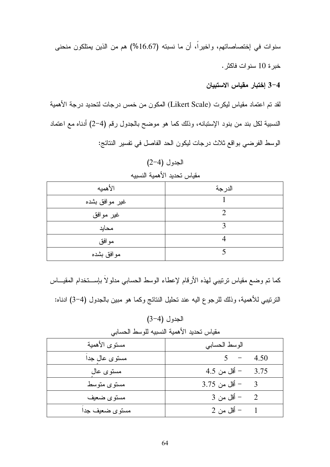سنوات في إختصاصاتهم، واخيراً، أن ما نسبته (16.67%) هم من الذين يمتلكون منحنى خبر ة 10 سنو ات فاكثر .

#### 3-4 إختبار مقياس الاستبيان

لقد تم اعتماد مقياس ليكرت (Likert Scale) المكون من خمس درجات لتحديد درجة الأهمية النسبية لكل بند من بنود الإستبانه، وذلك كما هو موضح بالجدول رقم (4–2) أدناه مع اعتماد الوسط الفرضي بواقع ثلاث درجات ليكون الحد الفاصل في تفسير النتائج:

| $\ddotsc$<br>. |        |  |  |  |  |
|----------------|--------|--|--|--|--|
| الأهميه        | الدرجة |  |  |  |  |
| غير موافق بشده |        |  |  |  |  |
| غير موافق      |        |  |  |  |  |
| محايد          |        |  |  |  |  |
| موافق          |        |  |  |  |  |
| موافق بشده     |        |  |  |  |  |

الجدول (4-2)

| غير موافق                                                                              |  |  |  |  |  |
|----------------------------------------------------------------------------------------|--|--|--|--|--|
| محايد                                                                                  |  |  |  |  |  |
| مو افق                                                                                 |  |  |  |  |  |
| موافق بشده                                                                             |  |  |  |  |  |
| كما نم وضع مقياس نرنيبي لهذه الأرقام لإعطاء الوسط الحسابي مدلولا بإســنخدام المقيـــاس |  |  |  |  |  |

مقباس تحديد الأهمية النسيبه

الترنيبي للأهمية، وذلك للرجوع اليه عند تحليل النتائج وكما هو مبين بالجدول (4–3) ادناه:

الجدول (4-3)

| مستوى الأهمية  | الوسط الحسابي        |
|----------------|----------------------|
| مستوى عال جدا  | 4.50                 |
| مستوى عال      | – أقل من 4.5<br>3.75 |
| مستوى متوسط    | - أقل من 3.75        |
| مستوى ضعيف     | – أقل من 3           |
| مستوى ضعيف جدا | – أقل من 2           |

مقياس تحديد الأهمية النسبيه للوسط الحسابي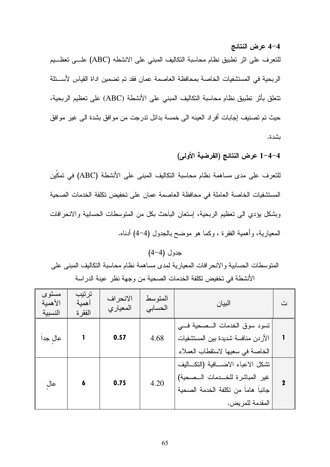#### 4-4 عرض النتائج

للتعرف على اثر تطبيق نظام محاسبة التكاليف المبنى على الانشطه (ABC) علـــى تعظـــيم الربحية في المستشفيات الخاصة بمحافظة العاصمة عمان فقد تم تضمين اداة القياس لأســئلة تتعلَّق بأثر تطبيق نظام محاسبة التكاليف المبنى على الأنشطة (ABC) على تعظيم الربحية، حيث تم تصنيف إجابات أفراد العينه الى خمسة بدائل تدرجت من موافق بشدة الى غير موافق بشدة.

### 4-4-1 عرض النتائج (الفرضية الأولى)

للتعرف على مدى مساهمة نظام محاسبة التكاليف المبنى على الأنشطة (ABC) في تمكِّين المستشفيات الخاصة العاملة في محافظة العاصمة عمان على تخفيض تكلفة الخدمات الصحية وبشكل يؤدي الى تعظيم الربحية، إستعان الباحث بكل من المتوسطات الحسابية والانحرافات المعيارية، وأهمية الفقرة ، وكما هو موضح بالجدول (4–4) أدناه.

المتوسطات الحسابية والانحر افات المعيارية لمدى مساهمة نظام محاسبة التكاليف المبنى على الأنشطة في تخفيض تكلفة الخدمات الصحية من وجهة نظر عينة الدر اسة

| مستوى<br>الأهمية<br>النسبية | ترتيب<br>أهمية<br>الفقر ة | الانحراف<br>المعياري | المتوسط<br>الحسابى | البيان                                                                                                                          | ٽ |
|-----------------------------|---------------------------|----------------------|--------------------|---------------------------------------------------------------------------------------------------------------------------------|---|
| عالِ جدا                    |                           | 0.57                 | 4.68               | تسود سوق الخدمات السصحية فسى<br>الأردن منافسة شديدة بين المستشفيات<br>الخاصة في سعيها لاستقطاب العملاء                          |   |
| عال                         | 6                         | 0.75                 | 4.20               | نتثكل الاعباء الاضــافية (النكــاليف<br>غير المباشرة للخدمات المصحية)<br>جانباً هاماً من تكلفة الخدمة الصحية<br>المقدمة للمريض. | 2 |

 $(4-4)$  جدو ل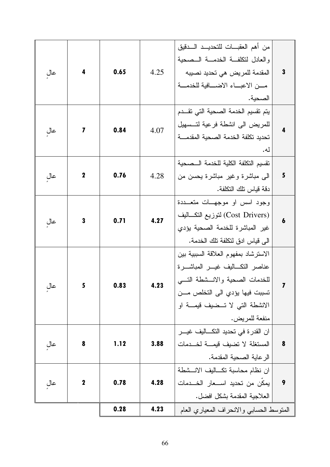| عال  | 4                | 0.65 | 4.25 | من أهم العقبــــات للتحديــــد الــــدقيق<br>والعادل لتكلفة الخدمة المصحبة<br>المقدمة للمريض هي تحديد نصيبه<br>مسن الاعبساء الاضسافية للخدمسة<br>الصحبة.                                       | 3 |
|------|------------------|------|------|------------------------------------------------------------------------------------------------------------------------------------------------------------------------------------------------|---|
| عال  | 7                | 0.84 | 4.07 | يتم نقسيم الخدمة الصحية التي تقــدم<br>للمريض الى انشطة فرعية لتــسهيل<br>تحديد تكلفة الخدمة الصحية المقدمــة<br>له.                                                                           | 4 |
| عال  | $\boldsymbol{2}$ | 0.76 | 4.28 | نقسيم النكلفة الكلية للخدمة السصحية<br>الىي مباشرة وغير مباشرة يحسن من<br>دقة قياس تلك التكلفة.                                                                                                | 5 |
| عال  | 3                | 0.71 | 4.27 | وجود اسس او موجهــات متعـــددة<br>(Cost Drivers) لتوزيع التكـــاليف<br>غير المباشرة للخدمة الصحية يؤدى<br>الى قياس ادق لتكلفة تلك الخدمة.                                                      | 6 |
| عالِ | 5                | 0.83 | 4.23 | الاسترشاد بمفهوم العلاقة السببية بين<br>عناصر النكساليف غيسر المباشسرة<br>للخدمات الصحية والانسشطة التسى<br>تسببت فيها يؤدي الى التخلص مــن<br>الانشطة التي لا تسضيف قيمسة او<br>منفعة للمريض. | 7 |
| عال  | 8                | 1.12 | 3.88 | ان القدر ة في تحديد التكــــاليف غيــــر<br>المستغلة لا تضيف قيمـــة لخـــدمات<br>الرعاية الصحية المقدمة.                                                                                      | 8 |
| عال  | $\boldsymbol{2}$ | 0.78 | 4.28 | ان نظام محاسبة تكــاليف الانــشطة<br>يمكن من تحديد اســـعار الخـــدمات<br>العلاجية المقدمة بشكل افضل.                                                                                          | 9 |
|      |                  | 0.28 | 4.23 | المنوسط الحسابي والانحراف المعياري العام                                                                                                                                                       |   |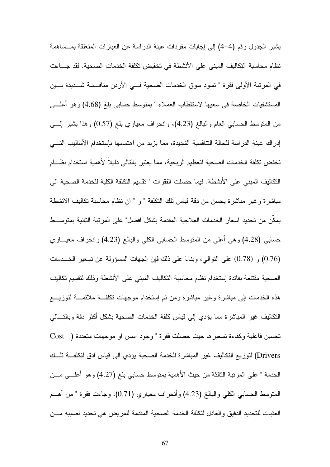يشير الجدول رقم (4–4) إلى إجابات مفردات عينة الدراسة عن العبارات المتعلقة بمـــساهمة نظام محاسبة التكاليف المبنى على الأنشطة في تخفيض تكلفة الخدمات الصحية. فقد جـــاءت في المرتبة الأولى فقرة " تسود سوق الخدمات الصحية فــي الأردن منافــسة شـــديدة بـــين المستشفيات الخاصة في سعيها لاستقطاب العملاء " بمتوسط حسابي بلغ (4.68) وهو أعلـــي من المنوسط الحسابـي العام والبالـغ (4.23)، وانـحراف معياري بلـغ (0.57) وهذا يشير إلــــي إدراك عينة الدراسة للحالة النتافسية الشديدة، مما يزيد من اهتمامها بإستخدام الأساليب التسي تخفض تكلفة الخدمات الصحية لتعظيم الربحية، مما يعتبر بالتالي دليلا لأهمية استخدام نظسام التكاليف المبنى على الأنشطة. فيما حصلت الفقرات " تقسيم التكلفة الكلية للخدمة الصحية الى مباشرة وغير مباشرة يحسن من دقة قياس تلك التكلفة " و " ان نظام محاسبة تكاليف الانشطة يمكن من تحديد اسعار الخدمات العلاجية المقدمة بشكل افضل" على المرتبة الثانية بمنوســـط حسابي (4.28) و هي أعلى من المنوسط الحسابي الكلبي والبالغ (4.23) وانحراف معيساري (0.76) و (0.78) على النوالي، وبناءَ على ذلك فإن الجهات المسؤولة عن نسعير الخــدمات الصحية مقتنعة بفائدة إستخدام نظام محاسبة التكاليف المبنى على الأنشطة وذلك لتقسيم تكاليف هذه الخدمات إلى مباشرة وغير مباشرة ومن ثم إستخدام موجهات نكلفة ملائمــة لتوزيـــع النكاليف غير المباشرة مما يؤدى إلى قياس كلفة الخدمات الصحية بشكل أكثر دقة وبالنسالي تحسين فاعلية وكفاءة تسعير ها حيث حصلت فقرة " وجود اسس او موجهات متعددة ( Cost Drivers) لتوزيع التكاليف غير المباشر ة للخدمة الصحية يؤدي الى قياس ادق لتكلفــة تلــك الخدمة " على المرتبة الثالثة من حيث الأهمية بمتوسط حسابي بلغ (4.27) وهو أعلـــي مـــن المقوسط الحسابـي الكلـي والبالـغ (4.23) وأنـحراف معياري (0.71). وجاءت فقرة " من أهـــم العقبات للتحديد الدقيق والعادل لتكلفة الخدمة الصحية المقدمة للمريض هي تحديد نصبيه مـــن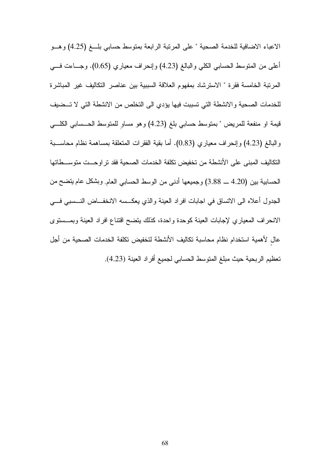الاعباء الاضافية للخدمة الصحية " على المرتبة الرابعة بمتوسط حسابي بلغ (4.25) وهـو أعلى من المنوسط الحسابي الكلي والبالغ (4.23) وإنحراف معياري (0.65). وجـــاءت فــــي المرتبة الخامسة فقرة " الاسترشاد بمفهوم العلاقة السببية بين عناصر التكاليف غير المباشرة للخدمات الصحية والانشطة التي تسببت فيها يؤدي الى التخلص من الانشطة التي لا تــضيف قيمة او منفعة للمريض " بمنوسط حسابي بلغ (4.23) وهو مساو للمنوسط الحـــسابـي الكلــــي والبالغ (4.23) وإنحراف معياري (0.83). أما بقية الفقرات المتعلقة بمساهمة نظام محاســـبة التكاليف المبنى على الأنشطة من تخفيض تكلفة الخدمات الصحية فقد تراوحــت متوســطاتها الحسابية بين (4.20 ـــ 3.88) وجميعها أدنى من الوسط الحسابي العام وبشكل عام يتضح من الجدول أعلاه الى الاتساق في اجابات افراد العينة والذي يعكسه الانخفــاض النــسبي فـــي الانحراف المعياري لإجابات العينة كوحدة واحدة، كذلك يتضح اقتناع افراد العينة وبمسستوى عال لأهمية استخدام نظام محاسبة تكاليف الأنشطة لتخفيض تكلفة الخدمات الصحية من أجل تعظيم الربحية حيث مبلغ المتوسط الحسابي لجميع أفراد العينة (4.23).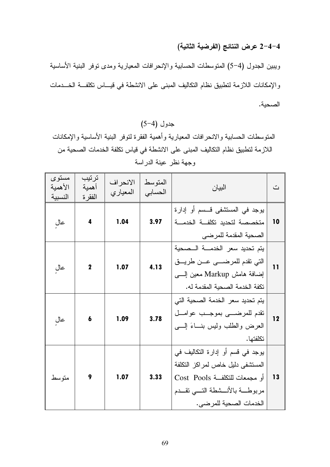### 4–4–2 عرض النتائج (الفرضية الثانية)

ويبين الجدول (4–5) المنوسطات الحسابية والإنحرافات المعيارية ومدى نوفر البنية الأساسية والإمكانات اللازمة لتطبيق نظام التكاليف المبنى على الانشطة في قيـــاس تكلفـــة الـخـــدمات الصحية.

### $(5-4)$  جدول

المتوسطات الحسابية والانحرافات المعيارية وأهمية الفقرة لتوفر البنية الأساسية والإمكانات اللازمة لتطبيق نظام التكاليف المبنى على الانشطة في قياس تكلفة الخدمات الصحية من وجهة نظر عينة الدراسة

| مستو ی<br>الأهمبة<br>النسببة | تر تیب<br>أهمبة<br>الفقر ة | الانحر اف<br>المعياري | المتوسط<br>الحسابي | البيان                                                                                                                                                                  | $\ddot{\underline{\smile}}$ |
|------------------------------|----------------------------|-----------------------|--------------------|-------------------------------------------------------------------------------------------------------------------------------------------------------------------------|-----------------------------|
| عال                          | 4                          | 1.04                  | 3.97               | يوجد في المستشفى قــسم أو إدارة<br>متخصصة لتحديد تكلفــة الخدمـــة<br>الصحية المقدمة للمرضي                                                                             | 10                          |
| عال                          | $\mathbf 2$                | 1.07                  | 4.13               | يتم تحديد سعر الخدمـــة الــصحية<br>التي تقدم للمرضـــي عــن طريـــق<br>إضافة هامش Markup معين إلسي<br>تكفة الخدمة الصحية المقدمة له.                                   | 11                          |
| عال                          | 6                          | 1.09                  | 3.78               | يتم تحديد سعر الخدمة الصحية التي<br>نقدم للمرضى بموجب عوامل<br>العرض والطلب وليس بنساءَ إلسي<br>تكلفتها.                                                                | 12                          |
| متو سط                       | 9                          | 1.07                  | 3.33               | يوجد في قسم أو إدارة التكاليف في<br>المستشفى دليل خاص لمراكز النكلفة<br>أو مجمعات للتكلفة Cost Pools<br>مربوطـــة بالأنـــشطة التـــى تقـــدم<br>الخدمات الصحية للمرضى. | 13                          |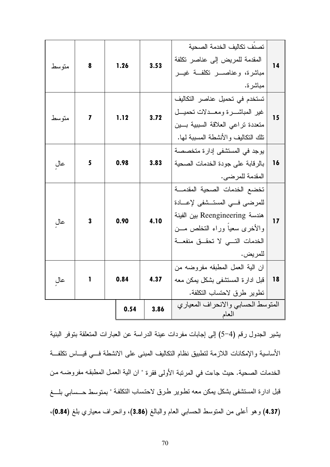| متو سط | 8 | 1.26 | 3.53 | تصنف تكاليف الخدمة الصحية<br>المقدمة للمريض إلى عناصر تكلفة<br>مباشرة، وعناصـــــر نكلفـــة غيــــر<br>مباشر ة.                                                                 | 14 |
|--------|---|------|------|---------------------------------------------------------------------------------------------------------------------------------------------------------------------------------|----|
| متو سط | 7 | 1.12 | 3.72 | تستخدم في تحميل عناصر التكاليف<br>غير المباشـــرة ومعـــدلات تحميـــل<br>متعددة تراعى العلاقة السببية بسين<br>تلك التكالبف والأنشطة المسببة لها.                                | 15 |
| عال    | 5 | 0.98 | 3.83 | يوجد في المستشفى إدارة متخصصة<br>بالرقابة على جودة الخدمات الصحية<br>المقدمة للمرضى.                                                                                            | 16 |
| عال    | 3 | 0.90 | 4.10 | تخضع الخدمات الصحية المقدمة<br>للمرضى فى المستشفى لإعسادة<br>هندسة Reengineering بين الفينة<br>والأخرى سعيا وراء النخلص مـــن<br>الخدمات التـــى لا تحقـــق منفعـــة<br>للمريض. | 17 |
| عال    |   | 0.84 | 4.37 | ان الية العمل المطبقه مفروضه من<br>قبل ادارة المستشفى بشكل يمكن معه<br>تطوير طرق لاحتساب التكلفة.                                                                               | 18 |
|        |   | 0.54 | 3.86 | المتوسط الحسابي والانحراف المعياري<br>العاد                                                                                                                                     |    |

يشير الجدول رقم (4–5) إلى إجابات مفردات عينة الدراسة عن العبارات المتعلقة بتوفر البنية الأساسية والإمكانات اللازمة لتطبيق نظام النكاليف المبنى على الانشطة فسي فيساس نكلفة الخدمات الصحية. حيث جاءت في المرتبة الأولى فقرة " ان الية العمل المطبقه مفروضـه من قبل ادارة المستشفى بشكل يمكن معه تطوير طرق لاحتساب التكلفة " بمتوسط حــسابي بلـــغ (4.37) وهو أعلى من المتوسط الحسابي العام والبالغ (3.86)، وانحراف معياري بلغ (0.84)،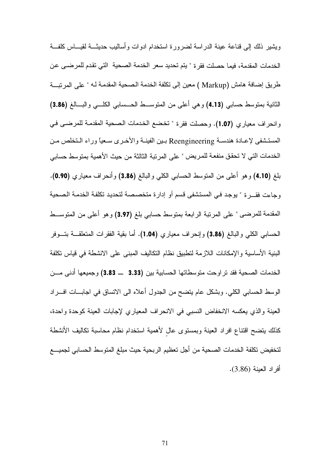ويشير ذلك إلى قناعة عينة الدراسة لضرورة استخدام ادوات وأساليب حديثـــة لقيـــاس كلفـــة الخدمات المقدمة، فبما حصلت فقر ة " يتم تحديد سعر الخدمة الصحية التي تقدم للمرضى عن طريق إضافة هامش (Markup ) معين إلى تكلفة الخدمة الصحية المقدمة لـه " على المرتبة الثانية بمتوسط حسابي (4.13) وهي أعلى من المتوسـط الحــسابي الكلـــي والبـــالغ (3.86) وانحراف معياري (1.07). وحصلت فقرة " تخضع الخدمات الصحية المقدمة للمرضى في المستشفى لإعـادة هندسـة Reengineering بـين الفينــة والأخـري سـعياً وراء الـتخلص مـن الخدمات التي لا تحقق منفعــة للمـريض " على المرتبـة الثالثـة من حيث الأهميـة بمنوسط حسابي بلغ (4.10) و هو أعلى من المنوسط الحسابي الكلي والبالغ (3.86) وأنحراف معياري (0.90). وجاءت فقــر ة " يوجد فـي المستشفى قسم أو إدارة متخصـصة لتحديد تكلفـة الخدمـة الـصحية المقدمة للمرضى " على المرتبة الرابعة بمتوسط حسابي بلغ (3.97) وهو أعلى من المتوســط الحسابي الكلَّمي و البالَّغ (3.86) و إنحر اف معياري (1.04). أما بقية الفقر ات المتعلِّقـــة بتـــوفر البنية الأساسية والإمكانات اللازمة لنطبيق نظام النكاليف المبنى على الانشطة في قياس نكلفة الخدمات الصحية فقد تراوحت متوسطاتها الحسابية بين (3.33 ــ 3.83) وجميعها أدنى مـــن الوسط الحسابي الكلي. وبشكل عام يتضح من الجدول أعلاه الى الانساق في اجابـــات افــــراد العينة والذي يعكسه الانخفاض النسبي في الانحراف المعياري لإجابات العينة كوحدة واحدة، كذلك بتضح افتناع افراد العينة وبمستوى عال لأهمية استخدام نظام محاسبة تكاليف الأنشطة لتخفيض تكلفة الخدمات الصحية من أجل تعظيم الربحية حيث مبلغ المتوسط الحسابي لجميـــع أفر اد العينة (3.86).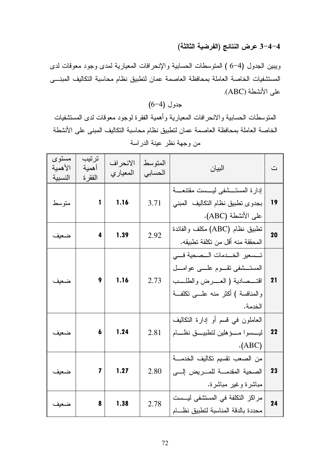### 4–4–3 عرض النتائج (الفرضية الثالثة)

ويبين الجدول (4–6 ) المتوسطات الحسابية والإنحرافات المعيارية لمدى وجود معوفات لدى المستشفيات الخاصة العاملة بمحافظة العاصمة عمان لتطبيق نظام محاسبة التكاليف المبنسى على الأنشطة (ABC).

## $(6-4)$  جدول

المتوسطات الحسابية والانحرافات المعيارية وأهمية الفقرة لوجود معوقات لدى المستثنفيات الخاصة العاملة بمحافظة العاصمة عمان لتطبيق نظام محاسبة التكاليف المبنى على الأنشطة من وجهة نظر عينة الدراسة

| ت  | البيان                                                                                                                                               | المتوسط<br>الحسابي | الانحراف<br>المعياري | تر تيب<br>أهمبة<br>الفقرة | مستوي<br>الأهمبة<br>النسببة |
|----|------------------------------------------------------------------------------------------------------------------------------------------------------|--------------------|----------------------|---------------------------|-----------------------------|
| 19 | إدارة المستسشفي ليسست مقتنعسة<br>بجدوى نطبيق نظام النكاليف المبنى<br>على الأنشطة (ABC).                                                              | 3.71               | 1.16                 | 1                         | متوسط                       |
| 20 | تطبيق نظام (ABC) مكلف والفائدة<br>المحققة منه أقل من تكلفة تطبيقه.                                                                                   | 2.92               | 1.39                 | 4                         | ضعبف                        |
| 21 | تسعير الخدمات السصحية فسي<br>المستشفى نقسوم علسى عوامسل<br>اقتـــصادية ( العــــــرض والطلـــــب<br>والمنافسة ) أكثر منه علــــى نكلفـــة<br>الخدمة. | 2.73               | 1.16                 | 9                         | ضعبف                        |
| 22 | العاملون في قسم أو إدارة النكاليف<br>ليسسوا مسؤهلين لتطبيسق نظسام<br>(ABC)                                                                           | 2.81               | 1.24                 | 6                         | ضعبف                        |
| 23 | من الصعب نقسيم نكاليف الخدمــــة<br>الصحية المقدمــة للمـــريض إلــــى<br>مباشرة وغير مباشرة.                                                        | 2.80               | 1.27                 | $\overline{\mathbf{z}}$   | ضعيف                        |
| 24 | مراكز التكلفة في المستشفى ليــست<br>محددة بالدقة المناسبة لتطبيق نظسام                                                                               | 2.78               | 1.38                 | 8                         | ضعيف                        |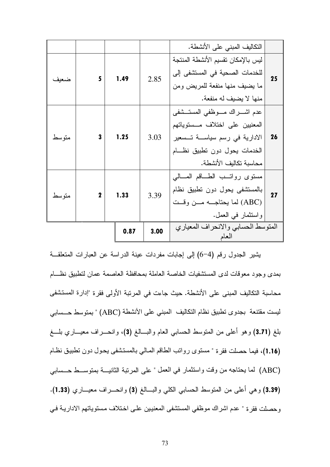|        |             |      |                                    | النكاليف المبنى على الأنشطة.           |    |
|--------|-------------|------|------------------------------------|----------------------------------------|----|
|        |             |      | ليس بالإمكان نقسيم الأنشطة المنتجة |                                        |    |
|        | 5           | 1.49 | 2.85                               | للخدمات الصحية في المستشفى إلى         | 25 |
| ضعف    |             |      |                                    | ما يضبف منها منفعة للمريض ومن          |    |
|        |             |      |                                    | منها لا يضيف له منفعة.                 |    |
|        |             |      |                                    | عدم اشـــــراك مــــــوظفى المستـــشفى |    |
|        |             |      |                                    | المعنيين على اختلاف مـــستوياتهم       |    |
| متو سط | 3<br>1.25   |      | 3.03                               | الادارية في رسم سياسة تـسعير           | 26 |
|        |             |      |                                    | الخدمات بحول دون تطبيق نظـــام         |    |
|        |             |      |                                    | محاسبة تكاليف الأنشطة.                 |    |
|        |             |      |                                    | مستوى رواتــب الطـــاقم المـــالـي     |    |
|        | $\mathbf 2$ | 1.33 | 3.39                               | بالمستشفى يحول دون تطبيق نظام          | 27 |
| متو سط |             |      | (ABC) لما يحتاجــه مـــن وفــت     |                                        |    |
|        |             |      |                                    | واستثمار في العمل.                     |    |
|        |             | 0.87 | 3.00                               | المتوسط الحسابي والانحراف المعياري     |    |
|        |             |      |                                    | العام                                  |    |

يشير الجدول رقم (4–6) إلى إجابات مفردات عينة الدراسة عن العبارات المتعلقـــة بمدى وجود معوقات لدى المستشفيات الخاصة العاملة بمحافظة العاصمة عمان لنطبيق نظــام محاسبة التكاليف المبنى على الأنشطة. حيث جاءت في المرتبة الأولى فقرة "إدارة المستشفى ليست مقتنعة بجدوى تطبيق نظام التكاليف المبنى على الأنشطة (ABC) " بمتوسط حـــسابي بلغ (3.71) وهو أعلى من المنوسط الحسابي العام والبسالغ (3)، وانحسراف معيساري بلسغ (1.16)، فيما حصلت فقرة " مستوى رواتب الطاقم المالي بالمستشفى يحول دون تطبيق نظام (ABC) لما يحتاجه من وقت واستثمار في العمل " على المرتبة الثانيـــة بمتوســـط حـــسابي (3.39) و هي أعلى من المنوسط الحسابي الكلي والبسالغ (3) وانحسراف معيساري (1.33). و حصلت فقر ة " عدم اشراك موظفي المستشفى المعنيين على اختلاف مستوياتهم الاداريـة فـي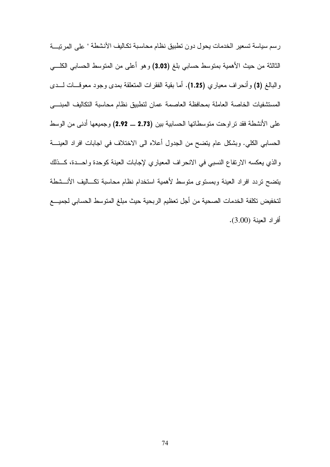رسم سياسة تسعير الخدمات يحول دون تطبيق نظام محاسبة تكاليف الأنشطة " على المر تبة الثالثة من حيث الأهمية بمتوسط حسابي بلغ (3.03) وهو أعلى من المتوسط الحسابي الكلسي والبالغ (3) وأنحراف معياري (1.25). أما بقية الفقرات المتعلقة بمدى وجود معوقـــات لـــدى المستشفيات الخاصة العاملة بمحافظة العاصمة عمان لتطبيق نظام محاسبة التكاليف المبنسى على الأنشطة فقد نراوحت منوسطاتها الحسابية بين (2.73 ـــ 2.92) وجميعها أدنى من الوسط الحسابي الكلي. وبشكل عام يتضح من الجدول أعلاه الى الاختلاف في اجابات افراد العينــــة والذي يعكسه الارتفاع النسبي في الانحراف المعياري لإجابات العينة كوحدة واحدة، كـذلك يتضح نردد افراد العينة وبمستوى متوسط لأهمية استخدام نظام محاسبة تكساليف الأنسشطة لتخفيض تكلفة الخدمات الصحية من أجل تعظيم الربحية حيث مبلغ المتوسط الحسابي لجميـــع أفر اد العينة (3.00).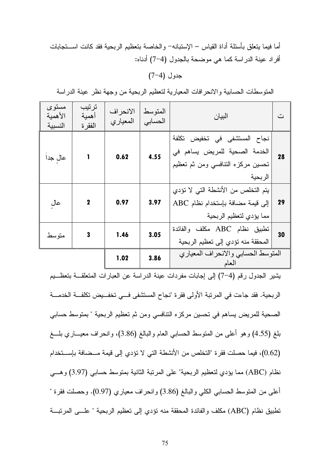أما فيما يتعلق بأسئلة أداة القياس – الإستبانه– والخاصة بتعظيم الربحية فقد كانت اســـتجابات أفراد عينة الدراسة كما هي موضحة بالجدول (4–7) أدناه:

### $(7-4)$  جدو ل

| مستوى<br>الأهمبة<br>النسبية | ترتيب<br>أهمية<br>الفقر ة | الانحراف<br>المعياري | المتوسط<br>الحسابي | البيان                                                                                                        | ٽ  |
|-----------------------------|---------------------------|----------------------|--------------------|---------------------------------------------------------------------------------------------------------------|----|
| عال جدا                     | 1                         | 0.62                 | 4.55               | نجاح المستشفى في تخفيض تكلفة<br>الخدمة الصحية للمريض يساهم في<br>تحسين مركزه النتافسي ومن ثم تعظيم<br>الربحية | 28 |
| عال                         | 2                         | 0.97                 | 3.97               | يتم التخلص من الأنشطة التي لا تؤدي<br>إلى قيمة مضافة بإستخدام نظام ABC<br>مما يؤدي لتعظيم الربحية             | 29 |
| متو سط                      | 3                         | 1.46                 | 3.05               | تطبيق نظام ABC مكلف والفائدة<br>المحققة منه تؤدي إلى تعظيم الربحية                                            | 30 |
|                             |                           | 1.02                 | 3.86               | المتوسط الحسابي والانحراف المعياري                                                                            |    |

المتوسطات الحسابية والانحرافات المعيارية لتعظيم الربحية من وجهة نظر عينة الدراسة

يشير الجدول رقم (4–7) إلى إجابات مفردات عينة الدراسة عن العبارات المتعلقـــة بتعظـــيم الربحية. فقد جاءت في المرتبة الأولى فقرة "نجاح المستشفى فـــي تخفـــيض تكلفـــة الخدمـــة الصحية للمريض يساهم في تحسين مركزه النتافسي ومن ثم تعظيم الربحية " بمنوسط حسابي بلغ (4.55) وهو أعلى من المنوسط الحسابي العام والبالغ (3.86)، وانحراف معيــــاري بلــــغ (0.62)، فيما حصلت فقر ة "التخلص من الأنشطة التي لا تؤدي إلى قيمة مــضافة بإســـتخدام نظام (ABC) مما يؤدي لتعظيم الربحية" على المرتبة الثانية بمتوسط حسابي (3.97) وهــي أعلى من المتوسط الحسابي الكلي والبالغ (3.86) و انحر اف معياري (0.97). وحصلت فقرة " تطبيق نظام (ABC) مكلف والفائدة المحققة منه نؤدي إلى نعظيم الربحية " علـــي المرتبـــة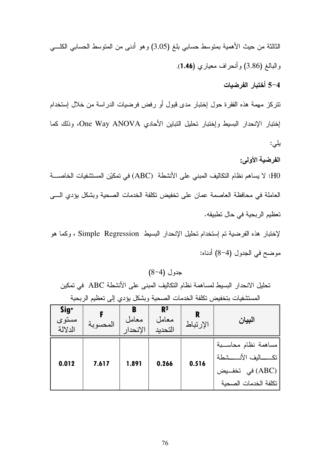الثالثة من حيث الأهمية بمتوسط حسابي بلغ (3.05) وهو أدنى من المتوسط الحسابي الكلـــي والبالغ (3.86) وأنحراف معياري (1.46).

4–5 أختبار الفرضيات

نتزكز مهمة هذه الفقرة حول إختبار مدى قبول أو رفض فرضيات الدراسة من خلال إستخدام لِخْتِبَارِ الإنحدارِ البسيط وإختبارِ تحليلِ التباينِ الأحاديِ One Way ANOVA، وذلك كما يلى:

الفرضية الأولى:

H0: لا يساهم نظام التكاليف المبني على الأنشطة (ABC) في تمكيّن المستشفيات الخاصــــة العاملة في محافظة العاصمة عمان على تخفيض تكلفة الخدمات الصحية وبشكل يؤدي السي تعظيم الربحية في حال تطبيقه.

لإختبار هذه الفرضية تم إستخدام تحليل الإنحدار البسيط Simple Regression ، وكما هو موضح في الجدول (4–8) أدناه:

 $(8-4)$  جدول

تحليل الانحدار البسيط لمساهمة نظام التكاليف المبنى على الأنشطة ABC في تمكين المستشفيات بتخفيض نكلفة الخدمات الصحية وبشكل يؤدي إلى تعظيم الربحية

| Sig <sup>*</sup><br>مستوى<br>الدلالة | المحسوبة | B<br>معامل<br>الانحدار | R <sup>2</sup><br>معامل<br>التحدبد | R<br>الإرتباط | البيان                                                                                                                          |
|--------------------------------------|----------|------------------------|------------------------------------|---------------|---------------------------------------------------------------------------------------------------------------------------------|
| 0.012                                | 7.617    | 1.891                  | 0.266                              | 0.516         | مساهمة نظام محاسـبة<br>ــاليف الأنــــــشطة<br>$\leq$<br>في تخفــيض $\left( \text{ABC}\right) \Vert$<br>   تكلفة الخدمات الصحية |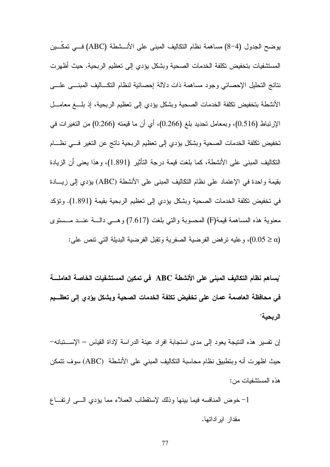بوضح الجدول (4−8) مساهمة نظام التكاليف المبنى على الأنـــشطة (ABC) فـــى تمكـــين المستشفيات بتخفيض تكلفة الخدمات الصحية وبشكل يؤدي إلى تعظيم الربحية. حيث أظهرت نتائج التحليل الإحصائبي وجود مساهمة ذات دلالة إحصائية لنظام النكساليف المبنسي علسي الأنشطة بتخفيض تكلفة الخدمات الصحية وبشكل يؤدي إلى تعظيم الربحية، إذ بلـــغ معامـــل الإرتباط (0.516)، وبمعامل تحديد بلغ (0.266)، أي أن ما قيمته (0.266) من التغيرات في تخفيض تكلفة الخدمات الصحية وبشكل يؤدى إلىي تعظيم الربحية ناتج عن التغير فسي نظسام النكاليف المبنى على الأنشطة، كما بلغت قيمة درجة النأنير (1.891)، وهذا يعني أن الزيادة بقيمة واحدة في الإعتماد على نظام التكاليف المبنى على الأنشطة (ABC) بؤدي إلى زيسادة في تخفيض تكلفة الخدمات الصحية وبشكل يؤدي إلى تعظيم الربحية بقيمة (1.891). وتؤكد معنوية هذه المساهمة قيمة(F) المحسوبة والتبي بلغت (7.617) وهـــي دالـــة عنـــد مـــستوى و عليه تر فض الفر ضبة الصفر بة وتقبل الفر ضبة البديلة التي تتص على:  $(0.05 \ge \alpha)$ 

"يساهم نظام التكاليف المبني على الأنشطة ABC في تمكين المستشفيات الخاصة العاملــــة في محافظة العاصمة عمان على تخفيض تكلفة الخدمات الصحية وبشكل يؤدي إلى تعظــيم الربحية"

إن نفسير هذه النتيجة يعود إلى مدى استجابة افراد عينة الدراسة لإداة القياس – الإســـتبانه– حيث اظهرت أنه وبنطبيق نظام محاسبة التكاليف المبنى على الأنشطة (ABC) سوف نتمكن هذه المستشفيات من:

1– خوض المنافسه فيما بينها وذلك لإستقطاب العملاء مما يؤدي السي ارتفـــاع مقدار ابر اداتها.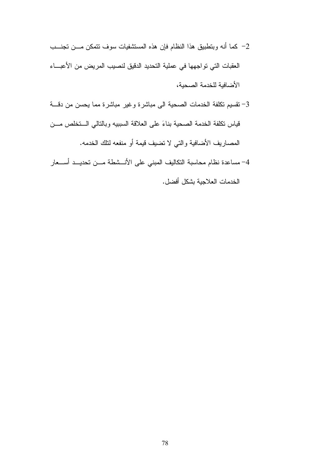- 2– كما أنه وبتطبيق هذا النظام فإن هذه المستشفيات سوف تتمكن مـــن تجنـــب العقبات التي تواجهها في عملية التحديد الدقيق لنصيب المريض من الأعبـــاء الأضافية للخدمة الصحية،
- 3– نقسيم تكلفة الخدمات الصحية الى مباشرة وغير مباشرة مما يحسن من دقسة قياس نكلفة الخدمة الصحية بناءَ على العلاقة السببيه وبالنالي الستخلص مسن المصـاريف الأضـافية والتـي لا تضيف قيمة أو منفعه لناك الـخدمه.
- 4– مساعدة نظام محاسبة النكاليف المبني على الأنــشطة مـــن تحديـــد أســـعار الخدمات العلاجية بشكل أفضل.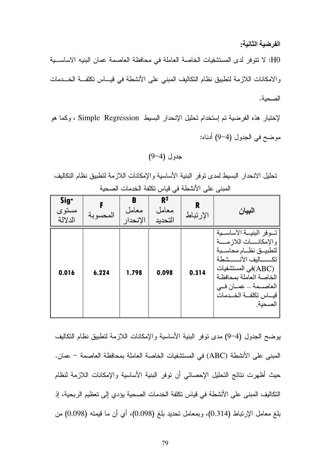الفرضية الثانية:

HO: لا نتوفر لدى المستشفيات الخاصة العاملة في محافظة العاصمة عمان البنيه الاساسـية والامكانات اللازمة لتطبيق نظام التكاليف المبني على الأنشطة في قيـــاس تكلفـــة الخـــدمات الصحية.

لإختبار هذه الفرضية تم إستخدام تحليل الإنحدار البسيط Simple Regression ، وكما هو موضح في الجدول (4-9) أدناه:

 $(9-4)$  جدول

تحليل الانحدار البسيط لمدى توفر البنية الأساسية والإمكانات اللازمة لتطبيق نظام التكاليف المبنى على الأنشطة في قياس تكلفة الخدمات الصحية

| Sig*<br>مستوى<br>الدلالة | المحسوبة | B<br>معامل<br>الإنحدار | R <sup>2</sup><br>معامل<br>التحديد | R<br>الإرتباط | البيان                                                                                                                                                                                                     |
|--------------------------|----------|------------------------|------------------------------------|---------------|------------------------------------------------------------------------------------------------------------------------------------------------------------------------------------------------------------|
| 0.016                    | 6.224    | 1.798                  | 0.098                              | 0.314         | تسوفر البنيسة الأساسبية<br>والإمكانسسات اللاز مسسة<br>لتطبيسق نظسام محاسسبة<br>تكسسالبف الأنسسشطة<br>(ABC)في المستشفيات<br>الخاصة العاملة بمحافظة<br>العاصيمة ـ عميان في<br>قيساس تكلفة الخسدمات<br>الصحبة |

يوضح الجدول (4–9) مدى نوفر البنية الأساسية والإمكانات اللازمة لتطبيق نظام التكاليف المبنى على الأنشطة (ABC) في المستشفيات الخاصة العاملة بمحافظة العاصمة – عمان. حيث أظهرت نتائج التحليل الإحصائي أن توفر البنية الأساسية والإمكانات اللازمة لنظام التكاليف المبنى على الأنشطة في قياس تكلفة الخدمات الصحية يؤدي إلى تعظيم الربحية، إذ بلغ معامل الإرتباط (0.314)، وبمعامل تحديد بلغ (0.098)، أي أن ما فيمته (0.098) من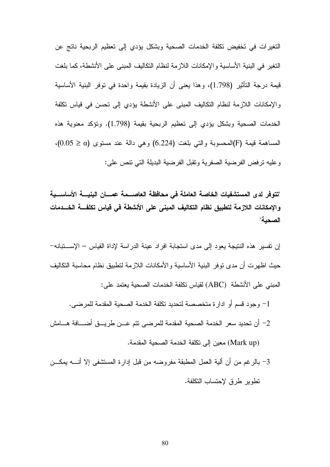التغير ات في تخفيض نكلفة الخدمات الصحية وبشكل يؤدي إلى تعظيم الربحية ناتج عن النَّغير ً في البنية الأساسية و الإمكانات اللاز مة لنظام النِّكاليف المبنى على الأنشطة، كما بلغت قيمة درجة التأثير (1.798)، وهذا يعني أن الزيادة بقيمة واحدة في توفر البنية الأساسية والإمكانات اللازمة لنظام النكاليف المبنى على الأنشطة يؤدي إلى نحسن في قياس نكلفة الخدمات الصحية وبشكل يؤدي إلى تعظيم الربحية بقيمة (1.798). وتؤكد معنوية هذه المساهمة قيمة (F)المحسوبة والتبي بلغت (6.224) وهي دالة عند مستوى (0.05 ≥ 0.05)، وعليه نرفض الفرضية الصفرية وتقبل الفرضية البديلة التي نتص على:

"تتوفَّر لدى المستشفيات الخاصة العاملة في محافظة العاصـــمة عمـــان البنيـــة الأساســـية والإمكانات اللازمة لتطبيق نظام التكاليف المبنى على الأنشطة في قياس تكلفـــة الخـــدمات الصحبة"

إن نفسير هذه النتيجة يعود إلى مدى استجابة افراد عينة الدراسة لإداة القياس – الإســـتبانه– حيث اظهرت أن مدى نوفر البنية الأساسية والأمكانات اللازمة لتطبيق نظام محاسبة التكاليف المبني على الأنشطة (ABC) لقياس نكلفة الخدمات الصحية يعتمد على:

1– وجود قسم أو ادار ة متخصصة لتحديد تكلفة الخدمة الصحبة المقدمة للمر ضبي.

- 2– أن تحديد سعر الخدمة الصحية المقدمة للمرضى نتم عــن طريـــق أضــــافة هـــامش
	- (Mark up) معين إلى نكلفة الخدمة الصحية المقدمة.
- 3– بالرغم من أن ألية العمل المطبقة مفروضه من قبل إدارة المستشفى إلا أنــــه يمكـــن تطوير طرق لإحتساب التكلفة.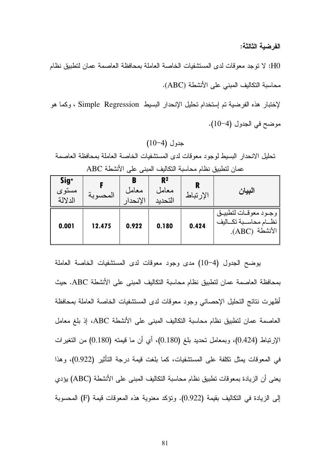الفرضبة الثالثة:

H0: لا نوجد معوقات لدى المستشفيات الخاصة العاملة بمحافظة العاصمة عمان لتطبيق نظام محاسبة التكاليف المبني على الأنشطة (ABC). لإختبار هذه الفرضية تم إستخدام تحليل الإنحدار البسيط Simple Regression ، وكما هو

موضح في الجدول (4–10).

#### $(10-4)$  جدو ل

تحليل الانحدار البسيط لوجود معوقات لدى المستشفيات الخاصة العاملة بمحافظة العاصمة عمان لتطبيق نظام محاسبة التكاليف المبنى على الأنشطة ABC

| Sig <sup>*</sup><br>مستوى<br>الدلالة | المحسوبة | معامل<br>الانحدار | R <sup>2</sup><br>معامل<br>التحديد | R<br>الإرتباط | البيان                                                        |
|--------------------------------------|----------|-------------------|------------------------------------|---------------|---------------------------------------------------------------|
| 0.001                                | 12.475   | 0.922             | 0.180                              | 0.424         | وجـود معوقـات لتطبيـق<br>نظام محاسبة تكالبف<br>الأنشطة (ABC). |

يوضح الجدول (4–10) مدى وجود معوقات لدى المستشفيات الخاصة العاملة بمحافظة العاصمة عمان لتطبيق نظام محاسبة التكاليف المبنى على الأنشطة ABC. حيث أظهرت نتائج التحليل الإحصائي وجود معوقات لدى المستشفيات الخاصة العاملة بمحافظة العاصمة عمان لتطبيق نظام محاسبة التكاليف المبنى على الأنشطة ABC، إذ بلغ معامل الإرتباط (0.424)، وبمعامل نحديد بلغ (0.180)، أي أن ما قيمنه (0.180) من النغيرات في المعوقات يمثل تكلفة على المستشفيات، كما بلغت قيمة درجة التأثير (0.922)، وهذا يعني أن الزيادة بمعوفات تطبيق نظام محاسبة التكاليف المبنى على الأنشطة (ABC) يؤدي إلى الزيادة في التكاليف بقيمة (0.922). وتؤكد معنوية هذه المعوقات قيمة (F) المحسوبة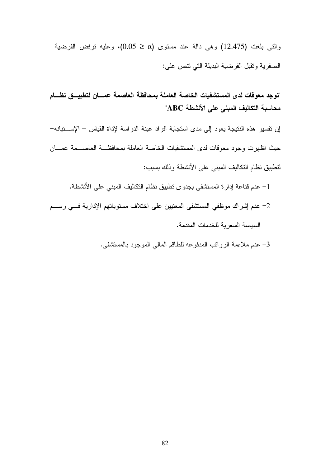"توجد معوقات لدى المستشفيات الخاصة العاملة بمحافظة العاصمة عمسان لتطبيسق نظسام محاسبة التكاليف المبنى على الأنشطة ABC"

إن تفسير هذه النتيجة يعود إلى مدى استجابة افراد عينة الدراسة لإداة القياس – الإستبانه– حيث اظهرت وجود معوقات لدى المستشفيات الخاصة العاملة بمحافظة العاصـــمة عمـــان لتطبيق نظام النكاليف المبنى على الأنشطة وذلك بسبب:

- 1– عدم قناعة إدارة المستشفى بجدوى نطبيق نظام النكاليف المبني على الأنشطة.
- 2– عدم إشراك موظفى المستشفى المعنيين على اختلاف مستوياتهم الإدارية فسى رســم السياسة السعرية للخدمات المقدمة.
	- 3– عدم ملاءمة الرواتب المدفوعه للطاقم المالي الموجود بالمستشفى.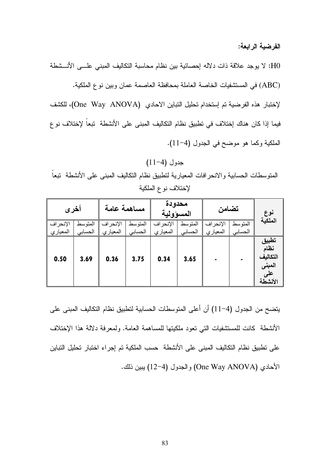الفرضبة الرابعة:

H0: لا يوجد علاقة ذات دلاله إحصائية بين نظام محاسبة التكاليف المبني علــي الأنــشطة (ABC) في المستشفيات الخاصة العاملة بمحافظة العاصمة عمان وبين نوع الملكية. لإختبار هذه الفرضية تم إستخدام تحليل التباين الاحادي (One Way ANOVA)، للكشف فيما إذا كان هناك إختلاف في تطبيق نظام التكاليف المبنى على الأنشطة تبعاً لإختلاف نو ع الملكية وكما هو موضح في الجدول (4-11).

## $(11-4)$  جدول المنوسطات الحسابية والانحرافات المعيارية لنطبيق نظام النكاليف المبنى على الأنشطة تبعاً لإختلاف نوع الملكية

| أخرى                 |                    | مساهمة عامة          |                    | محدودة<br>المسوولية  |                    | تضامن                |                    | نوع                                            |
|----------------------|--------------------|----------------------|--------------------|----------------------|--------------------|----------------------|--------------------|------------------------------------------------|
| الإنحراف<br>المعياري | المتوسط<br>الحسابى | الإنحراف<br>المعياري | المتوسط<br>الحسابي | الإنحراف<br>المعياري | المتوسط<br>الحسابي | الإنحراف<br>المعياري | المتوسط<br>الحسابي | الملكية                                        |
| 0.50                 | 3.69               | 0.36                 | 3.75               | 0.34                 | 3.65               | $\blacksquare$       |                    | تطبيق<br>نظام<br>التكاليف<br>المبنى<br>الأنشطة |

يتضح من الجدول (4–11) أن أعلى المتوسطات الحسابية لتطبيق نظام التكاليف المبنى على الأنشطة كانت للمستشفيات التي تعود ملكيتها للمساهمة العامة. ولمعرفة دلالة هذا الإختلاف على نطبيق نظام النكاليف المبنى على الأنشطة حسب الملكية تم إجراء اختبار تحليل التباين الأحادي (One Way ANOVA) و الجدول (4−12) بيين ذلك.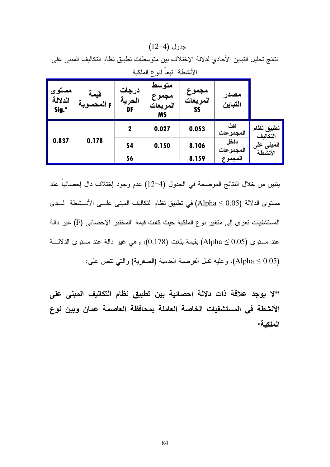#### جدول (4–12)

| مستوى<br>الدلالة<br>Sig.* | قيمة<br>F المحسوبة | درجات<br>الحرية<br>DF | متوسط<br>مجموع<br>المربعات<br><b>MS</b> | مجموع<br>المربعات<br>SS | مصدر<br>التباين   |                                |  |
|---------------------------|--------------------|-----------------------|-----------------------------------------|-------------------------|-------------------|--------------------------------|--|
|                           |                    | $\mathbf 2$           | 0.027                                   | 0.053                   | ٻين<br>المجموعات  | تطبيق نظام<br>التكال <b>يف</b> |  |
| 0.837                     | 0.178              | 54                    | 0.150                                   | 8.106                   | داخل<br>المجموعات | المبنى على<br>الأنشطة          |  |
|                           |                    | 56                    |                                         | 8.159                   | المجموع           |                                |  |

نتائج تحليل التباين الأحادي لدلالة الإختلاف بين متوسطات تطبيق نظام التكاليف المبنى على الأنشطة يتعألفهء الملكية

يتبين من خلال النتائج الموضحة في الجدول (4–12) عدم وجود إختلاف دال إحصائيا عند مستوى الدلالة (Alpha ≤ 0.05) في تطبيق نظام التكاليف المبنى علـــي الأنـــشطة لـــدى المستشفيات تعزِّ إلى متغير نوع الملكية حيث كانت قيمة االمختبر الإحصائي (F) غير دالة عند مستوى (Alpha  $\leq 0.05$ ) بقيمة بلغت (0.178)، وهي غير دالة عند مستوى الدلالــــة (Alpha ≤ 0.05)، وعليه نقبل الفرضية العدمية (الصفرية) والتي نتص على:

"لا يوجد علاقة ذات دلالة إحصائية بين تطبيق نظام التكاليف المبنى على الأنشطة في المستشفيات الخاصة العاملة بمحافظة العاصمة عمان وبين نوع الملكية"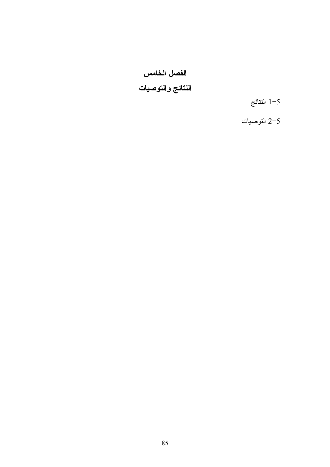# الفصل الخامس النتائج والتوصيات

- النتائج  $1\overline{\phantom{a}}$
- 2-5 التوصيات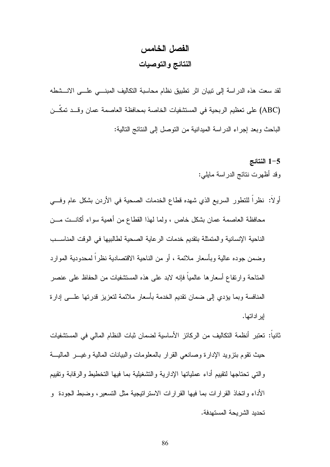# الفصل الخامس النتائج والتوصيات

لقد سعت هذه الدراسة إلى نبيان اثر نطبيق نظام محاسبة التكاليف المبنـــي علـــي الانـــشطه (ABC) على تعظيم الربحية في المستشفيات الخاصة بمحافظة العاصمة عمان وقــد تمكّــن الباحث وبعد إجراء الدراسة الميدانية من النوصل إلى النتائج التالية:

## النتائج $1-5$ وقد أظهرت نتائج الدراسة مايلي:

- أولاً: نظراً للنطور السريع الذي شهده قطاع الخدمات الصحية في الأردن بشكل عام وفـــي محافظة العاصمة عمان بشكل خاص ، ولما لهذا القطاع من أهمية سواء أكانـــت مـــن الناحية الإنسانية والمتمثلة بتقديم خدمات الرعاية الصحية لطالبيها في الوقت المناســب وضمن جوده عالية وبأسعار ملائمة ، أو من الناحية الاقتصادية نظرا لمحدودية الموارد المتاحة و ارتفاع أسعار ها عالمياً فإنه لابد على هذه المستشفيات من الحفاظ على عنصر المنافسة وبما بؤدي إلى ضمان نقديم الخدمة بأسعار ملائمة لنعزيز قدرتها علـــي إدارة إير اداتها.
- ثانيا: تعتبر أنظمة التكاليف من الركائز الأساسية لضمان ثبات النظام المالي في المستشفيات حيث نقوم بنزويد الإدارة وصانعي القرار بالمعلومات والبيانات المالية وغيـــر الماليــــة و التي تحتاجها لتقبيم أداء عملياتها الإدارية والتشغيلية بما فيها التخطيط والر قابة وتقبيم الأداء واتخاذ القرارات بما فيها القرارات الاستراتيجية مثل التسعير، وضبط الجودة و تحديد الشر بحة المستهدفة.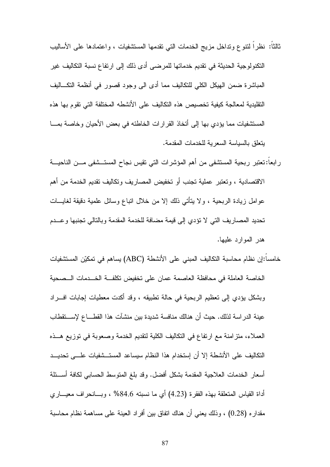- ثالثًا: نظراً لنتوع ونداخل مزيج الخدمات الني نقدمها المستشفيات ، واعتمادها على الأساليب النكنولوجية الحديثة في تقديم خدماتها للمرضى أدى ذلك إلى ارتفاع نسبة التكاليف غير المباشرة ضمن الهيكل الكلي للنكاليف مما أدى الى وجود قصور في أنظمة النكـــاليف التقليدية لمعالجة كيفية تخصيص هذه التكاليف على الأنشطه المختلفة التي تقوم بها هذه المستشفيات مما يؤدي بها إلى أتخاذ القرارات الخاطئه في بعض الأحيان وخاصة بمـــا بِتعلِّق بِالسِياسة السعر بِة للخدمات المقدمة.
- ر ابعا: تعتبر ربحية المستشفى من أهم المؤشرات التي تقيس نجاح المستــشفى مـــن الناحيـــة الاقتصادية ، وتعتبر عملية تجنب أو تخفيض المصاريف وتكاليف تقديم الخدمة من أهم عوامل زيادة الربحية ، ولا يتأتى ذلك إلا من خلال انباع وسائل علمية دقيقة لغايـــات تحديد المصاريف التي لا تؤدي إلى قيمة مضافة للخدمة المقدمة وبالتالي تجنبها وعسدم هدر الموارد عليها.
- خامسا:إن نظام محاسبة التكاليف المبنى على الأنشطة (ABC) يساهم في تمكيّن المستشفيات الخاصة العاملة في محافظة العاصمة عمان على تخفيض تكلفة الخــدمات الــصحية وبشكل بؤدي إلى تعظيم الربحية في حالة نطبيقه ، وقد أكدت معطيات إجابات افـــراد عينة الدراسة لذلك. حيث أن هنالك منافسة شديدة بين منشآت هذا القطــــاع لإســــنقطاب العملاء، منز إمنة مع ارتفاع في النكاليف الكلية لتقديم الخدمة وصعوبة في توزيع هــذه التكاليف على الأنشطة إلا أن إستخدام هذا النظام سيساعد المستــشفيات علــــى تحديـــد أسعار الخدمات العلاجية المقدمة بشكل أفضل. وقد بلغ المتوسط الحسابي لكافة أسسئلة أداة القياس المتعلقة بهذه الفقرة (4.23) أي ما نسبته 84.6% ، وبســانـحراف معيــــاري مقدارِه (0.28) ، وذلك يعني أن هناك انفاق بين أفراد العينة على مساهمة نظام محاسبة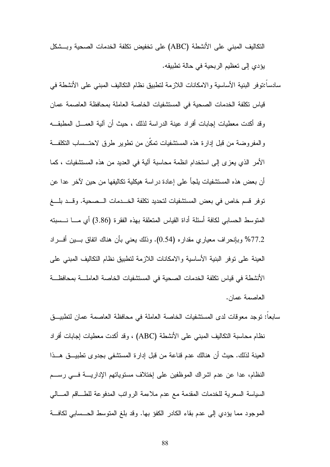النكاليف المبني على الأنشطة (ABC) على تخفيض تكلفة الخدمات الصحية وبـــشكل يؤدى إلى تعظيم الربحية في حالة تطبيقه.

سادسا:توفر البنية الأساسية والامكانات اللازمة لتطبيق نظام التكاليف المبنى على الأنشطة في قياس تكلفة الخدمات الصحية في المستشفيات الخاصنة العاملة بمحافظة العاصمة عمان وقد أكدت معطيات إجابات أفراد عينة الدراسة لذلك ، حيث أن آلية العمـــل المطبقـــه والمفروضة من قبل إدارة هذه المستشفيات تمكن من نطوير طرق لاحتــساب النكلفــة الأمر الذي يعزى إلى استخدام انظمة محاسبة آلية في العديد من هذه المستشفيات ، كما أن بعض هذه المستشفيات يلجأ على إعادة دراسة هيكلية تكاليفها من حين لآخر عدا عن توفر قسم خاص في بعض المستشفيات لتحديد تكلفة الخـــدمات الـــصحية. وقـــد بلــــغ المنوسط الحسابي لكافة أسئلة أداة القياس المتعلقة بهذه الفقرة (3.86) أي مـــا نـــسبته 77.2% وبإنحراف معياري مقدار ه (0.54). وذلك يعني بأن هناك اتفاق بسين أفسراد العينة على نوفر البنية الأساسية والامكانات اللازمة لتطبيق نظام التكاليف المبنى على الأنشطة في قياس نكلفة الخدمات الصحية في المستشفيات الخاصة العاملـــة بمحافظـــة العاصمة عمان.

سابعا: نوجد معوقات لدى المستشفيات الخاصة العاملة في محافظة العاصمة عمان لتطبيــق نظام محاسبة التكاليف المبنى على الأنشطة (ABC) ، وقد أكدت معطيات إجابات أفراد العينة لذلك. حيث أن هنالك عدم قناعة من قبل إدارة المستشفى بجدوى تطبيـــق هـــذا النظام، عدا عن عدم اشراك الموظفين على إختلاف مستوياتهم الإداريسة فسى رســم السياسة السعرية للخدمات المقدمة مع عدم ملاءمة الروانب المدفوعة للطـــاقم المـــالـي الموجود مما يؤدي إلى عدم بقاء الكادر الكفؤ بها. وقد بلغ المتوسط الحــسابي لكافـــة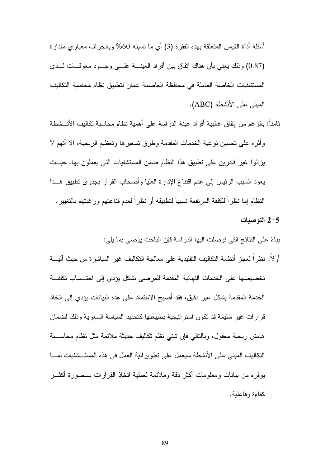أسئلة أداة القياس المتعلقة بهذه الفقرة (3) أي ما نسبته 60% وبانحر اف معياري مقدارة (0.87) وذلك يعني بأن هناك اتفاق بين أفراد العينــــة علــــي وجـــود معوقـــات لـــدى المستشفيات الخاصة العاملة في محافظة العاصمة عمان لتطبيق نظام محاسبة التكاليف المبنى على الأنشطة (ABC).

ثامنا: بالرغم من إتفاق غالبية أفراد عينة الدراسة على أهمية نظام محاسبة تكاليف الأنـــشطة و أثر ه على تحسين نو عية الخدمات المقدمة و طر ق تسعير ها و تعظيم الر بحية، الا أنهم لا يزالوا غير فادرين على نطبيق هذا النظام ضمن المستشفيات التي يعملون بها. حيــث يعود السبب الرئيس إلى عدم اقتناع الإدارة العليا وأصحاب القرار بجدوى تطبيق هــذا النظام إما نظراً للكلفة المرتفعة نسبياً لتطبيقه أو نظراً لعدم قناعتهم ورغبتهم بالتغيير .

1-5 التوصيات

- بِناءً على النتائج التي توصلت اليها الدر اسة فإن الباحث يوصبي بما يلي:
- أولاً: نظراً لعجز أنظمة التكاليف التقليدية على معالجة التكاليف غير المباشرة من حيث آليـــة تخصيصها على الخدمات النهائية المقدمة للمرضى بشكل يؤدي إلى احتــساب تكلفـــة الخدمة المقدمة بشكل غير دقيق، فقد أصبح الاعتماد على هذه البيانات يؤدي إلى اتخاذ قرارات غير سليمة قد نكون استراتيجية بطبيعتها كتحديد السياسة السعرية وذلك لضمان هامش ربحية معقول، وبالتالي فإن تبني نظم تكاليف حديثة ملائمة مثل نظام محاســـبة النكاليف المبنى على الأنشطة سيعمل على تطوير آلية العمل في هذه المستــشفيات لمـــا بوفره من بيانات ومعلومات أكثر دقة وملائمة لعملية اتخاذ القرارات بـــصورة أكثــــر كفاءة وفاعلبة.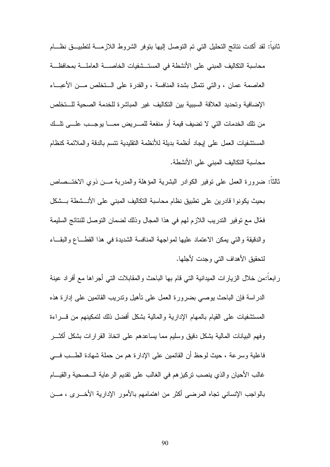- ثانياً: لقد أكدت نتائج التحليل التي تم التوصل إليها بتوفر الشروط اللازمــــة لتطبيـــق نظــــام محاسبة التكاليف المبنى على الأنشطة في المستــشفيات الخاصــــة العاملـــة بمحافظـــة العاصمة عمان ، والتي نتمثَّل بشدة المنافسة ، والقدرة على الـــتخلص مـــن الأعبـــاء الإضافية وتحديد العلاقة السببية بين التكاليف غير المباشرة للخدمة الصحية للستخلص من نلك الخدمات التي لا تضيف قيمة أو منفعة للمـــريض ممــــا يوجـــب علــــي تلـــك المستشفيات العمل على إيجاد أنظمة بديلة للأنظمة النقليدية تتسم بالدقة والملائمة كنظام محاسبة التكاليف المبنى على الأنشطة.
- ثالثًا: ضرورة العمل على نوفير الكوادر البشرية المؤهلة والمدربة مـــن ذوى الاختـــصـاص بحيث يكونوا قادرين على تطبيق نظام محاسبة التكاليف المبنى على الأنسشطة بسشكل فعّال مع نوفير الندريب اللازم لهم في هذا المجال وذلك لضمان النوصل للنتائج السليمة وِ الدقيقة وِ التي يمكن الاعتماد عليها لمواجهة المنافسة الشديدة في هذا القطـــاع وِ البقـــاء لتحقيق الأهداف التي وجدت لأجلها.
- ر ابعاً:من خلال الزيارات الميدانية التي قام بها الباحث والمقابلات التي أجراها مع أفراد عينة الدراسة فإن الباحث بوصى بضرورة العمل على تأهيل وندريب القائمين على إدارة هذه المستشفيات على القيام بالمهام الإدارية والمالية بشكل أفضل ذلك لتمكينهم من قسراءة وفهم البيانات المالية بشكل دقيق وسليم مما يساعدهم على اتخاذ القرارات بشكل أكثـــر فاعلية وسرعة ، حيث لوحظ أن القائمين على الإدارة هم من حملة شهادة الطـــب فـــي غالب الأحيان والذي ينصب تركيز هم في الغالب على نقديم الرعاية الـــصحية والقيـــام بالواجب الإنساني تجاه المرضىي أكثر من اهتمامهم بالأمور الإدارية الأخـــري ، مـــن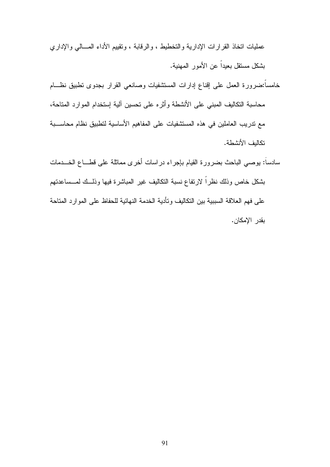عمليات اتخاذ القرارات الإدارية والتخطيط ، والرقابة ، وتقييم الأداء المسالي والإداري بشكل مستقل بعيداً عن الأمور المهنية.

- خامساً:ضرورة العمل على إقناع إدارات المستشفيات وصانعي القرار بجدوى نطبيق نظــام محاسبة التكاليف المبنى على الأنشطة وأثره على نحسين ألية إستخدام الموارد المتاحة، مع ندريب العاملين في هذه المستشفيات على المفاهيم الأساسية لتطبيق نظام محاســـبة تكاليف الأنشطة.
- سادساً: يوصـي البـاحث بضـرورة القيام بـإجراء دراسات أخرى مماثلة علـي قطـــاع الـخـــدمات بشكل خاص وذلك نظراً لارتفاع نسبة التكاليف غير المباشرة فيها وذلــك لمــساعدتهم على فهم العلاقة السببية بين التكاليف وتأدية الخدمة النهائية للحفاظ على الموارد المتاحة بقدر الإمكان.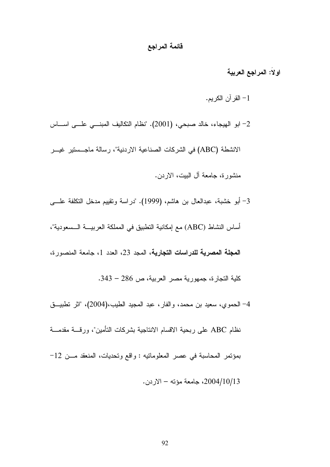## قائمة المراجع

اولاً: المراجع العربية

- 1– القر آن الكريم.
- و الهيجاء، خالد صبحي، (2001). "نظام النكاليف المبنـــي علـــي اســـاس-الانشطة (ABC) في الشركات الصناعية الاردنية"، رسالة ماجــستير غيـــر منشور ة، جامعة آل البيت، الاردن. 3– أبو خشبة، عبدالعال بن هاشم، (1999). "دراسة ونقييم مدخل النكلفة علــــي أساس النشاط (ABC) مع إمكانية التطبيق في المملكة العربيـــة الـــسعودية"، المجلة المصرية للدراسات التجارية، المجد 23، العدد 1، جامعة المنصورة، كلية التجار ة، جمهورية مصر العربية، ص 286 – 343. 4- الحموي، سعيد بن محمد، والفار، عبد المحيد الطيب،(2004)، "اثر نظبيـــق نظام ABC على ربحية الاقسام الانتاجية بشركات التأمين"، ورقسة مقدمسة بمؤتمر المحاسبة في عصر المعلوماتيه : واقع وتحديات، المنعقد مــن 12− 2004/10/13، جامعة مؤته – الاردن.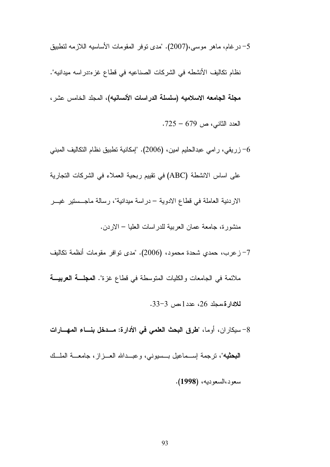در غام، ماهر موسى، $(2007)$ . "مدى نوفر المقومات الأساسيه اللازمه لنطبيق  $\,$ نظام تكاليف الأنشطه في الشركات الصناعيه في قطاع غز ه:در اسه ميدانيه". مجلة الجامعه الاسلاميه (سلسلة الدراسات الأنسانيه)، المجلد الخامس عشر ، العدد الثاني، ص 679 – 725.

زريقي، رامي عبدالحليم امين، (2006). "إمكانية تطبيق نظام التكاليف المبني  $\,-6\,$ على اساس الانشطة (ABC) في تقييم ربحية العملاء في الشركات التجارية الاردنية العاملة في قطاع الادوية – دراسة ميدانية"، رسالة ماجـــستير غيـــر منشورة، جامعة عمان العربية للدراسات العليا – الاردن. 7– زعرب، حمدي شحدة محمود، (2006). "مدى نوافر مقومات أنظمة نكاليف ملائمة في الجامعات والكليات المتوسطة في قطاع غزة". ا**لمجلسة العربيسة** 

# $-33$ للادار ة،مجلد 26، عدد [ ،ص $-33$ -3.

8– سيكار ان، أوما، "**طرق البحث العلمي في الأدارة: مــدخل بنـــاء المهـــارات** 

**البحثيه**"، ترجمة إســـماعيل بــــسيونـي، وعبـــدالله العــــزاز ، جامعــــة الملـــك

سعود،السعوديه، (1998).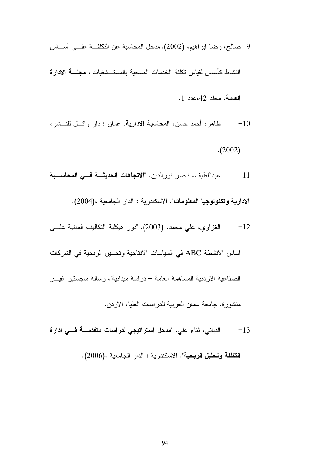9- صالح، رضا ابراهيم، (2002)."مدخل المحاسبة عن النكلفــة علـــي أســـاس

النشاط كأساس لقياس تكلفة الخدمات الصحية بالمستــشفيات"، **مجلــــة الادار ة** 

المعامة، محلد 42، عدد 1.

- ظاهر ، أحمد حسن، **المحاسبة الادارية**. ع*م*ان : دار وائـــل للنـــشر ،  $-10$  $(2002)$
- عبداللطيف، ناصر نورالدين. "الاتجاهات الحديثة فسى المحاسبة  $-11$

الادارية وتكنولوجيا المعلومات". الاسكندرية : الدار الجامعية ،(2004).

الغزاوي، على محمد، (2003). "دور هيكلية النكاليف المبنية علـــي  $-12$ 

اساس الانشطة ABC في السياسات الانتاجية وتحسين الربحية في الشركات

الصناعية الاردنية المساهمة العامة – دراسة ميدانية"، رسالة ماجستير غيــر

### منشور ة، جامعة عمان العربية للدر اسات العليا، الاردن.

القباني، ثناء على. "**مدخل استراتيجي لدراسات متقدمــــة فــــى ادارة**  $-13$ 

التكلفة وتحليل الربحية". الاسكندرية : الدار الجامعية ،(2006).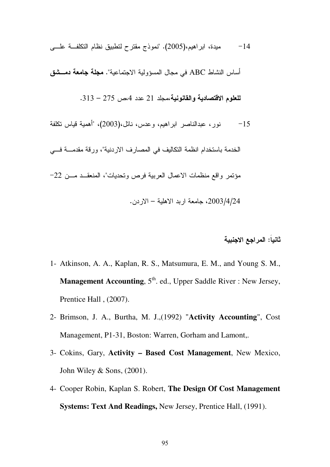#. .I ? + & KG U" .(2005) 0 0E-=14

أساس النشاط ABC في مجال المسؤولية الاجتماعية". **مجلة جامعة دمـــشق** 

 $13-275$  للعلوم الاقتصادية والقانونية،مجلد  $21\,$  عدد 4،ص $-275-31$ 

15 نور ، عبدالناصر ابر اهيم، وعدس، نائل، $(2003)$ ، "أهمية قياس نكلفة

الخدمة باستخدام انظمة التكاليف في المصارف الاردنية"، ورقة مقدمــــة فــــي

مؤتمر واقع منظمات الاعمال العربية فرص وتحديات"، المنعقــد مـــن 22–

2003/4/24، جامعة اربد الاهلية – الاردن.

ثانياً: المراجع الاجنبية

- 1- Atkinson, A. A., Kaplan, R. S., Matsumura, E. M., and Young S. M., **Management Accounting**, 5<sup>th</sup>. ed., Upper Saddle River : New Jersey, Prentice Hall , (2007).
- 2- Brimson, J. A., Burtha, M. J.,(1992) "**Activity Accounting**", Cost Management, P1-31, Boston: Warren, Gorham and Lamont,.
- 3- Cokins, Gary, **Activity Based Cost Management**, New Mexico, John Wiley & Sons, (2001).
- 4- Cooper Robin, Kaplan S. Robert, **The Design Of Cost Management Systems: Text And Readings,** New Jersey, Prentice Hall, (1991).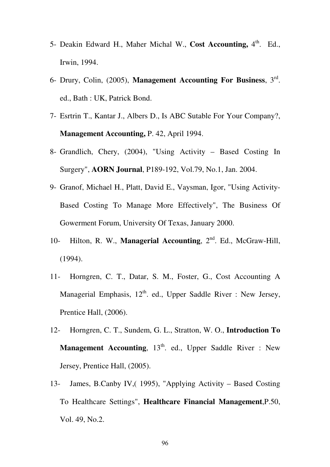- 5- Deakin Edward H., Maher Michal W., Cost Accounting, 4<sup>th</sup>. Ed., Irwin, 1994.
- 6- Drury, Colin, (2005), **Management Accounting For Business**, 3rd . ed., Bath : UK, Patrick Bond.
- 7- Esrtrin T., Kantar J., Albers D., Is ABC Sutable For Your Company?, **Management Accounting,** P. 42, April 1994.
- 8- Grandlich, Chery, (2004), "Using Activity Based Costing In Surgery", **AORN Journal**, P189-192, Vol.79, No.1, Jan. 2004.
- 9- Granof, Michael H., Platt, David E., Vaysman, Igor, "Using Activity-Based Costing To Manage More Effectively", The Business Of Gowerment Forum, University Of Texas, January 2000.
- 10- Hilton, R. W., **Managerial Accounting**, 2nd. Ed., McGraw-Hill, (1994).
- 11- Horngren, C. T., Datar, S. M., Foster, G., Cost Accounting A Managerial Emphasis,  $12^{th}$ . ed., Upper Saddle River : New Jersey, Prentice Hall, (2006).
- 12- Horngren, C. T., Sundem, G. L., Stratton, W. O., **Introduction To Management Accounting**, 13<sup>th</sup>. ed., Upper Saddle River : New Jersey, Prentice Hall, (2005).
- 13- James, B.Canby IV,( 1995), "Applying Activity Based Costing To Healthcare Settings", **Healthcare Financial Management**,P.50, Vol. 49, No.2.

96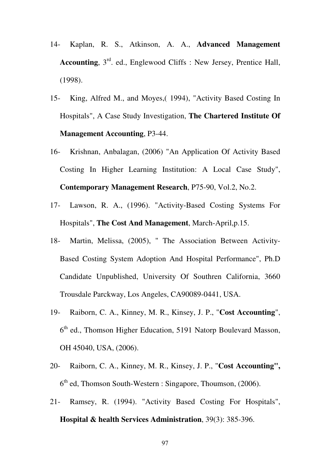- 14- Kaplan, R. S., Atkinson, A. A., **Advanced Management Accounting**, 3rd. ed., Englewood Cliffs : New Jersey, Prentice Hall, (1998).
- 15- King, Alfred M., and Moyes,( 1994), "Activity Based Costing In Hospitals", A Case Study Investigation, **The Chartered Institute Of Management Accounting**, P3-44.
- 16- Krishnan, Anbalagan, (2006) "An Application Of Activity Based Costing In Higher Learning Institution: A Local Case Study", **Contemporary Management Research**, P75-90, Vol.2, No.2.
- 17- Lawson, R. A., (1996). "Activity-Based Costing Systems For Hospitals", **The Cost And Management**, March-April,p.15.
- 18- Martin, Melissa, (2005), " The Association Between Activity-Based Costing System Adoption And Hospital Performance", Ph.D Candidate Unpublished, University Of Southren California, 3660 Trousdale Parckway, Los Angeles, CA90089-0441, USA.
- 19- Raiborn, C. A., Kinney, M. R., Kinsey, J. P., "**Cost Accounting**", 6<sup>th</sup> ed., Thomson Higher Education, 5191 Natorp Boulevard Masson, OH 45040, USA, (2006).
- 20- Raiborn, C. A., Kinney, M. R., Kinsey, J. P., "**Cost Accounting",**  6<sup>th</sup> ed, Thomson South-Western : Singapore, Thoumson, (2006).
- 21- Ramsey, R. (1994). "Activity Based Costing For Hospitals", **Hospital & health Services Administration**, 39(3): 385-396.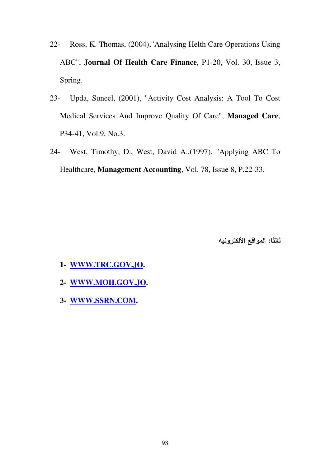- 22- Ross, K. Thomas, (2004),"Analysing Helth Care Operations Using ABC", **Journal Of Health Care Finance**, P1-20, Vol. 30, Issue 3, Spring.
- 23- Upda, Suneel, (2001), "Activity Cost Analysis: A Tool To Cost Medical Services And Improve Quality Of Care", **Managed Care**, P34-41, Vol.9, No.3.
- 24- West, Timothy, D., West, David A.,(1997), "Applying ABC To Healthcare, **Management Accounting**, Vol. 78, Issue 8, P.22-33.

ثالثا: المواقع الألكترونيه

- **1- WWW.TRC.GOV.JO.**
- **2- WWW.MOH.GOV.JO.**
- **3- WWW.SSRN.COM.**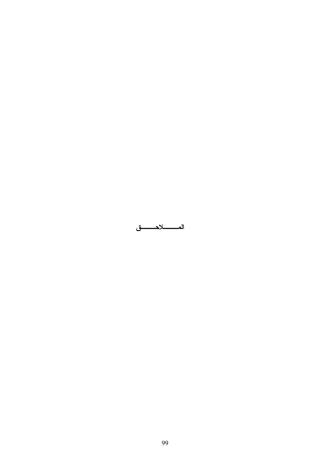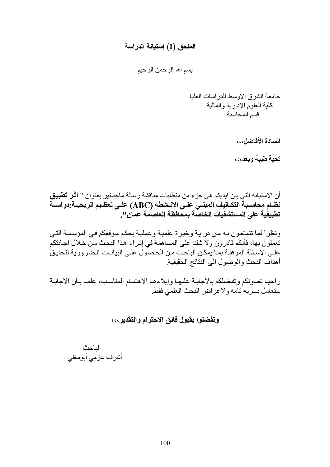# الملحق (1) إستبانة الدراسة

بسم الله الرحمن الرحيم

السادة الأفاضل،،،

تحية طيبة وبعد،،،

أن الاستبانه التي بين ايديكم هي جز ء من متطلبات مناقشة رسالة ماجستير بعنوان " ا**ثـر تطبيق** نظـام محاسـبـة التكــاليف المبنــي علــى الانــشطه (ABC) علــى تعظـيم الربحيــة.دراســة تطبيقية على المستشفيات الخاصة بمحافظة العاصمة عمان".

ونظراً لما تتمتعون بـه من درايـة وخبرة علميـة وعمليـة بحكم مـوقعكم فـي المؤسسة التـي تعملون بها، فأنكم قادرون ولا شك على المساهمة في إثراء هذا البحث من خلال اجابتكم علـى الاسئلة المر فقـة بمـا يمكّن الباحث مـن الحـصول علـى البيانـات الـضر و ر يـة لتحقيـق أهداف البحث والوصول الى النتائج الحقيقية

ر اجيــا تعــاو نكم و تفـضلكم بـالاجابــة عليهـا و إيلاءهـا الاهتمــام المنـاسـب، علمــا بــأن الاجابــة ستعامل بسريه تامه ولاغراض البحث العلمى فقط

# وتفضلوا بفبول فائق الاحترام والتقدير ،،،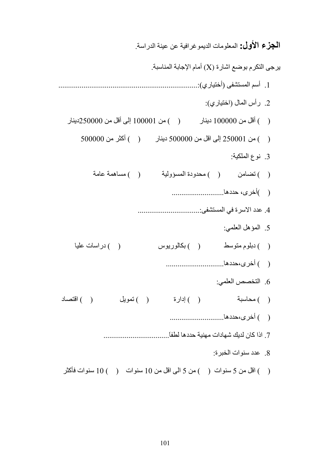**الْجِزْعِ الْأَوِلْ:** المعلومات الديمو غر افية عن عينة الدر اسة يرجى التكرم بوضع اشارة (X) أمام الإجابة المناسبة<sub>.</sub> 2. رأس المال (اختياري): ( ) أقل من 100000 دينار ( ) من 100001 إلى أقل من 250000دينار ( ) من 250001 إلى اقل من 500000 دينار ( ) أكثر من 500000 3. نوع الملكية: ( ) نضامن ( ) محدودة المسؤولية ( ) مساهمة عامة 5. المؤهل العلمي: ( ) در اسات علیا 6. التخصص العلمي: () محاسبة () إدارة () تمويل ( ) اقتصاد 8. عدد سنو ات الخبر ة: ( ) اقل من 5 سنوات ( ) من 5 الى اقل من 10 سنوات ( ) 10 سنوات فأكثر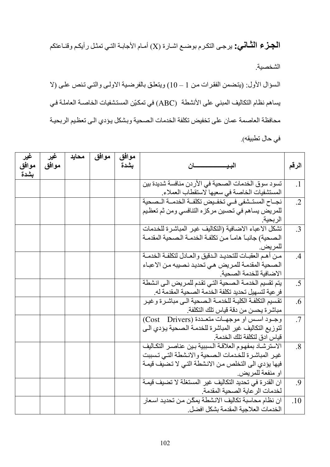# **الجزع الثَّـاني:** يرجى التكرم بوضـع اشـارة (X) أمـام الأجابـة التـي تمثّل رأيكم وقنـاعتكم الشخصية السؤال الأول: (يتضمن الفقرات من 1 – 10) ويتعلق بالفرضية الاولى والتي تنص على (لا يساهم نظام التكاليف المبني على الأنشطة (ABC) في تمكيّن المستشفيات الخاصــة العاملـة في محافظة العاصمة عمان على تخفيض تكلفة الخدمات الصحية وبشكل يؤدي الىي تعظيم الربحية في حال تطبيقه).

| غير   | تحير  | محايد | موافق | موافق |                                                                   |                        |
|-------|-------|-------|-------|-------|-------------------------------------------------------------------|------------------------|
| موافق | موافق |       |       | بشدة  | البيسسسسسان                                                       | الرقم                  |
| بشدة  |       |       |       |       |                                                                   |                        |
|       |       |       |       |       | تسود سوق الخدمات الصحية في الأردن منافسة شديدة بين                | $\cdot$ 1              |
|       |       |       |       |       | المستشفيات الخاصة في سعيها لاستقطاب العملاء                       |                        |
|       |       |       |       |       | نجباح المستشفى في تخفيض تكلفة الخدمية المصحبة                     | $\cdot$ .2             |
|       |       |       |       |       | للمريض يساهم في تحسين مركزه التنافسي ومن ثم تعظيم                 |                        |
|       |       |       |       |       | الربحية <sub>.</sub>                                              |                        |
|       |       |       |       |       | تشكل الاعباء الاضافية (التكاليف غير المباشرة للخدمات              | $\overline{3}$         |
|       |       |       |       |       | الصحية) جانبـا هامـا مـن تكلفـة الخدمـة الـصحية المقدمـة          |                        |
|       |       |       |       |       | للمري <u>ض.</u>                                                   |                        |
|       |       |       |       |       | مـن أهـم العقبـات للتحديـد الـدقيق والعـادل لتكلفـة الخدمـة       | $.4\phantom{0}$        |
|       |       |       |       |       | الصحية المقدمة للمريض هي تحديد نصيبه من الاعباء                   |                        |
|       |       |       |       |       | الاضافية للخدمة الصحية                                            |                        |
|       |       |       |       |       | يتم تقسيم الخدمـــة الـصــحيـة التــى تقدم للمــريض الــى انـشطـة | .5                     |
|       |       |       |       |       | فر عية لتسهيل تحديد تكلفة الخدمة الصحية المقدمة له.               |                        |
|       |       |       |       |       | تقسيم التكلفة الكلية للخدمة الصحية الى مباشرة وغير                | .6                     |
|       |       |       |       |       | مباشرة يحسن من دقة قياس تلك التكلفة.                              |                        |
|       |       |       |       |       | وجود اسس او موجهات متعددة (Cost Drivers)                          | .7                     |
|       |       |       |       |       | لتوزيع التكاليف غير المباشرة للخدمة الصحية يؤدي الى               |                        |
|       |       |       |       |       | قياس ادق لتكلفة تلك الخدمة                                        |                        |
|       |       |       |       |       | الاستر شاد بمفهوم العلاقة السببية بين عناصر التكاليف              | $\cdot$ <sup>8</sup> . |
|       |       |       |       |       | غير المباشرة للخدمات الصحية والانشطة التي تسببت                   |                        |
|       |       |       |       |       | فيها يؤدي الى التخلص من الانشطة التي لا تضيف قيمة                 |                        |
|       |       |       |       |       | او منفعة للمريض                                                   |                        |
|       |       |       |       |       | ان القدر ة في تحديد التكاليف غير المستغلة لا تضيف قيمـة           | .9                     |
|       |       |       |       |       | لخدمات الر عاية الصحية المقدمة                                    |                        |
|       |       |       |       |       | ان نظام محاسبة تكاليف الانشطة بمكّن من تحديد اسعار                | .10                    |
|       |       |       |       |       | الخدمات العلاجية المقدمة بشكل افضل                                |                        |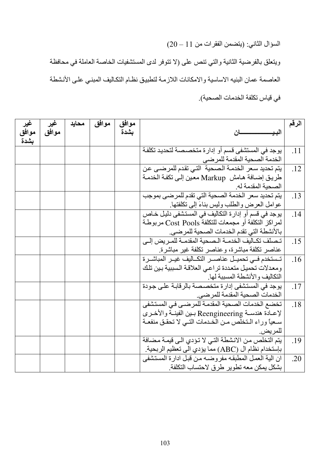ويتعلق بالفرضية الثانية والتي تنص على (لا تتوفر لدى المستشفيات الخاصة العاملة في محافظة العاصمة عمان البنيه الاساسية والامكانات اللازمة لتطبيق نظام التكاليف المبني على الأنشطة في قياس تكلفة الخدمات الصحية).

| غير   | غير   | محايد | موافق | موافق |                                                         | الرقم |
|-------|-------|-------|-------|-------|---------------------------------------------------------|-------|
| موافق | موافق |       |       | بشدة  | البي<br>ــان                                            |       |
| بشدة  |       |       |       |       |                                                         |       |
|       |       |       |       |       | يوجد في المستشفى قسم أو إدارة متخصـصـة لتحديد تكلفـة    | .11   |
|       |       |       |       |       | الخدمة الصحية المقدمة للمرضى                            |       |
|       |       |       |       |       | يتم تحديد سعر الخدمة الصحية التي تقدم للمرضى عن         | .12   |
|       |       |       |       |       | طريق إضــافة هـامش  Markup معين إلـى تكفـة الـخدمـة     |       |
|       |       |       |       |       | الصحبة المقدمة له                                       |       |
|       |       |       |       |       | يتم تحديد سعر الخدمة الصحية التي تقدم للمرضى بموجب      | .13   |
|       |       |       |       |       | عوامل العرض والطلب وليس بناءَ إلىي تكلفتها.             |       |
|       |       |       |       |       | يوجد في قسم أو إدار ة التكاليف في المستشفى دليل خـاص    | .14   |
|       |       |       |       |       | لمراكز التكلفة أو مجمعات للتكلفة Cost Pools مربوطة      |       |
|       |       |       |       |       | بالأنشطة التي تقدم الخدمات الصحية للمرضى.               |       |
|       |       |       |       |       | تصنّف تكـاليف الخدمــة الـصحية المقدمــة للمـريض إلــى  | .15   |
|       |       |       |       |       | عناصر تكلفة مباشرة، وعناصر تكلفة غير مباشرة.            |       |
|       |       |       |       |       | تستخدم فسي تحميـل عناصــر التكــاليف غيــر المباشــرة   | .16   |
|       |       |       |       |       | ومعدلات تحميل متعددة تراعي العلاقة السببية بين تلك      |       |
|       |       |       |       |       | التكاليف والأنشطة المسببة لها                           |       |
|       |       |       |       |       | يوجد في المستشفى إدارة متخصصة بالرقابة على جودة         | .17   |
|       |       |       |       |       | الخدمات الصحية المقدمة للمرضى.                          |       |
|       |       |       |       |       | تخضع الخدمات الصحية المقدمة للمرضىي في المستشفى         | .18   |
|       |       |       |       |       | لإعــادة هندســة Reengineering بــين الفينــة والأخــري |       |
|       |       |       |       |       | سعياً وراء النخلص من الخدمات التبي لا تحقق منفعـة       |       |
|       |       |       |       |       | للمريض.                                                 |       |
|       |       |       |       |       | يتم التخلص من الانشطة التي لا تؤدي الى قيمة مضافة       | .19   |
|       |       |       |       |       | بإستخدام نظام ال (ABC) مما يؤدي الى تعظيم الربحية.      |       |
|       |       |       |       |       | ان الية العمل المطبقه مفروضيه من قبل ادارة المستشفى     | .20   |
|       |       |       |       |       | بشكل يمكن معه تطوير طرق لاحتساب التكلفة                 |       |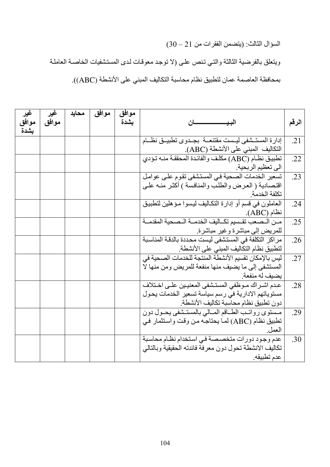السؤال الثالث: (يتضمن الفقرات من 21 -30)

ويتعلق بالفرضية الثالثة والتي تنص على (لا توجد معوقات لدى المستشفيات الخاصة العاملة

بمحافظة العاصمة عمان لتطبيق نظام محاسبة التكاليف المبني على الأنشطة (ABC)).

| غیر<br>موافق<br>بشدة | غير<br>موافق | محايد | موافق | موافق<br>بشدة | البي<br>ـــــــــــــان                                                                                                                         | الرقم |
|----------------------|--------------|-------|-------|---------------|-------------------------------------------------------------------------------------------------------------------------------------------------|-------|
|                      |              |       |       |               | إدارة المستـشفي ليـست مقتنعــة بجـدوى تطبيــق نظــام<br>التكاليف المبنى على الأنشطة (ABC).                                                      | .21   |
|                      |              |       |       |               | تطبيق نظام (ABC) مكلف والفائدة المحققة منه تؤدي<br>الى تعظيم الربحية                                                                            | .22   |
|                      |              |       |       |               | تسعير الخدمات الصحية في المستشفى تقوم على عوامل<br>اقتصادية ( العرض والطلب والمنافسة ) أكثر منـه علـي<br>تكلفة الخدمة                           | .23   |
|                      |              |       |       |               | العاملون في قسم أو إدارة التكاليف ليسوا مؤهلين لنطبيق<br>نظام (ABC).                                                                            | .24   |
|                      |              |       |       |               | مـن الـصعب تقـسيم تكـاليف الخدمــة الـصحية المقدمــة<br>للمريض إلى مباشرة وغير مباشرة.                                                          | .25   |
|                      |              |       |       |               | مر اكز التكلفة في المستشفى ليست محددة بالدقـة المناسبـة<br>لتطبيق نظام التكاليف المبنى على الأنشطة                                              | .26   |
|                      |              |       |       |               | ليس بالإمكان تقسيم الأنشطة المنتجة للخدمات الصحية في<br>المستشفى إلى ما يضيف منها منفعة للمريض ومن منها لا<br>يضيف له منفعة                     | .27   |
|                      |              |       |       |               | عدم اشـراك مـوظفي المستشفى المعنيـين علـي اخـتلاف<br>مستوياتهم الادارية في رسم سياسة تسعير الخدمات يحول<br>دون تطبيق نظام محاسبة تكاليف الأنشطة | .28   |
|                      |              |       |       |               | مستوى رواتب الطاقم المسالي بالمستشفى بحول دون<br>تطبيق نظام (ABC) لما يحتاجـه من وقت واستثمار فـي<br>العمل                                      | .29   |
|                      |              |       |       |               | عدم وجود دورات متخصصة في استخدام نظام محاسبة<br>تكاليف الانشطة تحول دون معرفة فائدته الحقيقية وبالتالي<br>عدم تطبيقه.                           | .30   |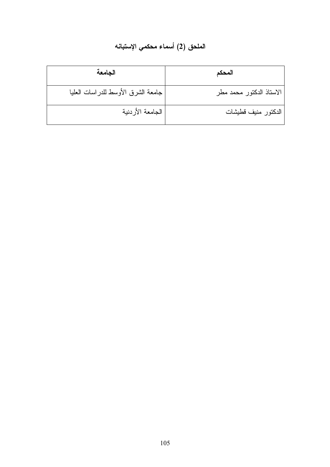# الملحق (2) أسماء محكمي الإستبانه

| الجامعة                            | المحكم                   |
|------------------------------------|--------------------------|
| جامعة الشرق الأوسط للدراسات العليا | الاستاذ الدكتور محمد مطر |
| اللجامعة الأردنية                  | الدكتور منيف قطيشات      |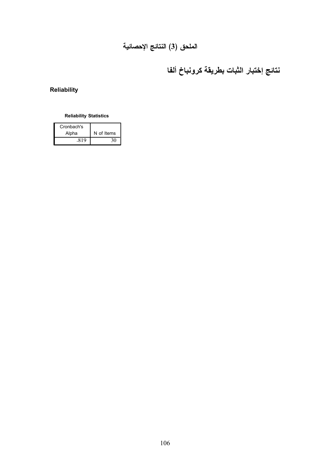# نتائج إختبار الثبات بطريقة كرونباخ ألفا

### Reliability

#### **Reliability Statistics**

| Cronbach's |            |
|------------|------------|
| Alpha      | N of Items |
| .819       |            |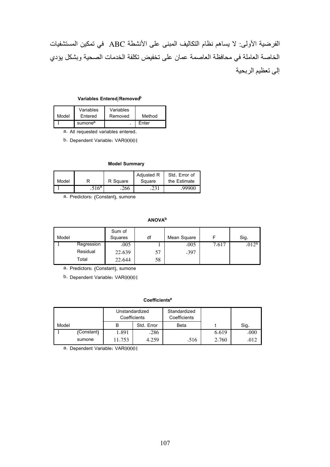الفرضية الأولى: لا يساهم نظام التكاليف المبنى على الأنشطة ABC في تمكين المستشفيات الخاصة العاملة في محافظة العاصمة عمان على تخفيض تكلفة الخدمات الصحية وبشكل يؤدي إلى تعظيم الربحية

#### Variables Entered/Removed<sup>b</sup>

|       | Variables           | Variables |        |
|-------|---------------------|-----------|--------|
| Model | Entered             | Removed   | Method |
|       | sumone <sup>a</sup> |           | Enter  |

a. All requested variables entered.

b. Dependent Variable: VAR00001

#### **Model Summary**

|       |                   |          | <b>Adjusted R</b> | Std. Error of |
|-------|-------------------|----------|-------------------|---------------|
| Model |                   | R Square | Square            | the Estimate  |
|       | .516 <sup>a</sup> | .266     | .231              | .99900        |

a. Predictors: (Constant), sumone

#### **ANOVA**b

| Model |            | Sum of<br>Squares | df | Mean Square |       | Sig.              |
|-------|------------|-------------------|----|-------------|-------|-------------------|
|       | Regression | .005              |    | .005        | 7.617 | .012 <sup>a</sup> |
|       | Residual   | 22.639            | 57 | .397        |       |                   |
|       | Total      | 22.644            | 58 |             |       |                   |

a. Predictors: (Constant), sumone

b. Dependent Variable: VAR00001

#### Coefficients<sup>a</sup>

|       |            | Unstandardized<br>Coefficients |            | Standardized<br>Coefficients |       |      |
|-------|------------|--------------------------------|------------|------------------------------|-------|------|
| Model |            | в                              | Std. Error | Beta                         |       | Sig. |
|       | (Constant) | 1.891                          | .286       |                              | 6.619 | .000 |
|       | sumone     | 11.753                         | 4.259      | .516                         | 2.760 | .012 |

a. Dependent Variable: VAR00001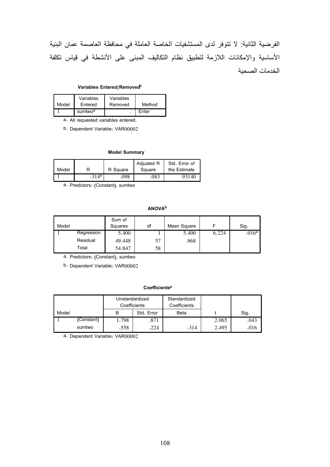الفرضية الثانية: لا تتوفر لدى المستشفيات الخاصة العاملة في محافظة العاصمة عمان البنية الأساسية والإمكانات اللازمة لتطبيق نظام التكاليف المبنى على الأنشطة في قياس تكلفة الخدمات الصحبة

#### Variables Entered/Removed<sup>b</sup>

|       | Variables           | Variables |        |
|-------|---------------------|-----------|--------|
| Model | Entered             | Removed   | Method |
|       | sumtwo <sup>a</sup> |           | Enter  |

a. All requested variables entered.

b. Dependent Variable: VAR00002

#### Model Summary

|       |                   |          | <b>Adjusted R</b> | Std. Error of |
|-------|-------------------|----------|-------------------|---------------|
| Model |                   | R Square | Square            | the Estimate  |
|       | .314 <sup>a</sup> | .098     | .083              | 93140         |

a. Predictors: (Constant), sumtwo

#### ANOVA<sup>b</sup>

| Model |            | Sum of<br>Squares | df | Mean Square |       | Sig.              |
|-------|------------|-------------------|----|-------------|-------|-------------------|
|       | Regression | 5.400             |    | 5.400       | 6.224 | .016 <sup>a</sup> |
|       | Residual   | 49.448            | 57 | .868        |       |                   |
|       | Total      | 54.847            | 58 |             |       |                   |

a. Predictors: (Constant), sumtwo

b. Dependent Variable: VAR00002

#### **Coefficients<sup>a</sup>**

|       |            |              | Unstandardized | Standardized |       |      |
|-------|------------|--------------|----------------|--------------|-------|------|
|       |            | Coefficients |                | Coefficients |       |      |
| Model |            |              | Std. Error     | Beta         |       | Sig. |
|       | (Constant) | 1.798        | .871           |              | 2.065 | .043 |
|       | sumtwo     | .558         | .224           | .314         | 2.495 | .016 |

a. Dependent Variable: VAR00002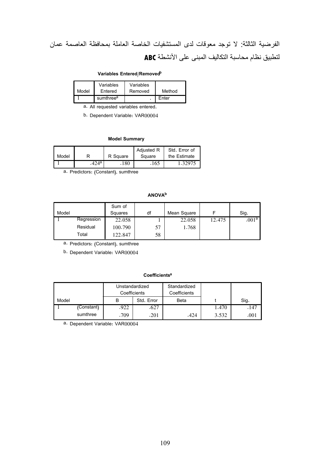# الفرضية الثالثة: لا توجد معوقات لدى المستشفيات الخاصة العاملة بمحافظة العاصمة عمان لتطبيق نظام محاسبة التكاليف المبنى على الأنشطة **ABC**

#### Variables Entered/Removed<sup>b</sup>

|       | Variables             | Variables |        |
|-------|-----------------------|-----------|--------|
| Model | Entered               | Removed   | Method |
|       | sumthree <sup>a</sup> |           | Fnter  |

a. All requested variables entered.

b. Dependent Variable: VAR00004

#### Model Summary

|       |         |          | Adjusted R | Std. Error of |
|-------|---------|----------|------------|---------------|
| Model |         | R Square | Square     | the Estimate  |
|       | $424^a$ | .180     | .165       | 1.32975       |

a. Predictors: (Constant), sumthree

#### ANOVA<sup>b</sup>

| Model |            | Sum of<br>Squares | df | Mean Square |        | Sig.              |
|-------|------------|-------------------|----|-------------|--------|-------------------|
|       | Regression | 22.058            |    | 22.058      | 12.475 | .001 <sup>a</sup> |
|       | Residual   | 100.790           | 57 | 1.768       |        |                   |
|       | Total      | 122.847           | 58 |             |        |                   |

a. Predictors: (Constant), sumthree

b. Dependent Variable: VAR00004

#### **Coefficients<sup>a</sup>**

|       |            | Unstandardized<br>Coefficients |            | Standardized<br>Coefficients |       |      |
|-------|------------|--------------------------------|------------|------------------------------|-------|------|
| Model |            | в                              | Std. Error | Beta                         |       | Sig. |
|       | (Constant) | .922                           | .627       |                              | 1.470 | .147 |
|       | sumthree   | .709                           | .201       | .424                         | 3.532 | .001 |

a. Dependent Variable: VAR00004